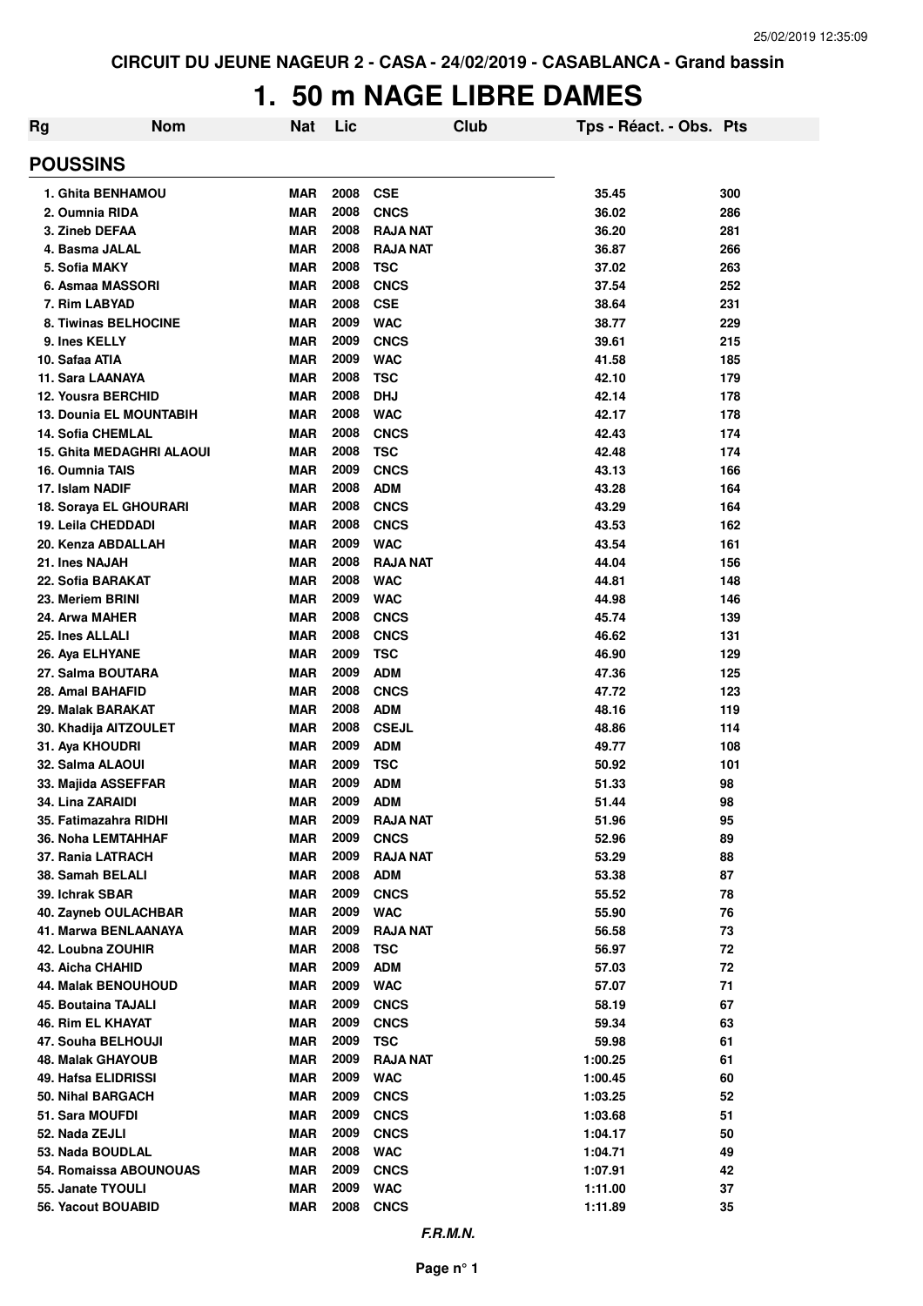# **1. 50 m NAGE LIBRE DAMES**

| Rg                                  | <b>Nom</b> | <b>Nat</b>               | Lic          |                            | <b>Club</b> | Tps - Réact. - Obs. Pts |            |
|-------------------------------------|------------|--------------------------|--------------|----------------------------|-------------|-------------------------|------------|
| <b>POUSSINS</b>                     |            |                          |              |                            |             |                         |            |
| 1. Ghita BENHAMOU                   |            | <b>MAR</b>               | 2008         | <b>CSE</b>                 |             | 35.45                   | 300        |
| 2. Oumnia RIDA                      |            | <b>MAR</b>               | 2008         | <b>CNCS</b>                |             | 36.02                   | 286        |
| 3. Zineb DEFAA                      |            | <b>MAR</b>               | 2008         | <b>RAJA NAT</b>            |             | 36.20                   | 281        |
| 4. Basma JALAL                      |            | <b>MAR</b>               | 2008         | <b>RAJA NAT</b>            |             | 36.87                   | 266        |
| 5. Sofia MAKY                       |            | <b>MAR</b>               | 2008         | <b>TSC</b>                 |             | 37.02                   | 263        |
| 6. Asmaa MASSORI                    |            | <b>MAR</b>               | 2008         | <b>CNCS</b>                |             | 37.54                   | 252        |
| 7. Rim LABYAD                       |            | <b>MAR</b>               | 2008         | <b>CSE</b>                 |             | 38.64                   | 231        |
| 8. Tiwinas BELHOCINE                |            | <b>MAR</b>               | 2009         | <b>WAC</b>                 |             | 38.77                   | 229        |
| 9. Ines KELLY                       |            | <b>MAR</b>               | 2009         | <b>CNCS</b>                |             | 39.61                   | 215        |
| 10. Safaa ATIA                      |            | <b>MAR</b>               | 2009         | <b>WAC</b>                 |             | 41.58                   | 185        |
| 11. Sara LAANAYA                    |            | <b>MAR</b>               | 2008         | <b>TSC</b>                 |             | 42.10                   | 179        |
| <b>12. Yousra BERCHID</b>           |            | <b>MAR</b>               | 2008         | <b>DHJ</b>                 |             | 42.14                   | 178        |
| <b>13. Dounia EL MOUNTABIH</b>      |            | <b>MAR</b>               | 2008         | <b>WAC</b>                 |             | 42.17                   | 178        |
| <b>14. Sofia CHEMLAL</b>            |            | <b>MAR</b>               | 2008         | <b>CNCS</b>                |             | 42.43                   | 174        |
| <b>15. Ghita MEDAGHRI ALAOUI</b>    |            | <b>MAR</b>               | 2008         | <b>TSC</b>                 |             | 42.48                   | 174        |
| 16. Oumnia TAIS                     |            | <b>MAR</b>               | 2009         | <b>CNCS</b>                |             | 43.13                   | 166        |
| 17. Islam NADIF                     |            | <b>MAR</b>               | 2008         | <b>ADM</b>                 |             | 43.28                   | 164        |
| 18. Soraya EL GHOURARI              |            | <b>MAR</b>               | 2008         | <b>CNCS</b>                |             | 43.29                   | 164        |
| 19. Leila CHEDDADI                  |            | <b>MAR</b>               | 2008         | <b>CNCS</b>                |             | 43.53                   | 162        |
| 20. Kenza ABDALLAH                  |            | <b>MAR</b>               | 2009         | <b>WAC</b>                 |             | 43.54                   | 161        |
| 21. Ines NAJAH                      |            | <b>MAR</b>               | 2008         | <b>RAJA NAT</b>            |             | 44.04                   | 156        |
| 22. Sofia BARAKAT                   |            | <b>MAR</b>               | 2008         | <b>WAC</b>                 |             | 44.81                   | 148        |
| 23. Meriem BRINI                    |            | <b>MAR</b>               | 2009         | <b>WAC</b>                 |             | 44.98                   | 146        |
| 24. Arwa MAHER                      |            | <b>MAR</b>               | 2008         | <b>CNCS</b>                |             | 45.74                   | 139        |
| 25. Ines ALLALI                     |            | <b>MAR</b>               | 2008         | <b>CNCS</b>                |             | 46.62                   | 131        |
| 26. Aya ELHYANE                     |            | <b>MAR</b>               | 2009         | <b>TSC</b>                 |             | 46.90                   | 129        |
| 27. Salma BOUTARA                   |            | <b>MAR</b>               | 2009         | <b>ADM</b>                 |             | 47.36                   | 125        |
| 28. Amal BAHAFID                    |            | <b>MAR</b>               | 2008<br>2008 | <b>CNCS</b>                |             | 47.72                   | 123        |
| 29. Malak BARAKAT                   |            | <b>MAR</b>               | 2008         | <b>ADM</b><br><b>CSEJL</b> |             | 48.16                   | 119        |
| 30. Khadija AITZOULET               |            | <b>MAR</b><br><b>MAR</b> | 2009         | <b>ADM</b>                 |             | 48.86<br>49.77          | 114<br>108 |
| 31. Aya KHOUDRI<br>32. Salma ALAOUI |            | <b>MAR</b>               | 2009         | <b>TSC</b>                 |             | 50.92                   | 101        |
| 33. Majida ASSEFFAR                 |            | <b>MAR</b>               | 2009         | <b>ADM</b>                 |             | 51.33                   | 98         |
| 34. Lina ZARAIDI                    |            | <b>MAR</b>               | 2009         | <b>ADM</b>                 |             | 51.44                   | 98         |
| 35. Fatimazahra RIDHI               |            | MAR                      | 2009         | <b>RAJA NAT</b>            |             | 51.96                   | 95         |
| 36. Noha LEMTAHHAF                  |            | MAR                      | 2009         | <b>CNCS</b>                |             | 52.96                   | 89         |
| 37. Rania LATRACH                   |            | <b>MAR</b>               | 2009         | <b>RAJA NAT</b>            |             | 53.29                   | 88         |
| 38. Samah BELALI                    |            | <b>MAR</b>               | 2008         | <b>ADM</b>                 |             | 53.38                   | 87         |
| 39. Ichrak SBAR                     |            | <b>MAR</b>               | 2009         | <b>CNCS</b>                |             | 55.52                   | 78         |
| 40. Zayneb OULACHBAR                |            | <b>MAR</b>               | 2009         | <b>WAC</b>                 |             | 55.90                   | 76         |
| 41. Marwa BENLAANAYA                |            | <b>MAR</b>               | 2009         | <b>RAJA NAT</b>            |             | 56.58                   | 73         |
| 42. Loubna ZOUHIR                   |            | MAR                      | 2008         | <b>TSC</b>                 |             | 56.97                   | 72         |
| 43. Aicha CHAHID                    |            | <b>MAR</b>               | 2009         | <b>ADM</b>                 |             | 57.03                   | 72         |
| 44. Malak BENOUHOUD                 |            | <b>MAR</b>               | 2009         | <b>WAC</b>                 |             | 57.07                   | 71         |
| <b>45. Boutaina TAJALI</b>          |            | <b>MAR</b>               | 2009         | <b>CNCS</b>                |             | 58.19                   | 67         |
| 46. Rim EL KHAYAT                   |            | <b>MAR</b>               | 2009         | <b>CNCS</b>                |             | 59.34                   | 63         |
| 47. Souha BELHOUJI                  |            | <b>MAR</b>               | 2009         | <b>TSC</b>                 |             | 59.98                   | 61         |
| <b>48. Malak GHAYOUB</b>            |            | <b>MAR</b>               | 2009         | <b>RAJA NAT</b>            |             | 1:00.25                 | 61         |
| 49. Hafsa ELIDRISSI                 |            | MAR                      | 2009         | <b>WAC</b>                 |             | 1:00.45                 | 60         |
| 50. Nihal BARGACH                   |            | <b>MAR</b>               | 2009         | <b>CNCS</b>                |             | 1:03.25                 | 52         |
| 51. Sara MOUFDI                     |            | <b>MAR</b>               | 2009         | <b>CNCS</b>                |             | 1:03.68                 | 51         |
| 52. Nada ZEJLI                      |            | MAR                      | 2009         | <b>CNCS</b>                |             | 1:04.17                 | 50         |
| 53. Nada BOUDLAL                    |            | <b>MAR</b>               | 2008         | <b>WAC</b>                 |             | 1:04.71                 | 49         |
| 54. Romaissa ABOUNOUAS              |            | <b>MAR</b>               | 2009         | <b>CNCS</b>                |             | 1:07.91                 | 42         |
| 55. Janate TYOULI                   |            | MAR                      | 2009         | <b>WAC</b>                 |             | 1:11.00                 | 37         |
| 56. Yacout BOUABID                  |            | MAR                      | 2008         | <b>CNCS</b>                |             | 1:11.89                 | 35         |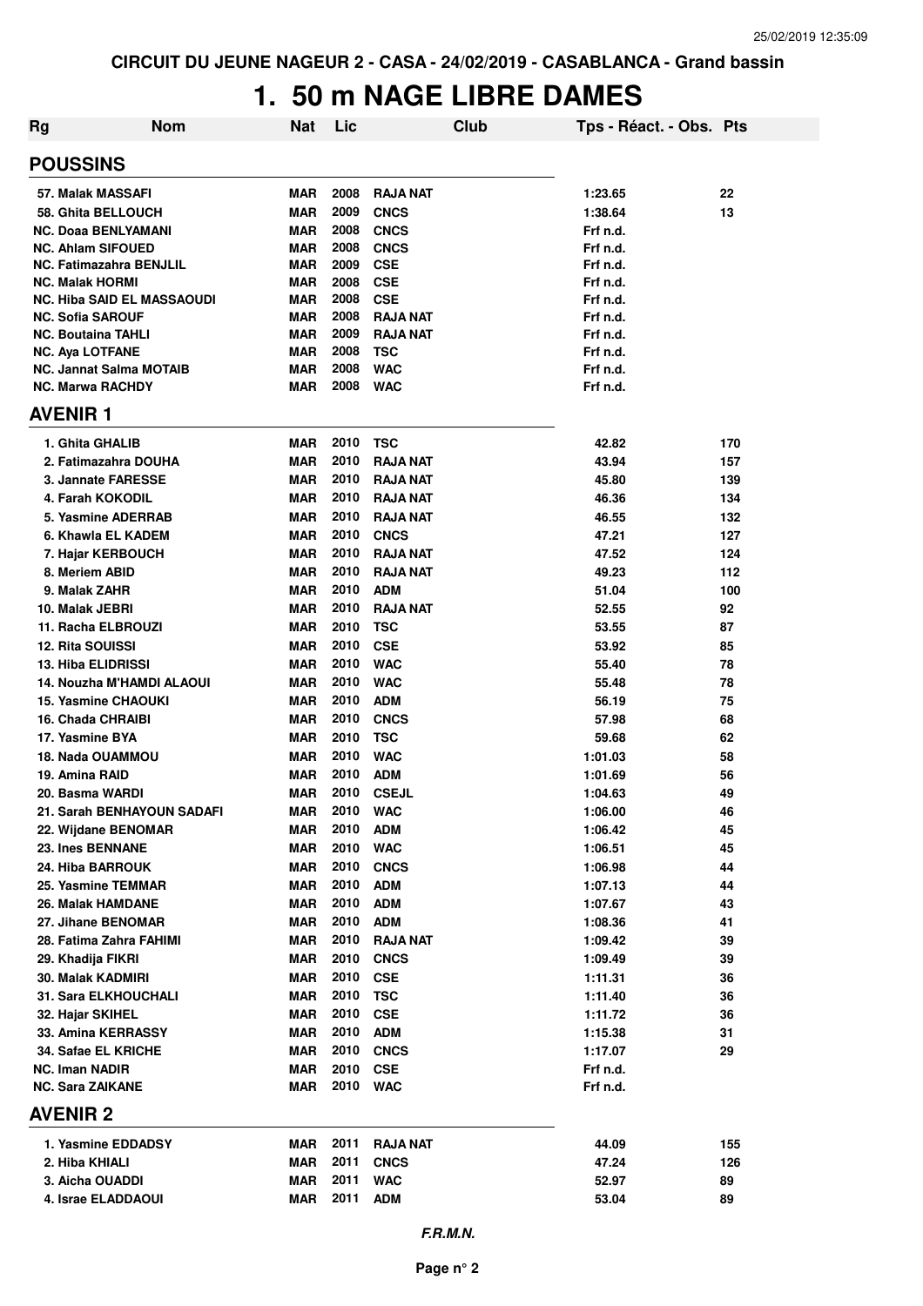## **1. 50 m NAGE LIBRE DAMES**

| <b>Rg</b>                               | <b>Nom</b> | Nat        | Lic              | Club                     | Tps - Réact. - Obs. Pts |          |
|-----------------------------------------|------------|------------|------------------|--------------------------|-------------------------|----------|
| <b>POUSSINS</b>                         |            |            |                  |                          |                         |          |
| 57. Malak MASSAFI                       |            | MAR        | 2008             | <b>RAJA NAT</b>          | 1:23.65                 | 22       |
| 58. Ghita BELLOUCH                      |            | <b>MAR</b> | 2009             | <b>CNCS</b>              | 1:38.64                 | 13       |
| <b>NC. Doaa BENLYAMANI</b>              |            | <b>MAR</b> | 2008             | <b>CNCS</b>              | Frf n.d.                |          |
| <b>NC. Ahlam SIFOUED</b>                |            | <b>MAR</b> | 2008             | <b>CNCS</b>              | Frf n.d.                |          |
| <b>NC. Fatimazahra BENJLIL</b>          |            | <b>MAR</b> | 2009             | <b>CSE</b>               | Frf n.d.                |          |
| <b>NC. Malak HORMI</b>                  |            | <b>MAR</b> | 2008             | <b>CSE</b>               | Frf n.d.                |          |
| <b>NC. Hiba SAID EL MASSAOUDI</b>       |            | <b>MAR</b> | 2008             | <b>CSE</b>               | Frf n.d.                |          |
| <b>NC. Sofia SAROUF</b>                 |            | <b>MAR</b> | 2008             | <b>RAJA NAT</b>          | Frf n.d.                |          |
| <b>NC. Boutaina TAHLI</b>               |            | <b>MAR</b> | 2009             | <b>RAJA NAT</b>          | Frf n.d.                |          |
| <b>NC. Aya LOTFANE</b>                  |            | <b>MAR</b> | 2008             | <b>TSC</b>               | Frf n.d.                |          |
| <b>NC. Jannat Salma MOTAIB</b>          |            | <b>MAR</b> | 2008             | <b>WAC</b>               | Frf n.d.                |          |
| <b>NC. Marwa RACHDY</b>                 |            | <b>MAR</b> | 2008             | <b>WAC</b>               | Frf n.d.                |          |
| <b>AVENIR1</b>                          |            |            |                  |                          |                         |          |
| 1. Ghita GHALIB                         |            | <b>MAR</b> | 2010             | <b>TSC</b>               | 42.82                   | 170      |
| 2. Fatimazahra DOUHA                    |            | <b>MAR</b> | 2010             | <b>RAJA NAT</b>          | 43.94                   | 157      |
| 3. Jannate FARESSE                      |            | <b>MAR</b> | 2010             | <b>RAJA NAT</b>          | 45.80                   | 139      |
| 4. Farah KOKODIL                        |            | <b>MAR</b> | 2010             | <b>RAJA NAT</b>          | 46.36                   | 134      |
| 5. Yasmine ADERRAB                      |            | <b>MAR</b> | 2010             | <b>RAJA NAT</b>          | 46.55                   | 132      |
| 6. Khawla EL KADEM                      |            | <b>MAR</b> | 2010             | <b>CNCS</b>              | 47.21                   | 127      |
| 7. Hajar KERBOUCH                       |            | <b>MAR</b> | 2010             | <b>RAJA NAT</b>          | 47.52                   | 124      |
| 8. Meriem ABID                          |            | <b>MAR</b> | 2010             | <b>RAJA NAT</b>          | 49.23                   | 112      |
| 9. Malak ZAHR                           |            | <b>MAR</b> | 2010             | <b>ADM</b>               | 51.04                   | 100      |
| 10. Malak JEBRI                         |            | <b>MAR</b> | 2010             | <b>RAJA NAT</b>          | 52.55                   | 92       |
| 11. Racha ELBROUZI                      |            | <b>MAR</b> | 2010             | <b>TSC</b>               | 53.55                   | 87       |
| <b>12. Rita SOUISSI</b>                 |            | <b>MAR</b> | 2010             | <b>CSE</b>               | 53.92                   | 85       |
| <b>13. Hiba ELIDRISSI</b>               |            | MAR        | 2010             | <b>WAC</b>               | 55.40                   | 78       |
| 14. Nouzha M'HAMDI ALAOUI               |            | MAR        | 2010             | <b>WAC</b>               | 55.48                   | 78       |
| <b>15. Yasmine CHAOUKI</b>              |            | <b>MAR</b> | 2010             | <b>ADM</b>               | 56.19                   | 75       |
| 16. Chada CHRAIBI                       |            | <b>MAR</b> | 2010             | <b>CNCS</b>              | 57.98                   | 68       |
| 17. Yasmine BYA                         |            | <b>MAR</b> | 2010             | <b>TSC</b>               | 59.68                   | 62       |
| 18. Nada OUAMMOU                        |            | <b>MAR</b> | 2010             | <b>WAC</b>               | 1:01.03                 | 58       |
| 19. Amina RAID                          |            | <b>MAR</b> | 2010             | <b>ADM</b>               | 1:01.69                 | 56       |
| 20. Basma WARDI                         |            | MAR        | 2010<br>2010 WAC | <b>CSEJL</b>             | 1:04.63                 | 49       |
| 21. Sarah BENHAYOUN SADAFI              |            | <b>MAR</b> | 2010             |                          | 1:06.00                 | 46       |
| 22. Wijdane BENOMAR<br>23. Ines BENNANE |            | MAR<br>MAR | 2010             | <b>ADM</b><br><b>WAC</b> | 1:06.42<br>1:06.51      | 45<br>45 |
| 24. Hiba BARROUK                        |            | MAR        | 2010             | <b>CNCS</b>              | 1:06.98                 | 44       |
| 25. Yasmine TEMMAR                      |            | MAR        | 2010             | <b>ADM</b>               | 1:07.13                 | 44       |
| 26. Malak HAMDANE                       |            | <b>MAR</b> | 2010             | <b>ADM</b>               | 1:07.67                 | 43       |
| 27. Jihane BENOMAR                      |            | <b>MAR</b> | 2010             | <b>ADM</b>               | 1:08.36                 | 41       |
| 28. Fatima Zahra FAHIMI                 |            | MAR        | 2010             | <b>RAJA NAT</b>          | 1:09.42                 | 39       |
| 29. Khadija FIKRI                       |            | <b>MAR</b> | 2010             | <b>CNCS</b>              | 1:09.49                 | 39       |
| 30. Malak KADMIRI                       |            | <b>MAR</b> | 2010             | <b>CSE</b>               | 1:11.31                 | 36       |
| 31. Sara ELKHOUCHALI                    |            | <b>MAR</b> | 2010             | <b>TSC</b>               | 1:11.40                 | 36       |
| 32. Hajar SKIHEL                        |            | <b>MAR</b> | 2010             | <b>CSE</b>               | 1:11.72                 | 36       |
| 33. Amina KERRASSY                      |            | <b>MAR</b> | 2010             | <b>ADM</b>               | 1:15.38                 | 31       |
| 34. Safae EL KRICHE                     |            | <b>MAR</b> | 2010             | <b>CNCS</b>              | 1:17.07                 | 29       |
| <b>NC. Iman NADIR</b>                   |            | MAR        | 2010             | <b>CSE</b>               | Frf n.d.                |          |
| <b>NC. Sara ZAIKANE</b>                 |            | <b>MAR</b> | 2010             | <b>WAC</b>               | Frf n.d.                |          |
| <b>AVENIR 2</b>                         |            |            |                  |                          |                         |          |
| 1. Yasmine EDDADSY                      |            | <b>MAR</b> | 2011             | <b>RAJA NAT</b>          | 44.09                   | 155      |
| 2. Hiba KHIALI                          |            | MAR        | 2011             | <b>CNCS</b>              | 47.24                   | 126      |
| 3. Aicha OUADDI                         |            | <b>MAR</b> | 2011             | <b>WAC</b>               | 52.97                   | 89       |
| 4. Israe ELADDAOUI                      |            | <b>MAR</b> | 2011             | <b>ADM</b>               | 53.04                   | 89       |
|                                         |            |            |                  |                          |                         |          |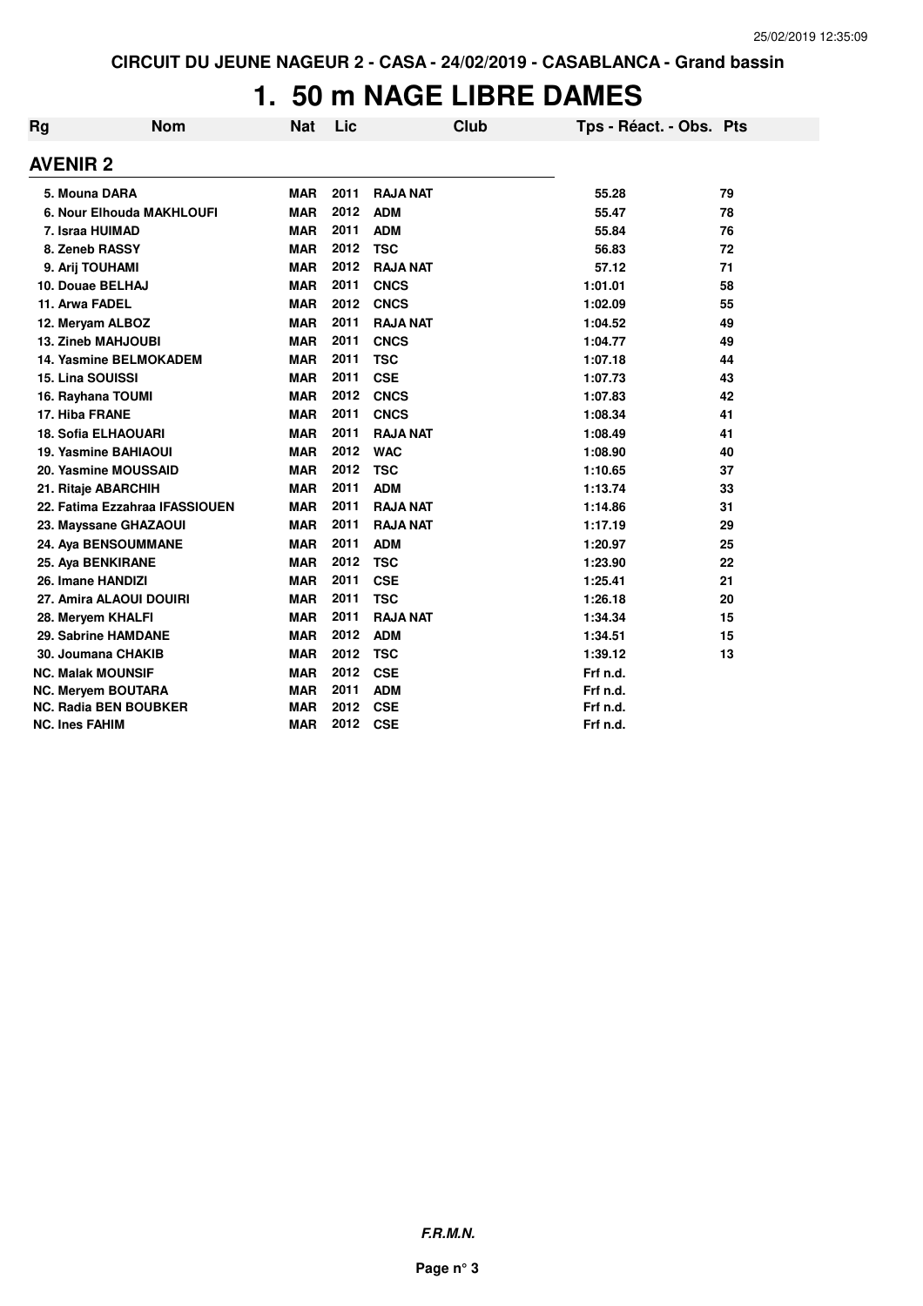## **1. 50 m NAGE LIBRE DAMES**

| Rg | <b>Nom</b>                     | <b>Nat</b> | Lic  |                 | Club | Tps - Réact. - Obs. Pts |    |
|----|--------------------------------|------------|------|-----------------|------|-------------------------|----|
|    | <b>AVENIR 2</b>                |            |      |                 |      |                         |    |
|    | 5. Mouna DARA                  | <b>MAR</b> | 2011 | <b>RAJA NAT</b> |      | 55.28                   | 79 |
|    | 6. Nour Elhouda MAKHLOUFI      | <b>MAR</b> | 2012 | <b>ADM</b>      |      | 55.47                   | 78 |
|    | 7. Israa HUIMAD                | <b>MAR</b> | 2011 | <b>ADM</b>      |      | 55.84                   | 76 |
|    | 8. Zeneb RASSY                 | <b>MAR</b> | 2012 | <b>TSC</b>      |      | 56.83                   | 72 |
|    | 9. Arij TOUHAMI                | <b>MAR</b> | 2012 | <b>RAJA NAT</b> |      | 57.12                   | 71 |
|    | 10. Douae BELHAJ               | <b>MAR</b> | 2011 | <b>CNCS</b>     |      | 1:01.01                 | 58 |
|    | 11. Arwa FADEL                 | <b>MAR</b> | 2012 | <b>CNCS</b>     |      | 1:02.09                 | 55 |
|    | 12. Meryam ALBOZ               | <b>MAR</b> | 2011 | <b>RAJA NAT</b> |      | 1:04.52                 | 49 |
|    | 13. Zineb MAHJOUBI             | <b>MAR</b> | 2011 | <b>CNCS</b>     |      | 1:04.77                 | 49 |
|    | <b>14. Yasmine BELMOKADEM</b>  | <b>MAR</b> | 2011 | <b>TSC</b>      |      | 1:07.18                 | 44 |
|    | <b>15. Lina SOUISSI</b>        | <b>MAR</b> | 2011 | <b>CSE</b>      |      | 1:07.73                 | 43 |
|    | 16. Rayhana TOUMI              | <b>MAR</b> | 2012 | <b>CNCS</b>     |      | 1:07.83                 | 42 |
|    | 17. Hiba FRANE                 | <b>MAR</b> | 2011 | <b>CNCS</b>     |      | 1:08.34                 | 41 |
|    | <b>18. Sofia ELHAOUARI</b>     | <b>MAR</b> | 2011 | <b>RAJA NAT</b> |      | 1:08.49                 | 41 |
|    | 19. Yasmine BAHIAOUI           | <b>MAR</b> | 2012 | <b>WAC</b>      |      | 1:08.90                 | 40 |
|    | 20. Yasmine MOUSSAID           | <b>MAR</b> | 2012 | <b>TSC</b>      |      | 1:10.65                 | 37 |
|    | 21. Ritaje ABARCHIH            | <b>MAR</b> | 2011 | <b>ADM</b>      |      | 1:13.74                 | 33 |
|    | 22. Fatima Ezzahraa IFASSIOUEN | <b>MAR</b> | 2011 | <b>RAJA NAT</b> |      | 1:14.86                 | 31 |
|    | 23. Mayssane GHAZAOUI          | <b>MAR</b> | 2011 | <b>RAJA NAT</b> |      | 1:17.19                 | 29 |
|    | 24. Aya BENSOUMMANE            | <b>MAR</b> | 2011 | <b>ADM</b>      |      | 1:20.97                 | 25 |
|    | 25. Aya BENKIRANE              | <b>MAR</b> | 2012 | <b>TSC</b>      |      | 1:23.90                 | 22 |
|    | 26. Imane HANDIZI              | <b>MAR</b> | 2011 | <b>CSE</b>      |      | 1:25.41                 | 21 |
|    | 27. Amira ALAOUI DOUIRI        | <b>MAR</b> | 2011 | <b>TSC</b>      |      | 1:26.18                 | 20 |
|    | 28. Meryem KHALFI              | <b>MAR</b> | 2011 | <b>RAJA NAT</b> |      | 1:34.34                 | 15 |
|    | 29. Sabrine HAMDANE            | <b>MAR</b> | 2012 | <b>ADM</b>      |      | 1:34.51                 | 15 |
|    | 30. Joumana CHAKIB             | <b>MAR</b> | 2012 | <b>TSC</b>      |      | 1:39.12                 | 13 |
|    | <b>NC. Malak MOUNSIF</b>       | <b>MAR</b> | 2012 | <b>CSE</b>      |      | Frf n.d.                |    |
|    | <b>NC. Meryem BOUTARA</b>      | <b>MAR</b> | 2011 | <b>ADM</b>      |      | Frf n.d.                |    |
|    | <b>NC. Radia BEN BOUBKER</b>   | <b>MAR</b> | 2012 | <b>CSE</b>      |      | Frf n.d.                |    |
|    | NC. Ines FAHIM                 | <b>MAR</b> | 2012 | <b>CSE</b>      |      | Frf n.d.                |    |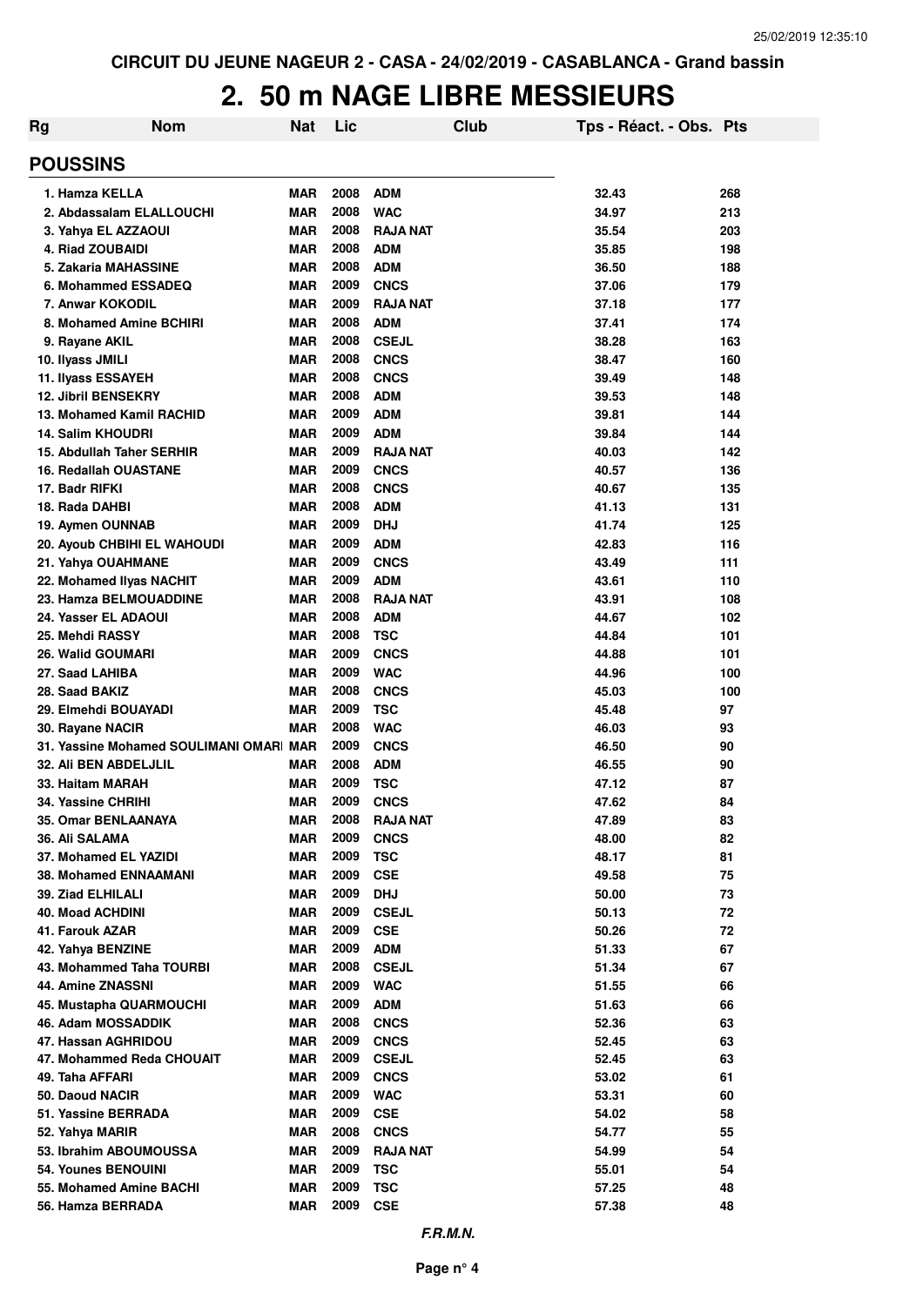| Rg                                         | <b>Nom</b>                             | Nat                      | Lic          |                            | Club | Tps - Réact. - Obs. Pts |          |
|--------------------------------------------|----------------------------------------|--------------------------|--------------|----------------------------|------|-------------------------|----------|
| <b>POUSSINS</b>                            |                                        |                          |              |                            |      |                         |          |
| 1. Hamza KELLA                             |                                        | <b>MAR</b>               | 2008         | <b>ADM</b>                 |      | 32.43                   | 268      |
| 2. Abdassalam ELALLOUCHI                   |                                        | <b>MAR</b>               | 2008         | <b>WAC</b>                 |      | 34.97                   | 213      |
| 3. Yahya EL AZZAOUI                        |                                        | <b>MAR</b>               | 2008         | <b>RAJA NAT</b>            |      | 35.54                   | 203      |
| 4. Riad ZOUBAIDI                           |                                        | <b>MAR</b>               | 2008         | <b>ADM</b>                 |      | 35.85                   | 198      |
| 5. Zakaria MAHASSINE                       |                                        | <b>MAR</b>               | 2008         | <b>ADM</b>                 |      | 36.50                   | 188      |
| 6. Mohammed ESSADEQ                        |                                        | <b>MAR</b>               | 2009         | <b>CNCS</b>                |      | 37.06                   | 179      |
| 7. Anwar KOKODIL                           |                                        | <b>MAR</b>               | 2009         | <b>RAJA NAT</b>            |      | 37.18                   | 177      |
| 8. Mohamed Amine BCHIRI                    |                                        | <b>MAR</b>               | 2008         | <b>ADM</b>                 |      | 37.41                   | 174      |
| 9. Rayane AKIL                             |                                        | <b>MAR</b>               | 2008         | <b>CSEJL</b>               |      | 38.28                   | 163      |
| 10. Ilyass JMILI                           |                                        | MAR                      | 2008         | <b>CNCS</b>                |      | 38.47                   | 160      |
| 11. Ilyass ESSAYEH                         |                                        | MAR                      | 2008         | <b>CNCS</b>                |      | 39.49                   | 148      |
| <b>12. Jibril BENSEKRY</b>                 |                                        | <b>MAR</b>               | 2008         | <b>ADM</b>                 |      | 39.53                   | 148      |
| 13. Mohamed Kamil RACHID                   |                                        | <b>MAR</b>               | 2009         | <b>ADM</b>                 |      | 39.81                   | 144      |
| 14. Salim KHOUDRI                          |                                        | <b>MAR</b>               | 2009         | <b>ADM</b>                 |      | 39.84                   | 144      |
| 15. Abdullah Taher SERHIR                  |                                        | <b>MAR</b>               | 2009         | <b>RAJA NAT</b>            |      | 40.03                   | 142      |
| <b>16. Redallah OUASTANE</b>               |                                        | MAR                      | 2009         | <b>CNCS</b>                |      | 40.57                   | 136      |
| 17. Badr RIFKI                             |                                        | MAR                      | 2008         | <b>CNCS</b>                |      | 40.67                   | 135      |
| 18. Rada DAHBI                             |                                        | MAR                      | 2008         | <b>ADM</b>                 |      | 41.13                   | 131      |
| 19. Aymen OUNNAB                           |                                        | MAR                      | 2009         | <b>DHJ</b>                 |      | 41.74                   | 125      |
| 20. Ayoub CHBIHI EL WAHOUDI                |                                        | MAR                      | 2009         | <b>ADM</b>                 |      | 42.83                   | 116      |
| 21. Yahya OUAHMANE                         |                                        | MAR                      | 2009         | <b>CNCS</b>                |      | 43.49                   | 111      |
| 22. Mohamed Ilyas NACHIT                   |                                        | MAR                      | 2009         | <b>ADM</b>                 |      | 43.61                   | 110      |
| 23. Hamza BELMOUADDINE                     |                                        | MAR                      | 2008         | <b>RAJA NAT</b>            |      | 43.91                   | 108      |
| 24. Yasser EL ADAOUI                       |                                        | <b>MAR</b>               | 2008         | <b>ADM</b>                 |      | 44.67                   | 102      |
| 25. Mehdi RASSY                            |                                        | <b>MAR</b>               | 2008         | <b>TSC</b>                 |      | 44.84                   | 101      |
| 26. Walid GOUMARI                          |                                        | <b>MAR</b>               | 2009         | <b>CNCS</b>                |      | 44.88                   | 101      |
| 27. Saad LAHIBA                            |                                        | <b>MAR</b>               | 2009         | <b>WAC</b>                 |      | 44.96                   | 100      |
| 28. Saad BAKIZ                             |                                        | <b>MAR</b>               | 2008         | <b>CNCS</b>                |      | 45.03                   | 100      |
| 29. Elmehdi BOUAYADI                       |                                        | MAR                      | 2009         | <b>TSC</b>                 |      | 45.48                   | 97       |
| 30. Rayane NACIR                           |                                        | <b>MAR</b>               | 2008         | <b>WAC</b>                 |      | 46.03                   | 93       |
|                                            | 31. Yassine Mohamed SOULIMANI OMAR MAR |                          | 2009         | <b>CNCS</b>                |      | 46.50                   | 90       |
| 32. Ali BEN ABDELJLIL                      |                                        | <b>MAR</b>               | 2008         | <b>ADM</b>                 |      | 46.55                   | 90       |
| 33. Haitam MARAH                           |                                        | <b>MAR</b>               | 2009         | <b>TSC</b>                 |      | 47.12                   | 87       |
| 34. Yassine CHRIHI                         |                                        | <b>MAR</b>               | 2009         | <b>CNCS</b>                |      | 47.62                   | 84       |
| 35. Omar BENLAANAYA                        |                                        | <b>MAR</b>               | 2008         | <b>RAJA NAT</b>            |      | 47.89                   | 83       |
| 36. Ali SALAMA                             |                                        | <b>MAR</b>               | 2009         | <b>CNCS</b>                |      | 48.00                   | 82       |
| 37. Mohamed EL YAZIDI                      |                                        | <b>MAR</b>               | 2009         | <b>TSC</b>                 |      | 48.17                   | 81       |
| <b>38. Mohamed ENNAAMANI</b>               |                                        | <b>MAR</b>               | 2009<br>2009 | <b>CSE</b>                 |      | 49.58                   | 75       |
| 39. Ziad ELHILALI                          |                                        | <b>MAR</b>               | 2009         | <b>DHJ</b>                 |      | 50.00                   | 73       |
| <b>40. Moad ACHDINI</b><br>41. Farouk AZAR |                                        | <b>MAR</b><br><b>MAR</b> | 2009         | <b>CSEJL</b><br><b>CSE</b> |      | 50.13<br>50.26          | 72<br>72 |
| 42. Yahya BENZINE                          |                                        | <b>MAR</b>               | 2009         | <b>ADM</b>                 |      | 51.33                   | 67       |
| 43. Mohammed Taha TOURBI                   |                                        | <b>MAR</b>               | 2008         | <b>CSEJL</b>               |      | 51.34                   | 67       |
| 44. Amine ZNASSNI                          |                                        | <b>MAR</b>               | 2009         | <b>WAC</b>                 |      | 51.55                   | 66       |
| 45. Mustapha QUARMOUCHI                    |                                        | <b>MAR</b>               | 2009         | <b>ADM</b>                 |      | 51.63                   | 66       |
| 46. Adam MOSSADDIK                         |                                        | <b>MAR</b>               | 2008         | <b>CNCS</b>                |      | 52.36                   | 63       |
| 47. Hassan AGHRIDOU                        |                                        | MAR                      | 2009         | <b>CNCS</b>                |      | 52.45                   | 63       |
| 47. Mohammed Reda CHOUAIT                  |                                        | <b>MAR</b>               | 2009         | <b>CSEJL</b>               |      | 52.45                   | 63       |
| 49. Taha AFFARI                            |                                        | <b>MAR</b>               | 2009         | <b>CNCS</b>                |      | 53.02                   | 61       |
| 50. Daoud NACIR                            |                                        | <b>MAR</b>               | 2009         | <b>WAC</b>                 |      | 53.31                   | 60       |
| 51. Yassine BERRADA                        |                                        | <b>MAR</b>               | 2009         | <b>CSE</b>                 |      | 54.02                   | 58       |
| 52. Yahya MARIR                            |                                        | <b>MAR</b>               | 2008         | <b>CNCS</b>                |      | 54.77                   | 55       |
| 53. Ibrahim ABOUMOUSSA                     |                                        | <b>MAR</b>               | 2009         | <b>RAJA NAT</b>            |      | 54.99                   | 54       |
| 54. Younes BENOUINI                        |                                        | <b>MAR</b>               | 2009         | <b>TSC</b>                 |      | 55.01                   | 54       |
| 55. Mohamed Amine BACHI                    |                                        | <b>MAR</b>               | 2009         | <b>TSC</b>                 |      | 57.25                   | 48       |
| 56. Hamza BERRADA                          |                                        | <b>MAR</b>               | 2009         | <b>CSE</b>                 |      | 57.38                   | 48       |
|                                            |                                        |                          |              |                            |      |                         |          |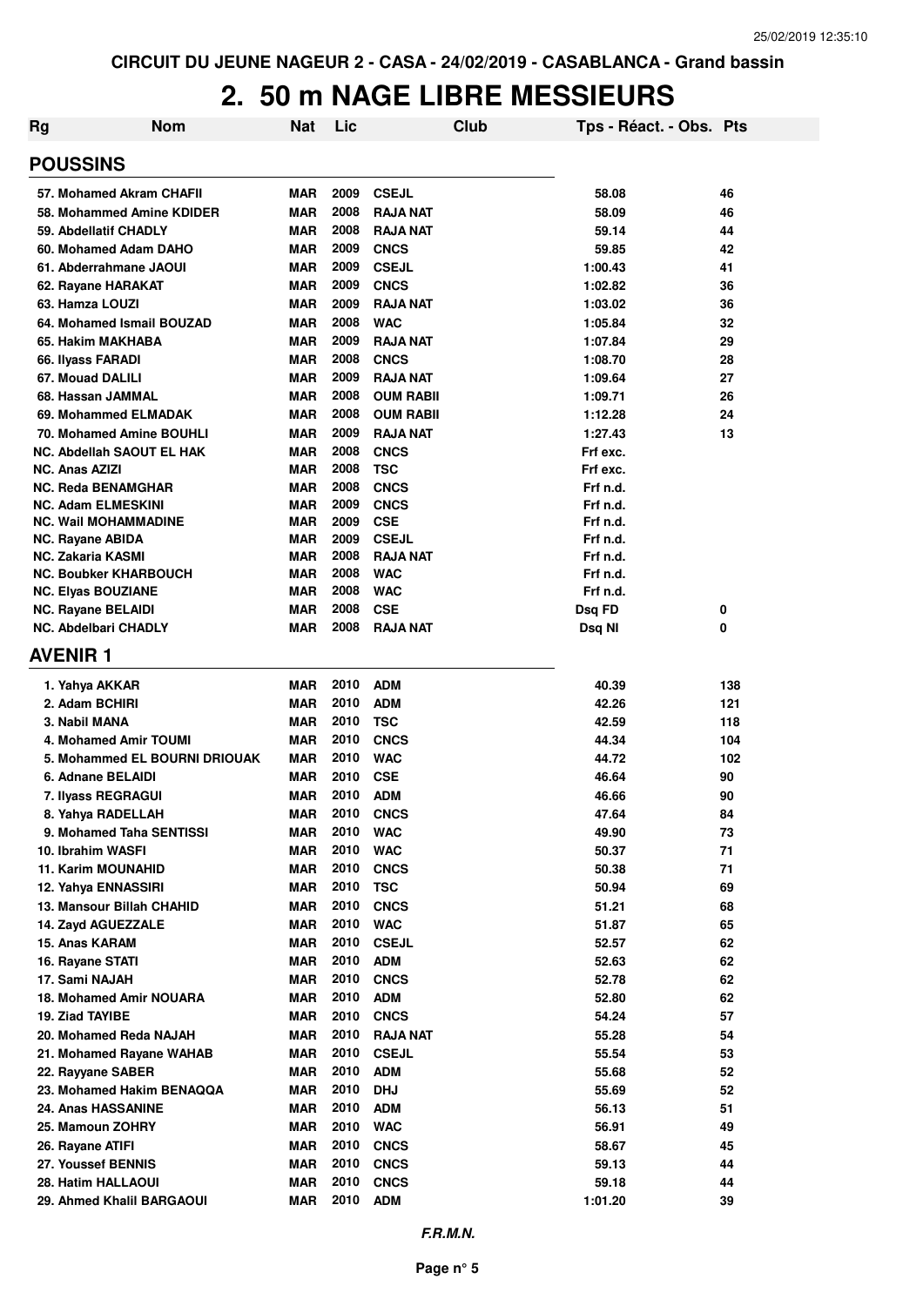| Rg | <b>Nom</b>                                   | <b>Nat</b>               | Lic          | <b>Club</b>                | Tps - Réact. - Obs. Pts |     |
|----|----------------------------------------------|--------------------------|--------------|----------------------------|-------------------------|-----|
|    | <b>POUSSINS</b>                              |                          |              |                            |                         |     |
|    | 57. Mohamed Akram CHAFII                     | <b>MAR</b>               | 2009         | <b>CSEJL</b>               | 58.08                   | 46  |
|    | 58. Mohammed Amine KDIDER                    | <b>MAR</b>               | 2008         | <b>RAJA NAT</b>            | 58.09                   | 46  |
|    | 59. Abdellatif CHADLY                        | <b>MAR</b>               | 2008         | <b>RAJA NAT</b>            | 59.14                   | 44  |
|    | 60. Mohamed Adam DAHO                        | <b>MAR</b>               | 2009         | <b>CNCS</b>                | 59.85                   | 42  |
|    | 61. Abderrahmane JAOUI                       | <b>MAR</b>               | 2009         | <b>CSEJL</b>               | 1:00.43                 | 41  |
|    | 62. Rayane HARAKAT                           | <b>MAR</b>               | 2009         | <b>CNCS</b>                | 1:02.82                 | 36  |
|    | 63. Hamza LOUZI                              | <b>MAR</b>               | 2009         | <b>RAJA NAT</b>            | 1:03.02                 | 36  |
|    | 64. Mohamed Ismail BOUZAD                    | <b>MAR</b>               | 2008         | <b>WAC</b>                 | 1:05.84                 | 32  |
|    | 65. Hakim MAKHABA                            | <b>MAR</b>               | 2009         | <b>RAJA NAT</b>            | 1:07.84                 | 29  |
|    | 66. Ilyass FARADI                            | <b>MAR</b>               | 2008         | <b>CNCS</b>                | 1:08.70                 | 28  |
|    | 67. Mouad DALILI                             | <b>MAR</b>               | 2009         | <b>RAJA NAT</b>            | 1:09.64                 | 27  |
|    | 68. Hassan JAMMAL                            | <b>MAR</b>               | 2008         | <b>OUM RABII</b>           | 1:09.71                 | 26  |
|    | 69. Mohammed ELMADAK                         | <b>MAR</b>               | 2008         | <b>OUM RABII</b>           | 1:12.28                 | 24  |
|    | 70. Mohamed Amine BOUHLI                     | <b>MAR</b>               | 2009         | <b>RAJA NAT</b>            | 1:27.43                 | 13  |
|    | NC. Abdellah SAOUT EL HAK                    | <b>MAR</b>               | 2008         | <b>CNCS</b>                | Frf exc.                |     |
|    | <b>NC. Anas AZIZI</b>                        | <b>MAR</b>               | 2008         | <b>TSC</b>                 | Frf exc.                |     |
|    | <b>NC. Reda BENAMGHAR</b>                    | <b>MAR</b>               | 2008         | <b>CNCS</b>                | Frf n.d.                |     |
|    | NC. Adam ELMESKINI                           | <b>MAR</b>               | 2009<br>2009 | <b>CNCS</b>                | Frf n.d.                |     |
|    | <b>NC. Wail MOHAMMADINE</b>                  | <b>MAR</b><br><b>MAR</b> | 2009         | <b>CSE</b><br><b>CSEJL</b> | Frf n.d.<br>Frf n.d.    |     |
|    | NC. Rayane ABIDA<br><b>NC. Zakaria KASMI</b> | <b>MAR</b>               | 2008         | <b>RAJA NAT</b>            | Frf n.d.                |     |
|    | <b>NC. Boubker KHARBOUCH</b>                 | <b>MAR</b>               | 2008         | <b>WAC</b>                 | Frf n.d.                |     |
|    | <b>NC. Elyas BOUZIANE</b>                    | <b>MAR</b>               | 2008         | <b>WAC</b>                 | Frf n.d.                |     |
|    | <b>NC. Rayane BELAIDI</b>                    | <b>MAR</b>               | 2008         | <b>CSE</b>                 | Dsq FD                  | 0   |
|    | <b>NC. Abdelbari CHADLY</b>                  | <b>MAR</b>               | 2008         | <b>RAJA NAT</b>            | Dsq NI                  | 0   |
|    | <b>AVENIR 1</b>                              |                          |              |                            |                         |     |
|    | 1. Yahya AKKAR                               | <b>MAR</b>               | 2010         | <b>ADM</b>                 | 40.39                   | 138 |
|    | 2. Adam BCHIRI                               | <b>MAR</b>               | 2010         | <b>ADM</b>                 | 42.26                   | 121 |
|    | 3. Nabil MANA                                | <b>MAR</b>               | 2010         | <b>TSC</b>                 | 42.59                   | 118 |
|    | 4. Mohamed Amir TOUMI                        | <b>MAR</b>               | 2010         | <b>CNCS</b>                | 44.34                   | 104 |
|    | 5. Mohammed EL BOURNI DRIOUAK                | <b>MAR</b>               | 2010         | <b>WAC</b>                 | 44.72                   | 102 |
|    | 6. Adnane BELAIDI                            | <b>MAR</b>               | 2010         | <b>CSE</b>                 | 46.64                   | 90  |
|    | 7. Ilyass REGRAGUI                           | <b>MAR</b>               | 2010         | ADM                        | 46.66                   | 90  |
|    | 8. Yahya RADELLAH                            | <b>MAR</b>               | 2010         | <b>CNCS</b>                | 47.64                   | 84  |
|    | 9. Mohamed Taha SENTISSI                     | <b>MAR</b>               | 2010         | <b>WAC</b>                 | 49.90                   | 73  |
|    | 10. Ibrahim WASFI                            | <b>MAR</b>               | 2010         | <b>WAC</b>                 | 50.37                   | 71  |
|    | 11. Karim MOUNAHID                           | MAR                      | 2010         | <b>CNCS</b>                | 50.38                   | 71  |
|    | 12. Yahya ENNASSIRI                          | MAR                      | 2010         | <b>TSC</b>                 | 50.94                   | 69  |
|    | 13. Mansour Billah CHAHID                    | MAR                      | 2010         | <b>CNCS</b>                | 51.21                   | 68  |
|    | 14. Zayd AGUEZZALE                           | MAR                      | 2010         | <b>WAC</b>                 | 51.87                   | 65  |
|    | 15. Anas KARAM                               | MAR                      | 2010         | <b>CSEJL</b>               | 52.57                   | 62  |
|    | 16. Rayane STATI                             | <b>MAR</b>               | 2010         | <b>ADM</b>                 | 52.63                   | 62  |
|    | 17. Sami NAJAH                               | <b>MAR</b>               | 2010         | <b>CNCS</b>                | 52.78                   | 62  |
|    | 18. Mohamed Amir NOUARA                      | MAR                      | 2010         | <b>ADM</b>                 | 52.80                   | 62  |
|    | 19. Ziad TAYIBE                              | <b>MAR</b>               | 2010         | <b>CNCS</b>                | 54.24                   | 57  |
|    | 20. Mohamed Reda NAJAH                       | MAR                      | 2010         | <b>RAJA NAT</b>            | 55.28                   | 54  |
|    | 21. Mohamed Rayane WAHAB                     | MAR                      | 2010         | <b>CSEJL</b>               | 55.54                   | 53  |
|    | 22. Rayyane SABER                            | MAR                      | 2010         | <b>ADM</b>                 | 55.68                   | 52  |
|    | 23. Mohamed Hakim BENAQQA                    | <b>MAR</b>               | 2010         | <b>DHJ</b>                 | 55.69                   | 52  |
|    | 24. Anas HASSANINE                           | MAR                      | 2010         | <b>ADM</b>                 | 56.13                   | 51  |
|    | 25. Mamoun ZOHRY                             | <b>MAR</b>               | 2010         | <b>WAC</b>                 | 56.91                   | 49  |
|    | 26. Rayane ATIFI                             | MAR                      | 2010         | <b>CNCS</b>                | 58.67                   | 45  |
|    | 27. Youssef BENNIS                           | MAR                      | 2010         | <b>CNCS</b>                | 59.13                   | 44  |
|    | 28. Hatim HALLAOUI                           | <b>MAR</b>               | 2010         | <b>CNCS</b>                | 59.18                   | 44  |
|    | 29. Ahmed Khalil BARGAOUI                    | <b>MAR</b>               | 2010         | <b>ADM</b>                 | 1:01.20                 | 39  |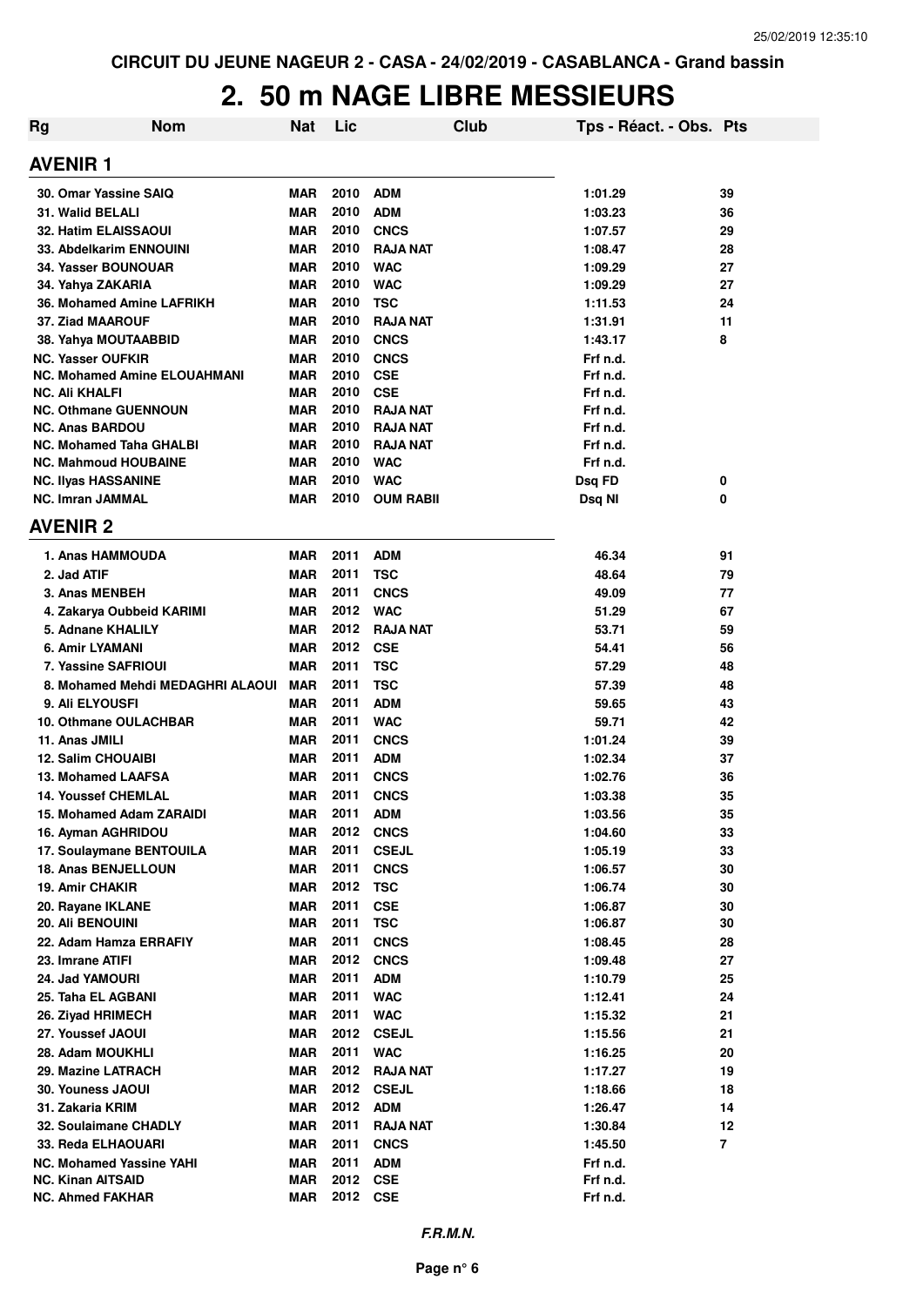| <b>Rg</b> | <b>Nom</b>                               | Nat                      | Lic          |                           | <b>Club</b> | Tps - Réact. - Obs. Pts |                |
|-----------|------------------------------------------|--------------------------|--------------|---------------------------|-------------|-------------------------|----------------|
|           | <b>AVENIR1</b>                           |                          |              |                           |             |                         |                |
|           | 30. Omar Yassine SAIQ                    | <b>MAR</b>               | 2010         | <b>ADM</b>                |             | 1:01.29                 | 39             |
|           | 31. Walid BELALI                         | <b>MAR</b>               | 2010         | <b>ADM</b>                |             | 1:03.23                 | 36             |
|           | 32. Hatim ELAISSAOUI                     | <b>MAR</b>               | 2010         | <b>CNCS</b>               |             | 1:07.57                 | 29             |
|           | 33. Abdelkarim ENNOUINI                  | <b>MAR</b>               | 2010         | <b>RAJA NAT</b>           |             | 1:08.47                 | 28             |
|           | 34. Yasser BOUNOUAR                      | <b>MAR</b>               | 2010         | <b>WAC</b>                |             | 1:09.29                 | 27             |
|           | 34. Yahya ZAKARIA                        | MAR                      | 2010         | <b>WAC</b>                |             | 1:09.29                 | 27             |
|           | 36. Mohamed Amine LAFRIKH                | <b>MAR</b>               | 2010         | <b>TSC</b>                |             | 1:11.53                 | 24             |
|           | <b>37. Ziad MAAROUF</b>                  | <b>MAR</b>               | 2010         | <b>RAJA NAT</b>           |             | 1:31.91                 | 11             |
|           | 38. Yahya MOUTAABBID                     | <b>MAR</b>               | 2010         | <b>CNCS</b>               |             | 1:43.17                 | 8              |
|           | NC. Yasser OUFKIR                        | <b>MAR</b>               | 2010         | <b>CNCS</b>               |             | Frf n.d.                |                |
|           | NC. Mohamed Amine ELOUAHMANI             | MAR                      | 2010         | <b>CSE</b>                |             | Frf n.d.                |                |
|           | NC. Ali KHALFI                           | MAR                      | 2010         | <b>CSE</b>                |             | Frf n.d.                |                |
|           | <b>NC. Othmane GUENNOUN</b>              | MAR                      | 2010         | <b>RAJA NAT</b>           |             | Frf n.d.                |                |
|           | <b>NC. Anas BARDOU</b>                   | <b>MAR</b>               | 2010         | <b>RAJA NAT</b>           |             | Frf n.d.                |                |
|           | NC. Mohamed Taha GHALBI                  | <b>MAR</b>               | 2010         | <b>RAJA NAT</b>           |             | Frf n.d.                |                |
|           | <b>NC. Mahmoud HOUBAINE</b>              | <b>MAR</b>               | 2010         | <b>WAC</b>                |             | Frf n.d.                |                |
|           | <b>NC. Ilvas HASSANINE</b>               | <b>MAR</b>               | 2010         | <b>WAC</b>                |             | Dsq FD                  | 0              |
|           | <b>NC. Imran JAMMAL</b>                  | <b>MAR</b>               | 2010         | <b>OUM RABII</b>          |             | Dsq NI                  | 0              |
|           | <b>AVENIR 2</b>                          |                          |              |                           |             |                         |                |
|           | 1. Anas HAMMOUDA                         | <b>MAR</b>               | 2011         | <b>ADM</b>                |             | 46.34                   | 91             |
|           | 2. Jad ATIF                              | <b>MAR</b>               | 2011         | <b>TSC</b>                |             | 48.64                   | 79             |
|           | 3. Anas MENBEH                           | <b>MAR</b>               | 2011         | <b>CNCS</b>               |             | 49.09                   | 77             |
|           | 4. Zakarya Oubbeid KARIMI                | <b>MAR</b>               | 2012         | <b>WAC</b>                |             | 51.29                   | 67             |
|           | 5. Adnane KHALILY                        | <b>MAR</b>               | 2012<br>2012 | <b>RAJA NAT</b>           |             | 53.71                   | 59             |
|           | 6. Amir LYAMANI                          | <b>MAR</b><br><b>MAR</b> | 2011         | <b>CSE</b><br><b>TSC</b>  |             | 54.41                   | 56             |
|           | 7. Yassine SAFRIOUI                      |                          |              |                           |             | 57.29                   | 48             |
|           | 8. Mohamed Mehdi MEDAGHRI ALAOUI         | <b>MAR</b>               | 2011<br>2011 | <b>TSC</b>                |             | 57.39                   | 48             |
|           | 9. Ali ELYOUSFI<br>10. Othmane OULACHBAR | <b>MAR</b><br><b>MAR</b> | 2011         | <b>ADM</b>                |             | 59.65<br>59.71          | 43             |
|           | 11. Anas JMILI                           | <b>MAR</b>               | 2011         | <b>WAC</b><br><b>CNCS</b> |             | 1:01.24                 | 42<br>39       |
|           | <b>12. Salim CHOUAIBI</b>                | <b>MAR</b>               | 2011         | <b>ADM</b>                |             | 1:02.34                 | 37             |
|           | 13. Mohamed LAAFSA                       | <b>MAR</b>               | 2011         | <b>CNCS</b>               |             | 1:02.76                 | 36             |
|           | <b>14. Youssef CHEMLAL</b>               | <b>MAR</b>               | 2011         | <b>CNCS</b>               |             | 1:03.38                 | 35             |
|           | 15. Mohamed Adam ZARAIDI                 | <b>MAR</b>               | 2011         | <b>ADM</b>                |             | 1:03.56                 | 35             |
|           | 16. Ayman AGHRIDOU                       | <b>MAR</b>               | 2012         | <b>CNCS</b>               |             | 1:04.60                 | 33             |
|           | 17. Soulaymane BENTOUILA                 | <b>MAR</b>               | 2011         | <b>CSEJL</b>              |             | 1:05.19                 | 33             |
|           | <b>18. Anas BENJELLOUN</b>               | <b>MAR</b>               | 2011         | <b>CNCS</b>               |             | 1:06.57                 | 30             |
|           | 19. Amir CHAKIR                          | <b>MAR</b>               | 2012         | <b>TSC</b>                |             | 1:06.74                 | 30             |
|           | 20. Rayane IKLANE                        | MAR                      | 2011         | <b>CSE</b>                |             | 1:06.87                 | 30             |
|           | 20. Ali BENOUINI                         | <b>MAR</b>               | 2011         | <b>TSC</b>                |             | 1:06.87                 | 30             |
|           | 22. Adam Hamza ERRAFIY                   | <b>MAR</b>               | 2011         | <b>CNCS</b>               |             | 1:08.45                 | 28             |
|           | 23. Imrane ATIFI                         | <b>MAR</b>               | 2012         | <b>CNCS</b>               |             | 1:09.48                 | 27             |
|           | 24. Jad YAMOURI                          | <b>MAR</b>               | 2011         | <b>ADM</b>                |             | 1:10.79                 | 25             |
|           | 25. Taha EL AGBANI                       | MAR                      | 2011         | <b>WAC</b>                |             | 1:12.41                 | 24             |
|           | 26. Ziyad HRIMECH                        | <b>MAR</b>               | 2011         | <b>WAC</b>                |             | 1:15.32                 | 21             |
|           | 27. Youssef JAOUI                        | MAR                      | 2012         | <b>CSEJL</b>              |             | 1:15.56                 | 21             |
|           | 28. Adam MOUKHLI                         | MAR                      | 2011         | <b>WAC</b>                |             | 1:16.25                 | 20             |
|           | 29. Mazine LATRACH                       | MAR                      | 2012         | <b>RAJA NAT</b>           |             | 1:17.27                 | 19             |
|           | 30. Youness JAOUI                        | MAR                      | 2012         | <b>CSEJL</b>              |             | 1:18.66                 | 18             |
|           | 31. Zakaria KRIM                         | <b>MAR</b>               | 2012         | <b>ADM</b>                |             | 1:26.47                 | 14             |
|           | 32. Soulaimane CHADLY                    | <b>MAR</b>               | 2011         | <b>RAJA NAT</b>           |             | 1:30.84                 | 12             |
|           | 33. Reda ELHAOUARI                       | <b>MAR</b>               | 2011         | <b>CNCS</b>               |             | 1:45.50                 | $\overline{7}$ |
|           | <b>NC. Mohamed Yassine YAHI</b>          | <b>MAR</b>               | 2011         | <b>ADM</b>                |             | Frf n.d.                |                |
|           | <b>NC. Kinan AITSAID</b>                 | <b>MAR</b>               | 2012         | <b>CSE</b>                |             | Frf n.d.                |                |
|           | <b>NC. Ahmed FAKHAR</b>                  | <b>MAR</b>               | 2012         | <b>CSE</b>                |             | Frf n.d.                |                |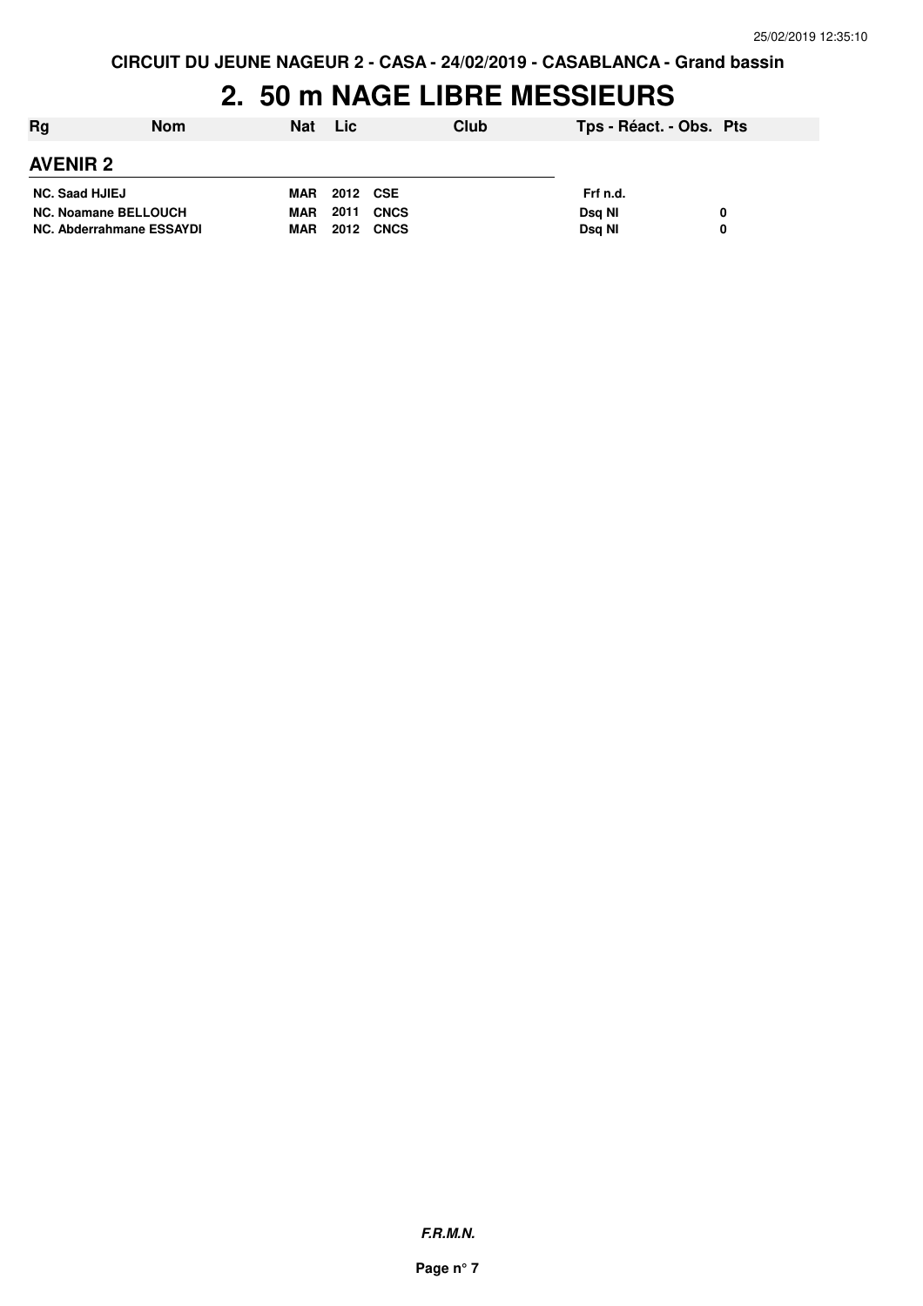| Rg                          | <b>Nom</b> | Nat        | <b>Lic</b> |             | Club | Tps - Réact. - Obs. Pts |  |
|-----------------------------|------------|------------|------------|-------------|------|-------------------------|--|
| <b>AVENIR 2</b>             |            |            |            |             |      |                         |  |
| <b>NC. Saad HJIEJ</b>       |            | MAR        | 2012 CSE   |             |      | Frf n.d.                |  |
| <b>NC. Noamane BELLOUCH</b> |            | <b>MAR</b> | 2011       | <b>CNCS</b> |      | Dsg NI                  |  |
| NC. Abderrahmane ESSAYDI    |            | <b>MAR</b> | 2012       | <b>CNCS</b> |      | Dsg NI                  |  |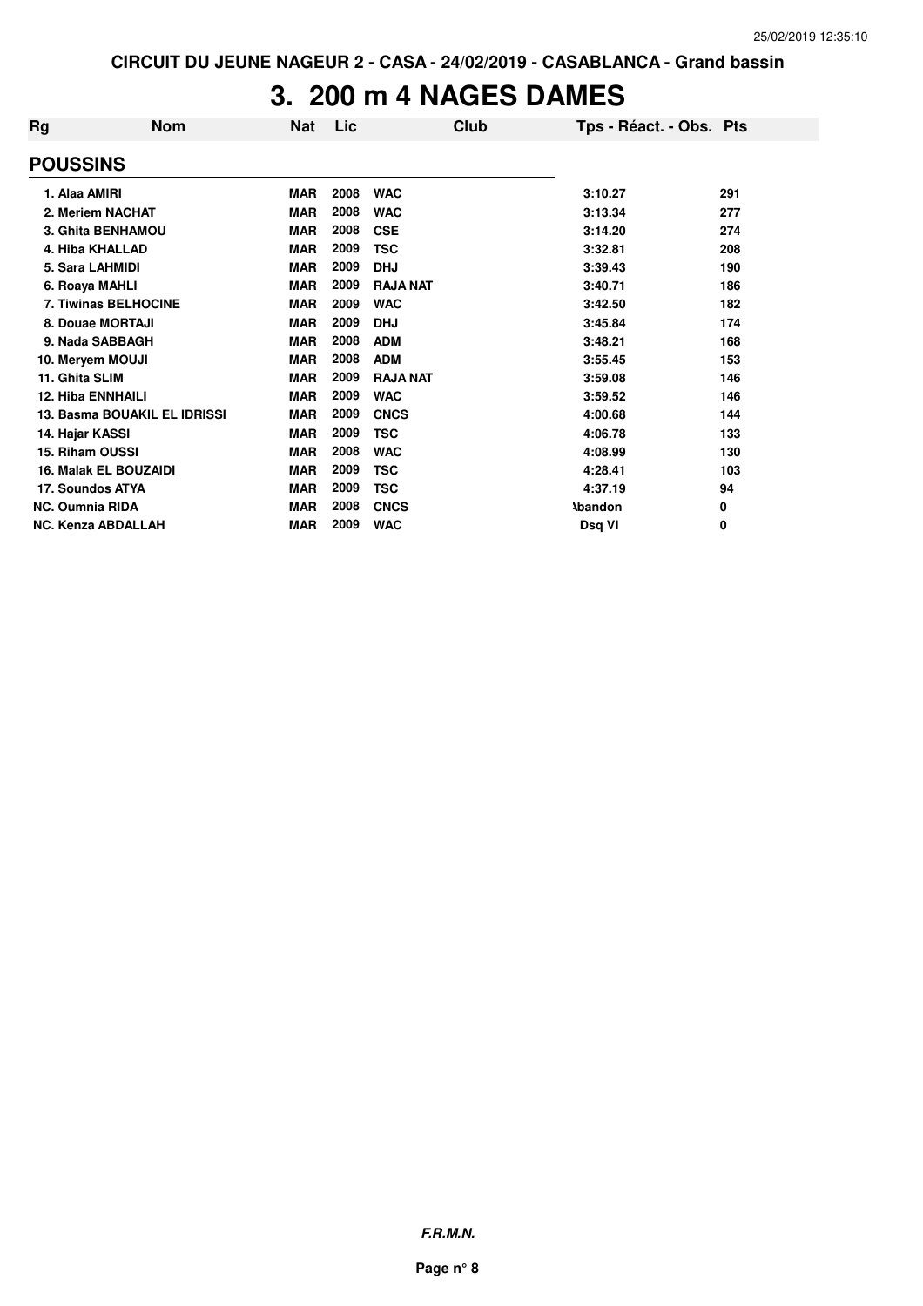#### **3. 200 m 4 NAGES DAMES**

| Rg                        | <b>Nom</b>                   | Nat        | Lic  | Club            | Tps - Réact. - Obs. Pts |     |
|---------------------------|------------------------------|------------|------|-----------------|-------------------------|-----|
| <b>POUSSINS</b>           |                              |            |      |                 |                         |     |
| 1. Alaa AMIRI             |                              | <b>MAR</b> | 2008 | <b>WAC</b>      | 3:10.27                 | 291 |
| 2. Meriem NACHAT          |                              | <b>MAR</b> | 2008 | <b>WAC</b>      | 3:13.34                 | 277 |
|                           | 3. Ghita BENHAMOU            | <b>MAR</b> | 2008 | <b>CSE</b>      | 3:14.20                 | 274 |
| 4. Hiba KHALLAD           |                              | <b>MAR</b> | 2009 | <b>TSC</b>      | 3:32.81                 | 208 |
| 5. Sara LAHMIDI           |                              | <b>MAR</b> | 2009 | <b>DHJ</b>      | 3:39.43                 | 190 |
| 6. Roaya MAHLI            |                              | <b>MAR</b> | 2009 | <b>RAJA NAT</b> | 3:40.71                 | 186 |
|                           | 7. Tiwinas BELHOCINE         | <b>MAR</b> | 2009 | <b>WAC</b>      | 3:42.50                 | 182 |
| 8. Douae MORTAJI          |                              | <b>MAR</b> | 2009 | <b>DHJ</b>      | 3:45.84                 | 174 |
| 9. Nada SABBAGH           |                              | <b>MAR</b> | 2008 | <b>ADM</b>      | 3:48.21                 | 168 |
| 10. Meryem MOUJI          |                              | <b>MAR</b> | 2008 | <b>ADM</b>      | 3:55.45                 | 153 |
| 11. Ghita SLIM            |                              | <b>MAR</b> | 2009 | <b>RAJA NAT</b> | 3:59.08                 | 146 |
| <b>12. Hiba ENNHAILI</b>  |                              | <b>MAR</b> | 2009 | <b>WAC</b>      | 3:59.52                 | 146 |
|                           | 13. Basma BOUAKIL EL IDRISSI | <b>MAR</b> | 2009 | <b>CNCS</b>     | 4:00.68                 | 144 |
| 14. Hajar KASSI           |                              | <b>MAR</b> | 2009 | <b>TSC</b>      | 4:06.78                 | 133 |
| 15. Riham OUSSI           |                              | <b>MAR</b> | 2008 | <b>WAC</b>      | 4:08.99                 | 130 |
|                           | <b>16. Malak EL BOUZAIDI</b> | <b>MAR</b> | 2009 | <b>TSC</b>      | 4:28.41                 | 103 |
| 17. Soundos ATYA          |                              | <b>MAR</b> | 2009 | <b>TSC</b>      | 4:37.19                 | 94  |
| <b>NC. Oumnia RIDA</b>    |                              | <b>MAR</b> | 2008 | <b>CNCS</b>     | <b>Abandon</b>          | 0   |
| <b>NC. Kenza ABDALLAH</b> |                              | <b>MAR</b> | 2009 | <b>WAC</b>      | Dsq VI                  | 0   |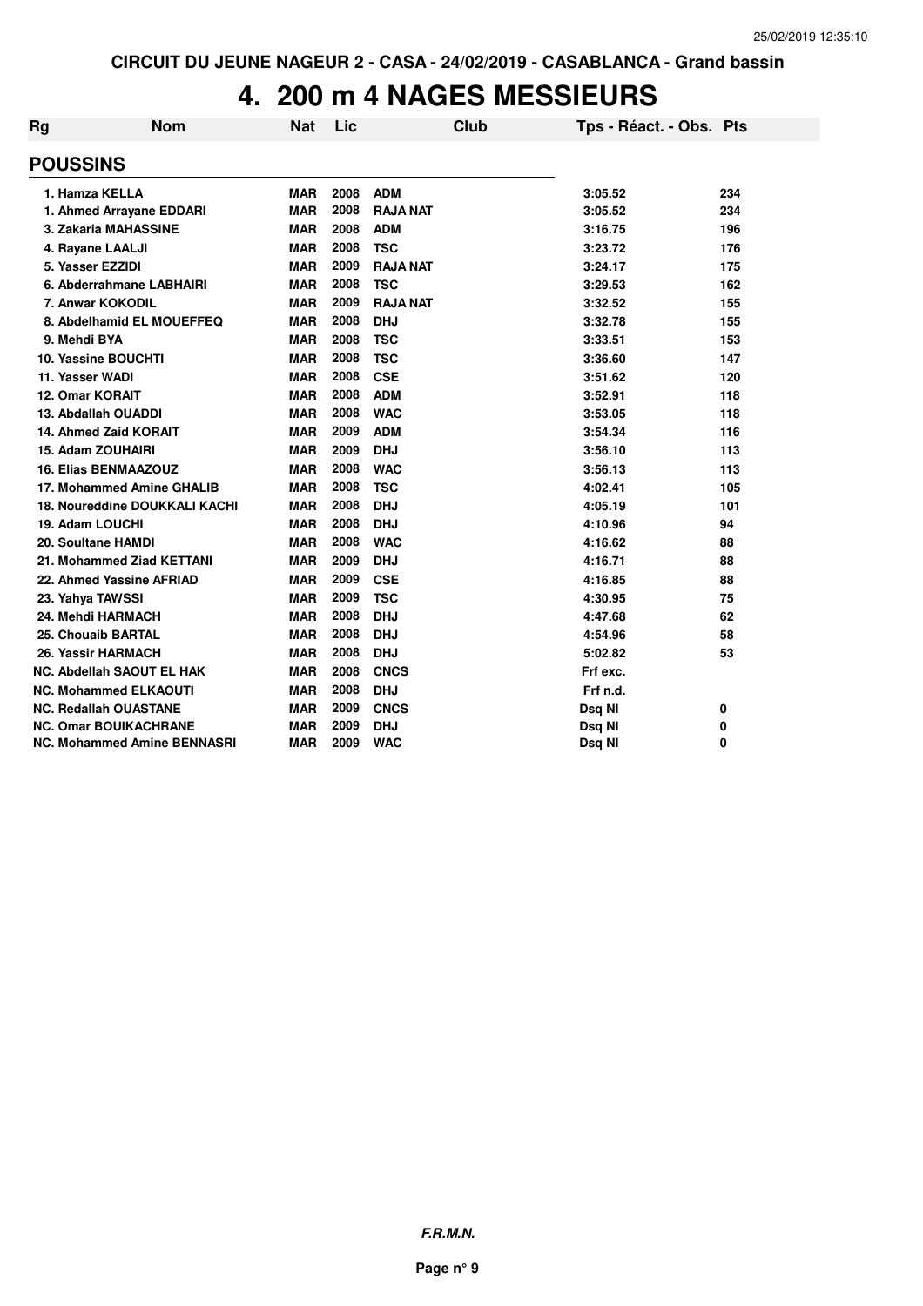### **4. 200 m 4 NAGES MESSIEURS**

| Rg                        | <b>Nom</b>                           | <b>Nat</b> | Lic  | <b>Club</b>     | Tps - Réact. - Obs. Pts |     |
|---------------------------|--------------------------------------|------------|------|-----------------|-------------------------|-----|
| <b>POUSSINS</b>           |                                      |            |      |                 |                         |     |
| 1. Hamza KELLA            |                                      | <b>MAR</b> | 2008 | <b>ADM</b>      | 3:05.52                 | 234 |
|                           | 1. Ahmed Arrayane EDDARI             | <b>MAR</b> | 2008 | <b>RAJA NAT</b> | 3:05.52                 | 234 |
|                           | 3. Zakaria MAHASSINE                 | <b>MAR</b> | 2008 | <b>ADM</b>      | 3:16.75                 | 196 |
| 4. Rayane LAALJI          |                                      | <b>MAR</b> | 2008 | <b>TSC</b>      | 3:23.72                 | 176 |
| 5. Yasser EZZIDI          |                                      | <b>MAR</b> | 2009 | <b>RAJA NAT</b> | 3:24.17                 | 175 |
|                           | 6. Abderrahmane LABHAIRI             | <b>MAR</b> | 2008 | <b>TSC</b>      | 3:29.53                 | 162 |
|                           | 7. Anwar KOKODIL                     | <b>MAR</b> | 2009 | <b>RAJA NAT</b> | 3:32.52                 | 155 |
|                           | 8. Abdelhamid EL MOUEFFEQ            | <b>MAR</b> | 2008 | <b>DHJ</b>      | 3:32.78                 | 155 |
| 9. Mehdi BYA              |                                      | <b>MAR</b> | 2008 | <b>TSC</b>      | 3:33.51                 | 153 |
|                           | 10. Yassine BOUCHTI                  | <b>MAR</b> | 2008 | <b>TSC</b>      | 3:36.60                 | 147 |
| 11. Yasser WADI           |                                      | <b>MAR</b> | 2008 | <b>CSE</b>      | 3:51.62                 | 120 |
| 12. Omar KORAIT           |                                      | <b>MAR</b> | 2008 | <b>ADM</b>      | 3:52.91                 | 118 |
|                           | 13. Abdallah OUADDI                  | <b>MAR</b> | 2008 | <b>WAC</b>      | 3:53.05                 | 118 |
|                           | 14. Ahmed Zaid KORAIT                | <b>MAR</b> | 2009 | <b>ADM</b>      | 3:54.34                 | 116 |
| 15. Adam ZOUHAIRI         |                                      | <b>MAR</b> | 2009 | <b>DHJ</b>      | 3:56.10                 | 113 |
|                           | <b>16. Elias BENMAAZOUZ</b>          | <b>MAR</b> | 2008 | <b>WAC</b>      | 3:56.13                 | 113 |
|                           | 17. Mohammed Amine GHALIB            | <b>MAR</b> | 2008 | <b>TSC</b>      | 4:02.41                 | 105 |
|                           | <b>18. Noureddine DOUKKALI KACHI</b> | <b>MAR</b> | 2008 | <b>DHJ</b>      | 4:05.19                 | 101 |
| 19. Adam LOUCHI           |                                      | <b>MAR</b> | 2008 | <b>DHJ</b>      | 4:10.96                 | 94  |
| <b>20. Soultane HAMDI</b> |                                      | <b>MAR</b> | 2008 | <b>WAC</b>      | 4:16.62                 | 88  |
|                           | 21. Mohammed Ziad KETTANI            | <b>MAR</b> | 2009 | <b>DHJ</b>      | 4:16.71                 | 88  |
|                           | 22. Ahmed Yassine AFRIAD             | <b>MAR</b> | 2009 | <b>CSE</b>      | 4:16.85                 | 88  |
| 23. Yahya TAWSSI          |                                      | <b>MAR</b> | 2009 | <b>TSC</b>      | 4:30.95                 | 75  |
|                           | 24. Mehdi HARMACH                    | <b>MAR</b> | 2008 | <b>DHJ</b>      | 4:47.68                 | 62  |
|                           | <b>25. Chouaib BARTAL</b>            | <b>MAR</b> | 2008 | <b>DHJ</b>      | 4:54.96                 | 58  |
|                           | 26. Yassir HARMACH                   | <b>MAR</b> | 2008 | <b>DHJ</b>      | 5:02.82                 | 53  |
|                           | <b>NC. Abdellah SAOUT EL HAK</b>     | <b>MAR</b> | 2008 | <b>CNCS</b>     | Frf exc.                |     |
|                           | <b>NC. Mohammed ELKAOUTI</b>         | <b>MAR</b> | 2008 | <b>DHJ</b>      | Frf n.d.                |     |
|                           | <b>NC. Redallah OUASTANE</b>         | <b>MAR</b> | 2009 | <b>CNCS</b>     | Dsq NI                  | 0   |
|                           | <b>NC. Omar BOUIKACHRANE</b>         | <b>MAR</b> | 2009 | <b>DHJ</b>      | Dsq NI                  | 0   |
|                           | <b>NC. Mohammed Amine BENNASRI</b>   | <b>MAR</b> | 2009 | <b>WAC</b>      | Dsq NI                  | 0   |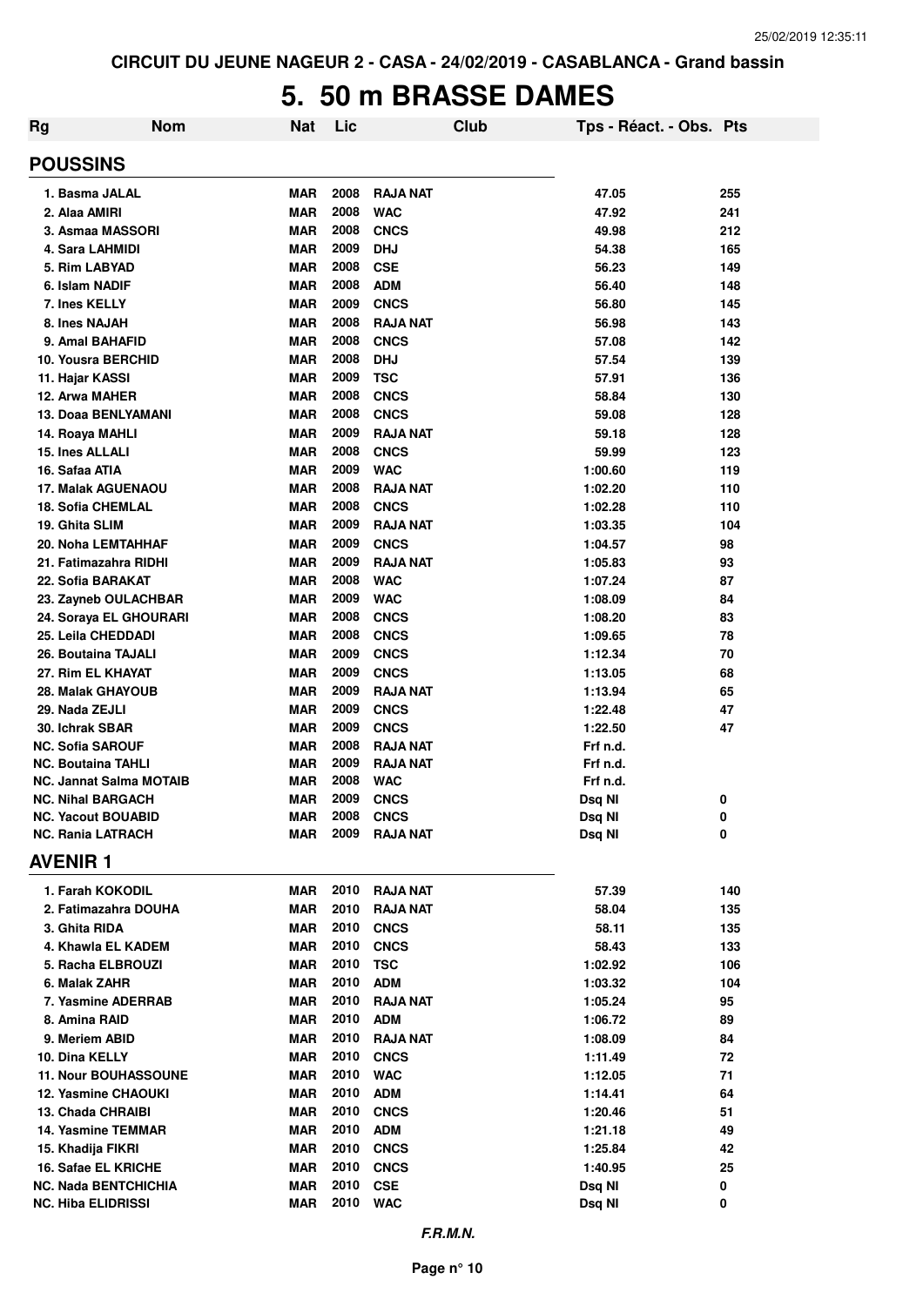#### **5. 50 m BRASSE DAMES**

| <b>Rg</b> | <b>Nom</b>                                         | Nat                      | Lic          |                            | Club | Tps - Réact. - Obs. Pts |            |
|-----------|----------------------------------------------------|--------------------------|--------------|----------------------------|------|-------------------------|------------|
|           | <b>POUSSINS</b>                                    |                          |              |                            |      |                         |            |
|           | 1. Basma JALAL                                     | <b>MAR</b>               | 2008         | <b>RAJA NAT</b>            |      | 47.05                   | 255        |
|           | 2. Alaa AMIRI                                      | <b>MAR</b>               | 2008         | <b>WAC</b>                 |      | 47.92                   | 241        |
|           | 3. Asmaa MASSORI                                   | <b>MAR</b>               | 2008         | <b>CNCS</b>                |      | 49.98                   | 212        |
|           | 4. Sara LAHMIDI                                    | <b>MAR</b>               | 2009         | <b>DHJ</b>                 |      | 54.38                   | 165        |
|           | 5. Rim LABYAD                                      | <b>MAR</b>               | 2008         | <b>CSE</b>                 |      | 56.23                   | 149        |
|           | 6. Islam NADIF                                     | <b>MAR</b>               | 2008         | <b>ADM</b>                 |      | 56.40                   | 148        |
|           | 7. Ines KELLY                                      | <b>MAR</b>               | 2009         | <b>CNCS</b>                |      | 56.80                   | 145        |
|           | 8. Ines NAJAH                                      | <b>MAR</b>               | 2008         | <b>RAJA NAT</b>            |      | 56.98                   | 143        |
|           | 9. Amal BAHAFID                                    | <b>MAR</b>               | 2008         | <b>CNCS</b>                |      | 57.08                   | 142        |
|           | 10. Yousra BERCHID                                 | <b>MAR</b>               | 2008         | <b>DHJ</b>                 |      | 57.54                   | 139        |
|           | 11. Hajar KASSI                                    | <b>MAR</b>               | 2009<br>2008 | <b>TSC</b>                 |      | 57.91                   | 136        |
|           | 12. Arwa MAHER<br>13. Doaa BENLYAMANI              | <b>MAR</b><br><b>MAR</b> | 2008         | <b>CNCS</b><br><b>CNCS</b> |      | 58.84<br>59.08          | 130<br>128 |
|           | 14. Roaya MAHLI                                    | <b>MAR</b>               | 2009         | <b>RAJA NAT</b>            |      | 59.18                   | 128        |
|           | 15. Ines ALLALI                                    | <b>MAR</b>               | 2008         | <b>CNCS</b>                |      | 59.99                   | 123        |
|           | 16. Safaa ATIA                                     | <b>MAR</b>               | 2009         | <b>WAC</b>                 |      | 1:00.60                 | 119        |
|           | <b>17. Malak AGUENAOU</b>                          | <b>MAR</b>               | 2008         | <b>RAJA NAT</b>            |      | 1:02.20                 | 110        |
|           | <b>18. Sofia CHEMLAL</b>                           | <b>MAR</b>               | 2008         | <b>CNCS</b>                |      | 1:02.28                 | 110        |
|           | 19. Ghita SLIM                                     | <b>MAR</b>               | 2009         | <b>RAJA NAT</b>            |      | 1:03.35                 | 104        |
|           | 20. Noha LEMTAHHAF                                 | <b>MAR</b>               | 2009         | <b>CNCS</b>                |      | 1:04.57                 | 98         |
|           | 21. Fatimazahra RIDHI                              | <b>MAR</b>               | 2009         | <b>RAJA NAT</b>            |      | 1:05.83                 | 93         |
|           | 22. Sofia BARAKAT                                  | <b>MAR</b>               | 2008         | <b>WAC</b>                 |      | 1:07.24                 | 87         |
|           | 23. Zayneb OULACHBAR                               | <b>MAR</b>               | 2009         | <b>WAC</b>                 |      | 1:08.09                 | 84         |
|           | 24. Soraya EL GHOURARI                             | <b>MAR</b>               | 2008         | <b>CNCS</b>                |      | 1:08.20                 | 83         |
|           | 25. Leila CHEDDADI                                 | <b>MAR</b>               | 2008         | <b>CNCS</b>                |      | 1:09.65                 | 78         |
|           | 26. Boutaina TAJALI                                | <b>MAR</b>               | 2009         | <b>CNCS</b>                |      | 1:12.34                 | 70         |
|           | 27. Rim EL KHAYAT                                  | <b>MAR</b>               | 2009         | <b>CNCS</b>                |      | 1:13.05                 | 68         |
|           | 28. Malak GHAYOUB                                  | <b>MAR</b>               | 2009         | <b>RAJA NAT</b>            |      | 1:13.94                 | 65         |
|           | 29. Nada ZEJLI                                     | <b>MAR</b>               | 2009         | <b>CNCS</b>                |      | 1:22.48                 | 47         |
|           | 30. Ichrak SBAR                                    | <b>MAR</b>               | 2009         | <b>CNCS</b>                |      | 1:22.50                 | 47         |
|           | <b>NC. Sofia SAROUF</b>                            | <b>MAR</b>               | 2008         | <b>RAJA NAT</b>            |      | Frf n.d.                |            |
|           | <b>NC. Boutaina TAHLI</b>                          | <b>MAR</b>               | 2009         | RAJA NAT                   |      | Frf n.d.                |            |
|           | <b>NC. Jannat Salma MOTAIB</b>                     | <b>MAR</b>               | 2008         | <b>WAC</b>                 |      | Frf n.d.                |            |
|           | <b>NC. Nihal BARGACH</b>                           | MAR                      | 2009         | <b>CNCS</b>                |      | Dsq NI                  | 0          |
|           | <b>NC. Yacout BOUABID</b>                          | MAR                      | 2008         | <b>CNCS</b>                |      | Dsq NI                  | 0          |
|           | <b>NC. Rania LATRACH</b>                           | MAR                      | 2009         | <b>RAJA NAT</b>            |      | Dsq NI                  | 0          |
|           | <b>AVENIR1</b>                                     |                          |              |                            |      |                         |            |
|           | 1. Farah KOKODIL                                   | MAR                      | 2010         | <b>RAJA NAT</b>            |      | 57.39                   | 140        |
|           | 2. Fatimazahra DOUHA                               | MAR                      | 2010         | <b>RAJA NAT</b>            |      | 58.04                   | 135        |
|           | 3. Ghita RIDA                                      | <b>MAR</b>               | 2010         | <b>CNCS</b>                |      | 58.11                   | 135        |
|           | 4. Khawla EL KADEM                                 | MAR                      | 2010         | <b>CNCS</b>                |      | 58.43                   | 133        |
|           | 5. Racha ELBROUZI                                  | MAR                      | 2010         | <b>TSC</b>                 |      | 1:02.92                 | 106        |
|           | 6. Malak ZAHR                                      | MAR                      | 2010         | <b>ADM</b>                 |      | 1:03.32                 | 104        |
|           | 7. Yasmine ADERRAB                                 | <b>MAR</b>               | 2010         | <b>RAJA NAT</b>            |      | 1:05.24                 | 95         |
|           | 8. Amina RAID                                      | MAR                      | 2010         | ADM                        |      | 1:06.72                 | 89         |
|           | 9. Meriem ABID                                     | MAR                      | 2010         | <b>RAJA NAT</b>            |      | 1:08.09                 | 84         |
|           | 10. Dina KELLY                                     | <b>MAR</b>               | 2010         | <b>CNCS</b>                |      | 1:11.49                 | 72         |
|           | <b>11. Nour BOUHASSOUNE</b>                        | <b>MAR</b>               | 2010         | <b>WAC</b>                 |      | 1:12.05                 | 71         |
|           | <b>12. Yasmine CHAOUKI</b>                         | <b>MAR</b>               | 2010         | <b>ADM</b>                 |      | 1:14.41                 | 64         |
|           | 13. Chada CHRAIBI                                  | <b>MAR</b>               | 2010         | <b>CNCS</b>                |      | 1:20.46                 | 51         |
|           | 14. Yasmine TEMMAR                                 | <b>MAR</b>               | 2010         | <b>ADM</b>                 |      | 1:21.18                 | 49         |
|           | 15. Khadija FIKRI                                  | <b>MAR</b>               | 2010         | <b>CNCS</b>                |      | 1:25.84                 | 42         |
|           | 16. Safae EL KRICHE<br><b>NC. Nada BENTCHICHIA</b> | <b>MAR</b><br><b>MAR</b> | 2010<br>2010 | <b>CNCS</b><br><b>CSE</b>  |      | 1:40.95                 | 25<br>0    |
|           | <b>NC. Hiba ELIDRISSI</b>                          | MAR                      | 2010         | <b>WAC</b>                 |      | Dsq NI<br>Dsq NI        | 0          |
|           |                                                    |                          |              |                            |      |                         |            |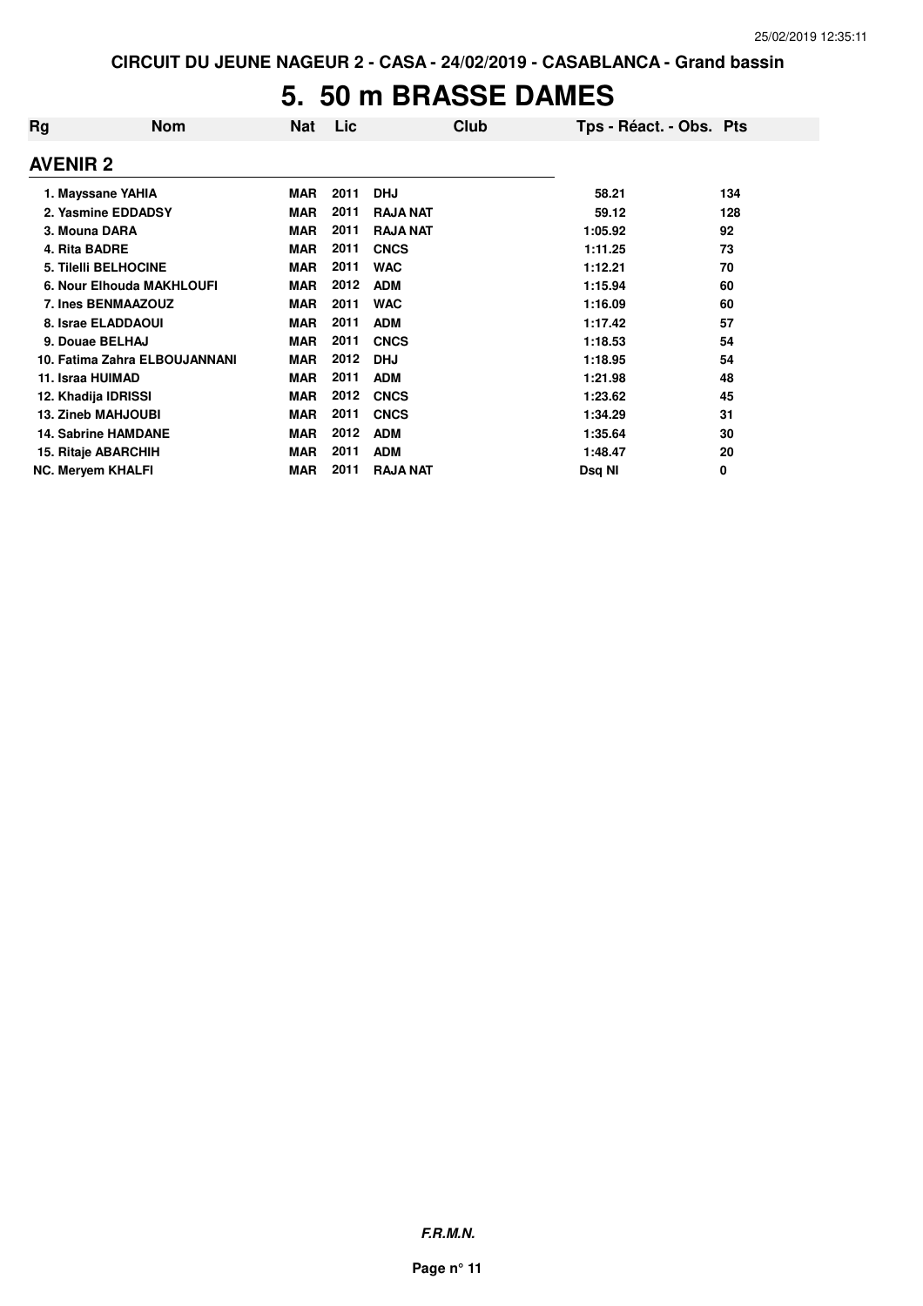#### **5. 50 m BRASSE DAMES**

| Rg               | <b>Nom</b>                    | <b>Nat</b> | Lic  | Club            | Tps - Réact. - Obs. Pts |     |
|------------------|-------------------------------|------------|------|-----------------|-------------------------|-----|
| <b>AVENIR 2</b>  |                               |            |      |                 |                         |     |
|                  | 1. Mayssane YAHIA             | <b>MAR</b> | 2011 | <b>DHJ</b>      | 58.21                   | 134 |
|                  | 2. Yasmine EDDADSY            | <b>MAR</b> | 2011 | <b>RAJA NAT</b> | 59.12                   | 128 |
| 3. Mouna DARA    |                               | <b>MAR</b> | 2011 | <b>RAJA NAT</b> | 1:05.92                 | 92  |
| 4. Rita BADRE    |                               | <b>MAR</b> | 2011 | <b>CNCS</b>     | 1:11.25                 | 73  |
|                  | <b>5. Tilelli BELHOCINE</b>   | <b>MAR</b> | 2011 | <b>WAC</b>      | 1:12.21                 | 70  |
|                  | 6. Nour Elhouda MAKHLOUFI     | <b>MAR</b> | 2012 | <b>ADM</b>      | 1:15.94                 | 60  |
|                  | 7. Ines BENMAAZOUZ            | <b>MAR</b> | 2011 | <b>WAC</b>      | 1:16.09                 | 60  |
|                  | 8. Israe ELADDAOUI            | <b>MAR</b> | 2011 | <b>ADM</b>      | 1:17.42                 | 57  |
|                  | 9. Douae BELHAJ               | <b>MAR</b> | 2011 | <b>CNCS</b>     | 1:18.53                 | 54  |
|                  | 10. Fatima Zahra ELBOUJANNANI | <b>MAR</b> | 2012 | <b>DHJ</b>      | 1:18.95                 | 54  |
| 11. Israa HUIMAD |                               | <b>MAR</b> | 2011 | <b>ADM</b>      | 1:21.98                 | 48  |
|                  | 12. Khadija IDRISSI           | <b>MAR</b> | 2012 | <b>CNCS</b>     | 1:23.62                 | 45  |
|                  | <b>13. Zineb MAHJOUBI</b>     | <b>MAR</b> | 2011 | <b>CNCS</b>     | 1:34.29                 | 31  |
|                  | <b>14. Sabrine HAMDANE</b>    | <b>MAR</b> | 2012 | <b>ADM</b>      | 1:35.64                 | 30  |
|                  | 15. Ritaje ABARCHIH           | <b>MAR</b> | 2011 | <b>ADM</b>      | 1:48.47                 | 20  |
|                  | <b>NC. Mervem KHALFI</b>      | <b>MAR</b> | 2011 | <b>RAJA NAT</b> | Dsg NI                  | 0   |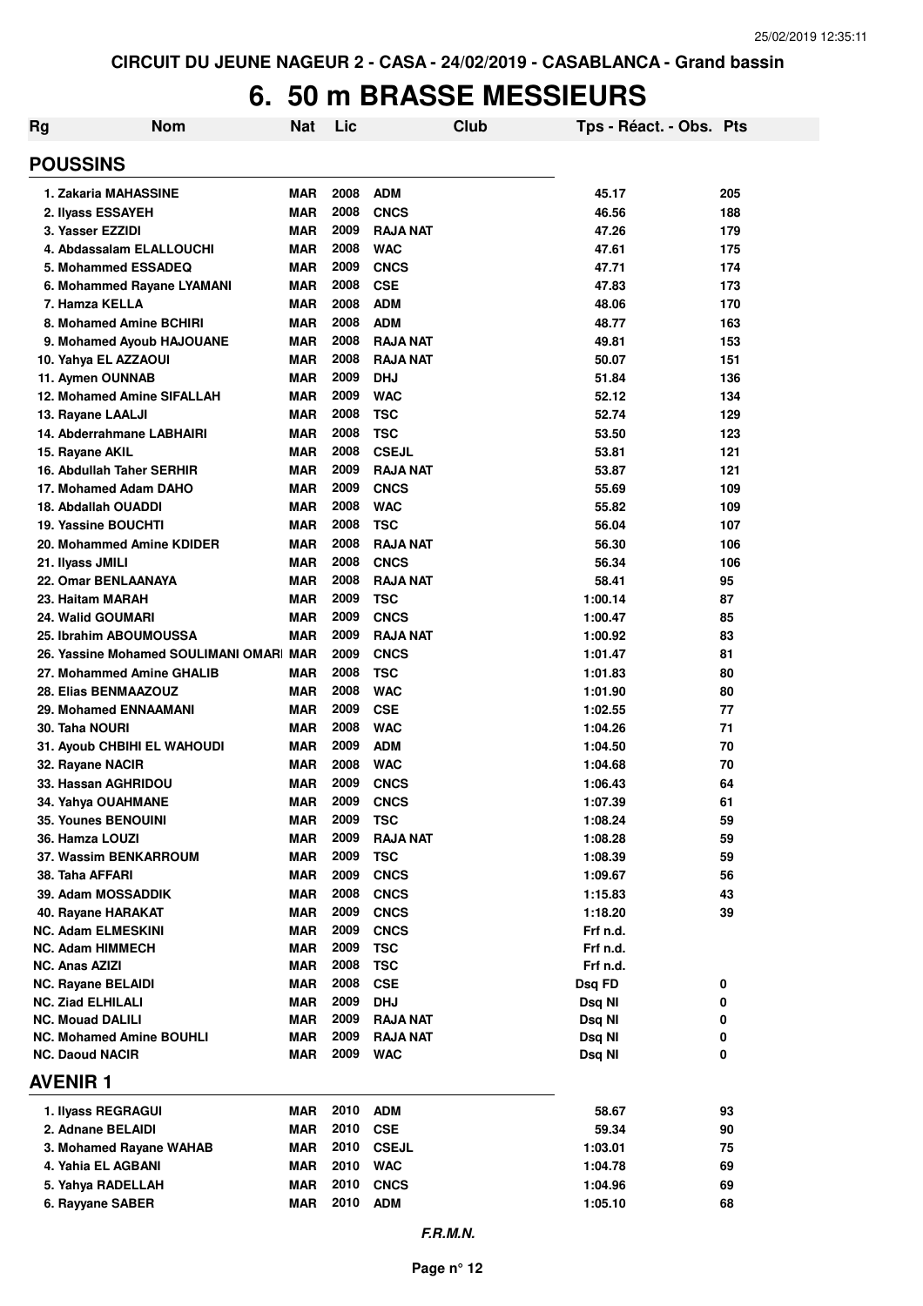### **6. 50 m BRASSE MESSIEURS**

| Rg                                              | <b>Nom</b>                          | Nat                      | Lic          |                           | Club | Tps - Réact. - Obs. Pts |     |
|-------------------------------------------------|-------------------------------------|--------------------------|--------------|---------------------------|------|-------------------------|-----|
| <b>POUSSINS</b>                                 |                                     |                          |              |                           |      |                         |     |
| 1. Zakaria MAHASSINE                            |                                     | <b>MAR</b>               | 2008         | <b>ADM</b>                |      | 45.17                   | 205 |
| 2. Ilyass ESSAYEH                               |                                     | <b>MAR</b>               | 2008         | <b>CNCS</b>               |      | 46.56                   | 188 |
| 3. Yasser EZZIDI                                |                                     | <b>MAR</b>               | 2009         | <b>RAJA NAT</b>           |      | 47.26                   | 179 |
|                                                 | 4. Abdassalam ELALLOUCHI            | <b>MAR</b>               | 2008         | <b>WAC</b>                |      | 47.61                   | 175 |
|                                                 | 5. Mohammed ESSADEQ                 | <b>MAR</b>               | 2009         | <b>CNCS</b>               |      | 47.71                   | 174 |
|                                                 | 6. Mohammed Rayane LYAMANI          | <b>MAR</b>               | 2008         | <b>CSE</b>                |      | 47.83                   | 173 |
| 7. Hamza KELLA                                  |                                     | <b>MAR</b>               | 2008         | <b>ADM</b>                |      | 48.06                   | 170 |
|                                                 | 8. Mohamed Amine BCHIRI             | <b>MAR</b>               | 2008         | <b>ADM</b>                |      | 48.77                   | 163 |
|                                                 | 9. Mohamed Ayoub HAJOUANE           | <b>MAR</b>               | 2008         | <b>RAJA NAT</b>           |      | 49.81                   | 153 |
| 10. Yahya EL AZZAOUI                            |                                     | <b>MAR</b>               | 2008         | <b>RAJA NAT</b>           |      | 50.07                   | 151 |
| 11. Aymen OUNNAB                                |                                     | <b>MAR</b>               | 2009         | <b>DHJ</b>                |      | 51.84                   | 136 |
|                                                 | 12. Mohamed Amine SIFALLAH          | <b>MAR</b>               | 2009         | <b>WAC</b>                |      | 52.12                   | 134 |
| 13. Rayane LAALJI                               |                                     | <b>MAR</b>               | 2008         | <b>TSC</b>                |      | 52.74                   | 129 |
|                                                 | 14. Abderrahmane LABHAIRI           | <b>MAR</b>               | 2008         | <b>TSC</b>                |      | 53.50                   | 123 |
| 15. Rayane AKIL                                 |                                     | <b>MAR</b>               | 2008         | <b>CSEJL</b>              |      | 53.81                   | 121 |
|                                                 | 16. Abdullah Taher SERHIR           | <b>MAR</b>               | 2009         | <b>RAJA NAT</b>           |      | 53.87                   | 121 |
|                                                 | 17. Mohamed Adam DAHO               | <b>MAR</b>               | 2009         | <b>CNCS</b>               |      | 55.69                   | 109 |
| 18. Abdallah OUADDI                             |                                     | <b>MAR</b>               | 2008         | <b>WAC</b>                |      | 55.82                   | 109 |
| <b>19. Yassine BOUCHTI</b>                      |                                     | <b>MAR</b>               | 2008         | <b>TSC</b>                |      | 56.04                   | 107 |
|                                                 | 20. Mohammed Amine KDIDER           | <b>MAR</b>               | 2008         | <b>RAJA NAT</b>           |      | 56.30                   | 106 |
| 21. Ilyass JMILI                                |                                     | <b>MAR</b>               | 2008         | <b>CNCS</b>               |      | 56.34                   | 106 |
| 22. Omar BENLAANAYA                             |                                     | <b>MAR</b>               | 2008         | <b>RAJA NAT</b>           |      | 58.41                   | 95  |
| 23. Haitam MARAH                                |                                     | <b>MAR</b>               | 2009         | <b>TSC</b>                |      | 1:00.14                 | 87  |
| 24. Walid GOUMARI                               |                                     | <b>MAR</b>               | 2009         | <b>CNCS</b>               |      | 1:00.47                 | 85  |
|                                                 | 25. Ibrahim ABOUMOUSSA              | <b>MAR</b>               | 2009         | <b>RAJA NAT</b>           |      | 1:00.92                 | 83  |
|                                                 | 26. Yassine Mohamed SOULIMANI OMARI | <b>MAR</b>               | 2009         | <b>CNCS</b>               |      | 1:01.47                 | 81  |
|                                                 | 27. Mohammed Amine GHALIB           | <b>MAR</b>               | 2008         | <b>TSC</b>                |      | 1:01.83                 | 80  |
| 28. Elias BENMAAZOUZ                            |                                     | <b>MAR</b>               | 2008         | <b>WAC</b>                |      | 1:01.90                 | 80  |
|                                                 | 29. Mohamed ENNAAMANI               | <b>MAR</b>               | 2009         | <b>CSE</b>                |      | 1:02.55                 | 77  |
| <b>30. Taha NOURI</b>                           |                                     | <b>MAR</b>               | 2008         | <b>WAC</b>                |      | 1:04.26                 | 71  |
|                                                 | 31. Ayoub CHBIHI EL WAHOUDI         | <b>MAR</b>               | 2009         | <b>ADM</b>                |      | 1:04.50                 | 70  |
| 32. Rayane NACIR                                |                                     | <b>MAR</b>               | 2008         | <b>WAC</b>                |      | 1:04.68                 | 70  |
| 33. Hassan AGHRIDOU                             |                                     | <b>MAR</b>               | 2009         | <b>CNCS</b>               |      | 1:06.43                 | 64  |
| 34. Yahya OUAHMANE                              |                                     | <b>MAR</b>               | 2009         | <b>CNCS</b>               |      | 1:07.39                 | 61  |
| 35. Younes BENOUINI                             |                                     | MAR                      | 2009         | <b>TSC</b>                |      | 1:08.24                 | 59  |
| 36. Hamza LOUZI                                 |                                     | <b>MAR</b>               | 2009         | <b>RAJA NAT</b>           |      | 1:08.28                 | 59  |
|                                                 | <b>37. Wassim BENKARROUM</b>        | <b>MAR</b>               | 2009         | <b>TSC</b>                |      | 1:08.39                 | 59  |
| 38. Taha AFFARI                                 |                                     | <b>MAR</b>               | 2009<br>2008 | <b>CNCS</b>               |      | 1:09.67                 | 56  |
| 39. Adam MOSSADDIK                              |                                     | <b>MAR</b><br><b>MAR</b> | 2009         | <b>CNCS</b>               |      | 1:15.83                 | 43  |
| 40. Rayane HARAKAT<br><b>NC. Adam ELMESKINI</b> |                                     | <b>MAR</b>               | 2009         | <b>CNCS</b>               |      | 1:18.20                 | 39  |
| <b>NC. Adam HIMMECH</b>                         |                                     | <b>MAR</b>               | 2009         | <b>CNCS</b><br><b>TSC</b> |      | Frf n.d.<br>Frf n.d.    |     |
| NC. Anas AZIZI                                  |                                     | <b>MAR</b>               | 2008         | <b>TSC</b>                |      | Frf n.d.                |     |
| <b>NC. Rayane BELAIDI</b>                       |                                     | <b>MAR</b>               | 2008         | <b>CSE</b>                |      | Dsq FD                  | 0   |
| <b>NC. Ziad ELHILALI</b>                        |                                     | <b>MAR</b>               | 2009         | <b>DHJ</b>                |      | Dsq NI                  | 0   |
| <b>NC. Mouad DALILI</b>                         |                                     | <b>MAR</b>               | 2009         | <b>RAJA NAT</b>           |      | Dsq NI                  | 0   |
|                                                 | <b>NC. Mohamed Amine BOUHLI</b>     | <b>MAR</b>               | 2009         | <b>RAJA NAT</b>           |      | Dsq NI                  | 0   |
| <b>NC. Daoud NACIR</b>                          |                                     | <b>MAR</b>               | 2009         | <b>WAC</b>                |      | Dsq NI                  | 0   |
| <b>AVENIR1</b>                                  |                                     |                          |              |                           |      |                         |     |
| 1. Ilyass REGRAGUI                              |                                     | MAR                      | 2010         | <b>ADM</b>                |      | 58.67                   | 93  |
| 2. Adnane BELAIDI                               |                                     | <b>MAR</b>               | 2010         | <b>CSE</b>                |      | 59.34                   | 90  |
|                                                 | 3. Mohamed Rayane WAHAB             | <b>MAR</b>               | 2010         | <b>CSEJL</b>              |      | 1:03.01                 | 75  |
| 4. Yahia EL AGBANI                              |                                     | <b>MAR</b>               | 2010         | <b>WAC</b>                |      | 1:04.78                 | 69  |
| 5. Yahya RADELLAH                               |                                     | <b>MAR</b>               | 2010         | <b>CNCS</b>               |      | 1:04.96                 | 69  |
| 6. Rayyane SABER                                |                                     | <b>MAR</b>               | 2010         | <b>ADM</b>                |      | 1:05.10                 | 68  |
|                                                 |                                     |                          |              |                           |      |                         |     |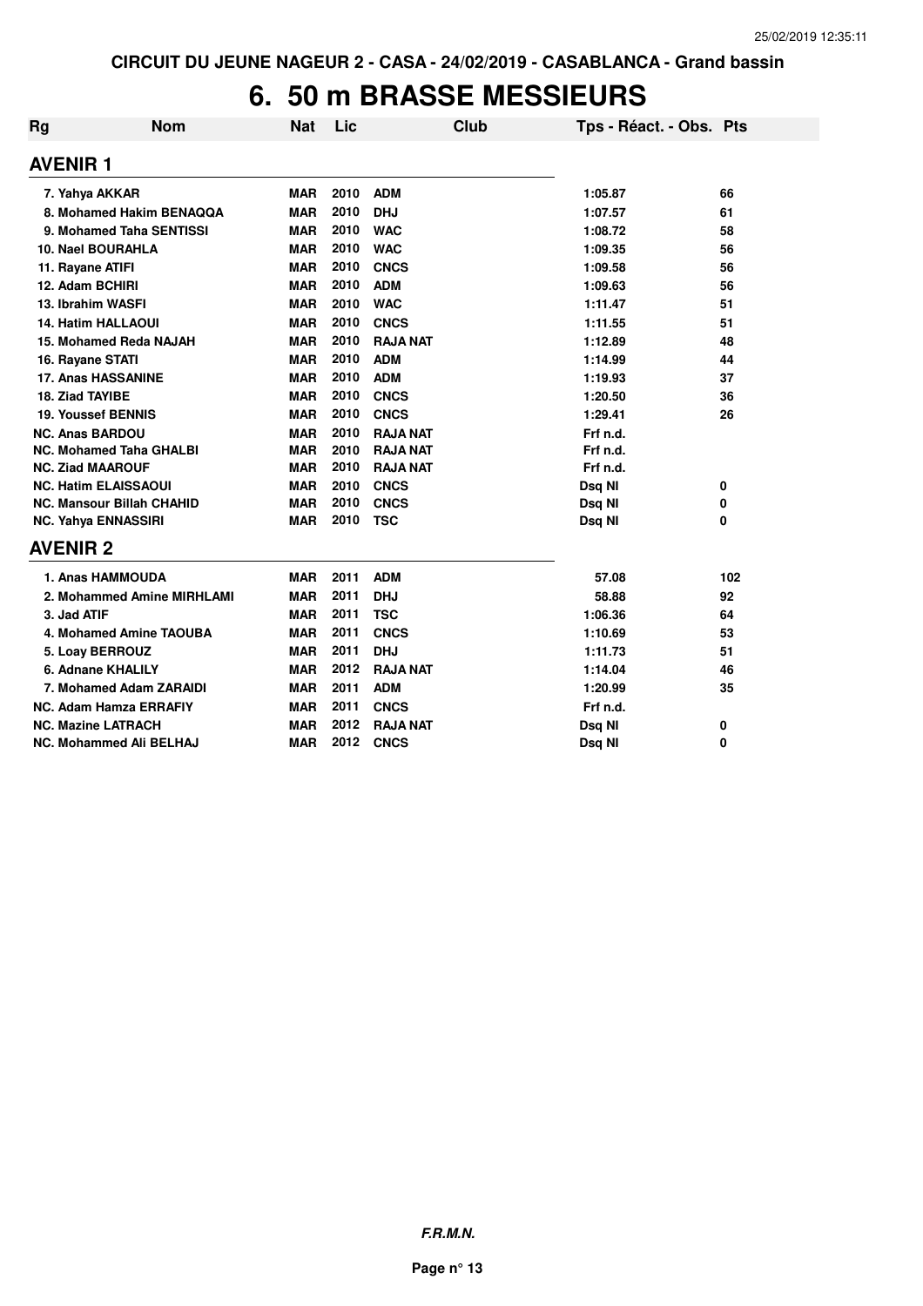#### **6. 50 m BRASSE MESSIEURS**

| Rg                      | <b>Nom</b>                       | <b>Nat</b> | Lic  | Club            | Tps - Réact. - Obs. Pts |     |
|-------------------------|----------------------------------|------------|------|-----------------|-------------------------|-----|
| <b>AVENIR 1</b>         |                                  |            |      |                 |                         |     |
| 7. Yahya AKKAR          |                                  | <b>MAR</b> | 2010 | <b>ADM</b>      | 1:05.87                 | 66  |
|                         | 8. Mohamed Hakim BENAQQA         | <b>MAR</b> | 2010 | <b>DHJ</b>      | 1:07.57                 | 61  |
|                         | 9. Mohamed Taha SENTISSI         | <b>MAR</b> | 2010 | <b>WAC</b>      | 1:08.72                 | 58  |
|                         | <b>10. Nael BOURAHLA</b>         | <b>MAR</b> | 2010 | <b>WAC</b>      | 1:09.35                 | 56  |
| 11. Rayane ATIFI        |                                  | <b>MAR</b> | 2010 | <b>CNCS</b>     | 1:09.58                 | 56  |
| 12. Adam BCHIRI         |                                  | <b>MAR</b> | 2010 | <b>ADM</b>      | 1:09.63                 | 56  |
|                         | 13. Ibrahim WASFI                | <b>MAR</b> | 2010 | <b>WAC</b>      | 1:11.47                 | 51  |
|                         | <b>14. Hatim HALLAOUI</b>        | <b>MAR</b> | 2010 | <b>CNCS</b>     | 1:11.55                 | 51  |
|                         | 15. Mohamed Reda NAJAH           | <b>MAR</b> | 2010 | <b>RAJA NAT</b> | 1:12.89                 | 48  |
| 16. Rayane STATI        |                                  | <b>MAR</b> | 2010 | <b>ADM</b>      | 1:14.99                 | 44  |
|                         | <b>17. Anas HASSANINE</b>        | <b>MAR</b> | 2010 | <b>ADM</b>      | 1:19.93                 | 37  |
| 18. Ziad TAYIBE         |                                  | <b>MAR</b> | 2010 | <b>CNCS</b>     | 1:20.50                 | 36  |
|                         | 19. Youssef BENNIS               | <b>MAR</b> | 2010 | <b>CNCS</b>     | 1:29.41                 | 26  |
| <b>NC. Anas BARDOU</b>  |                                  | <b>MAR</b> | 2010 | <b>RAJA NAT</b> | Frf n.d.                |     |
|                         | <b>NC. Mohamed Taha GHALBI</b>   | <b>MAR</b> | 2010 | <b>RAJA NAT</b> | Frf n.d.                |     |
| <b>NC. Ziad MAAROUF</b> |                                  | <b>MAR</b> | 2010 | <b>RAJA NAT</b> | Frf n.d.                |     |
|                         | <b>NC. Hatim ELAISSAOUI</b>      | <b>MAR</b> | 2010 | <b>CNCS</b>     | Dsq NI                  | 0   |
|                         | <b>NC. Mansour Billah CHAHID</b> | <b>MAR</b> | 2010 | <b>CNCS</b>     | Dsq NI                  | 0   |
|                         | <b>NC. Yahya ENNASSIRI</b>       | <b>MAR</b> | 2010 | <b>TSC</b>      | Dsq NI                  | 0   |
| <b>AVENIR 2</b>         |                                  |            |      |                 |                         |     |
|                         | 1. Anas HAMMOUDA                 | <b>MAR</b> | 2011 | <b>ADM</b>      | 57.08                   | 102 |
|                         | 2. Mohammed Amine MIRHLAMI       | <b>MAR</b> | 2011 | <b>DHJ</b>      | 58.88                   | 92  |
| 3. Jad ATIF             |                                  | <b>MAR</b> | 2011 | <b>TSC</b>      | 1:06.36                 | 64  |
|                         | 4. Mohamed Amine TAOUBA          | <b>MAR</b> | 2011 | <b>CNCS</b>     | 1:10.69                 | 53  |
|                         | 5. Loay BERROUZ                  | <b>MAR</b> | 2011 | <b>DHJ</b>      | 1:11.73                 | 51  |
|                         | 6. Adnane KHALILY                | <b>MAR</b> | 2012 | <b>RAJA NAT</b> | 1:14.04                 | 46  |
|                         | 7. Mohamed Adam ZARAIDI          | <b>MAR</b> | 2011 | <b>ADM</b>      | 1:20.99                 | 35  |
|                         | <b>NC. Adam Hamza ERRAFIY</b>    | <b>MAR</b> | 2011 | <b>CNCS</b>     | Frf n.d.                |     |
|                         | <b>NC. Mazine LATRACH</b>        | <b>MAR</b> | 2012 | <b>RAJA NAT</b> | Dsq NI                  | 0   |
|                         | NC. Mohammed Ali BELHAJ          | <b>MAR</b> | 2012 | <b>CNCS</b>     | Dsq NI                  | 0   |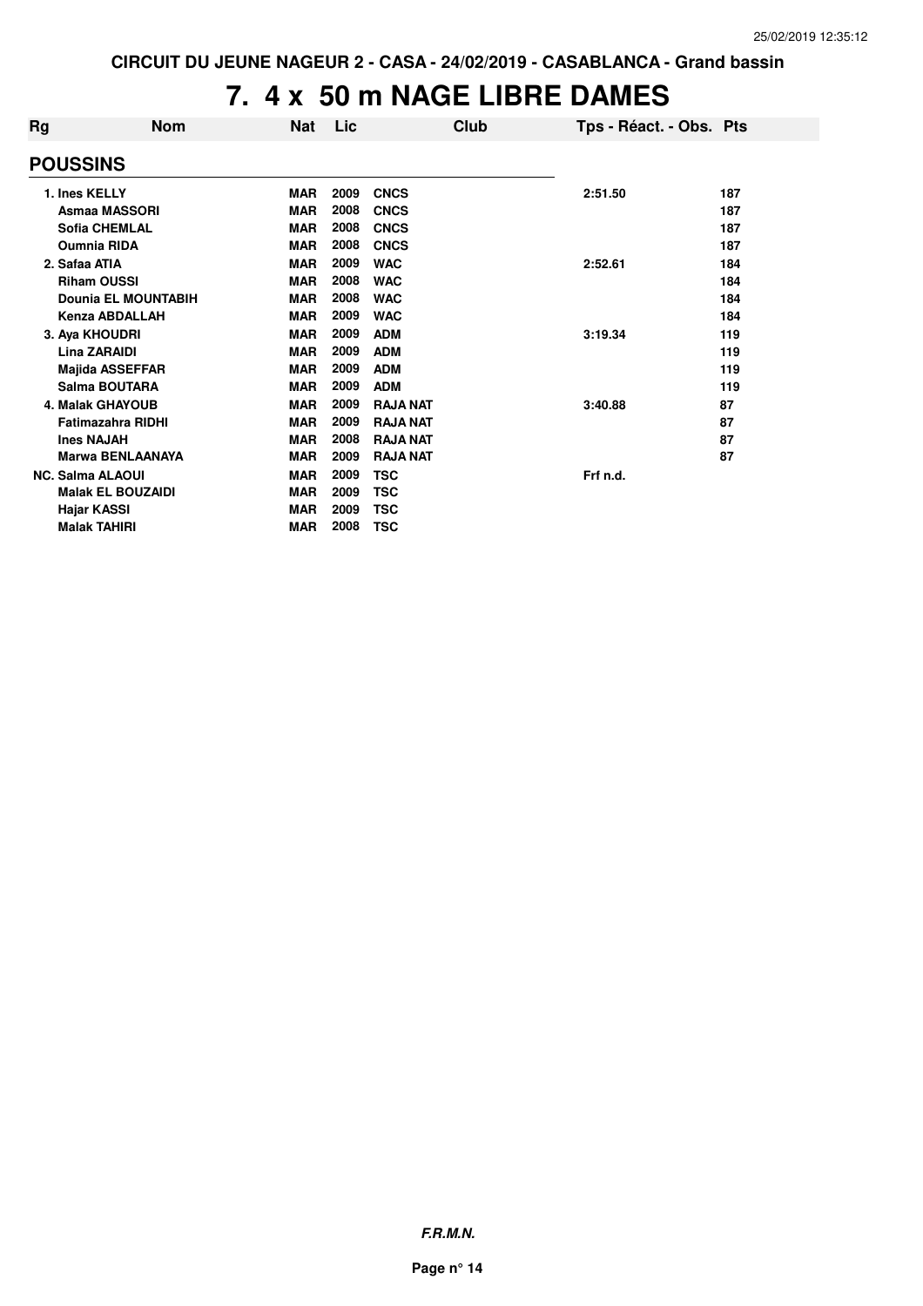## **7. 4 x 50 m NAGE LIBRE DAMES**

| Rg | <b>Nom</b>                 | <b>Nat</b> | Lic  | Club            | Tps - Réact. - Obs. Pts |     |
|----|----------------------------|------------|------|-----------------|-------------------------|-----|
|    | <b>POUSSINS</b>            |            |      |                 |                         |     |
|    | 1. Ines KELLY              | <b>MAR</b> | 2009 | <b>CNCS</b>     | 2:51.50                 | 187 |
|    | <b>Asmaa MASSORI</b>       | <b>MAR</b> | 2008 | <b>CNCS</b>     |                         | 187 |
|    | <b>Sofia CHEMLAL</b>       | <b>MAR</b> | 2008 | <b>CNCS</b>     |                         | 187 |
|    | <b>Oumnia RIDA</b>         | <b>MAR</b> | 2008 | <b>CNCS</b>     |                         | 187 |
|    | 2. Safaa ATIA              | <b>MAR</b> | 2009 | <b>WAC</b>      | 2:52.61                 | 184 |
|    | <b>Riham OUSSI</b>         | <b>MAR</b> | 2008 | <b>WAC</b>      |                         | 184 |
|    | <b>Dounia EL MOUNTABIH</b> | <b>MAR</b> | 2008 | <b>WAC</b>      |                         | 184 |
|    | <b>Kenza ABDALLAH</b>      | <b>MAR</b> | 2009 | <b>WAC</b>      |                         | 184 |
|    | 3. Aya KHOUDRI             | <b>MAR</b> | 2009 | <b>ADM</b>      | 3:19.34                 | 119 |
|    | <b>Lina ZARAIDI</b>        | <b>MAR</b> | 2009 | <b>ADM</b>      |                         | 119 |
|    | <b>Majida ASSEFFAR</b>     | <b>MAR</b> | 2009 | <b>ADM</b>      |                         | 119 |
|    | Salma BOUTARA              | <b>MAR</b> | 2009 | <b>ADM</b>      |                         | 119 |
|    | <b>4. Malak GHAYOUB</b>    | <b>MAR</b> | 2009 | <b>RAJA NAT</b> | 3:40.88                 | 87  |
|    | <b>Fatimazahra RIDHI</b>   | <b>MAR</b> | 2009 | <b>RAJA NAT</b> |                         | 87  |
|    | <b>Ines NAJAH</b>          | <b>MAR</b> | 2008 | <b>RAJA NAT</b> |                         | 87  |
|    | <b>Marwa BENLAANAYA</b>    | <b>MAR</b> | 2009 | <b>RAJA NAT</b> |                         | 87  |
|    | <b>NC. Salma ALAOUI</b>    | <b>MAR</b> | 2009 | <b>TSC</b>      | Frf n.d.                |     |
|    | <b>Malak EL BOUZAIDI</b>   | <b>MAR</b> | 2009 | <b>TSC</b>      |                         |     |
|    | Hajar KASSI                | <b>MAR</b> | 2009 | <b>TSC</b>      |                         |     |
|    | <b>Malak TAHIRI</b>        | <b>MAR</b> | 2008 | <b>TSC</b>      |                         |     |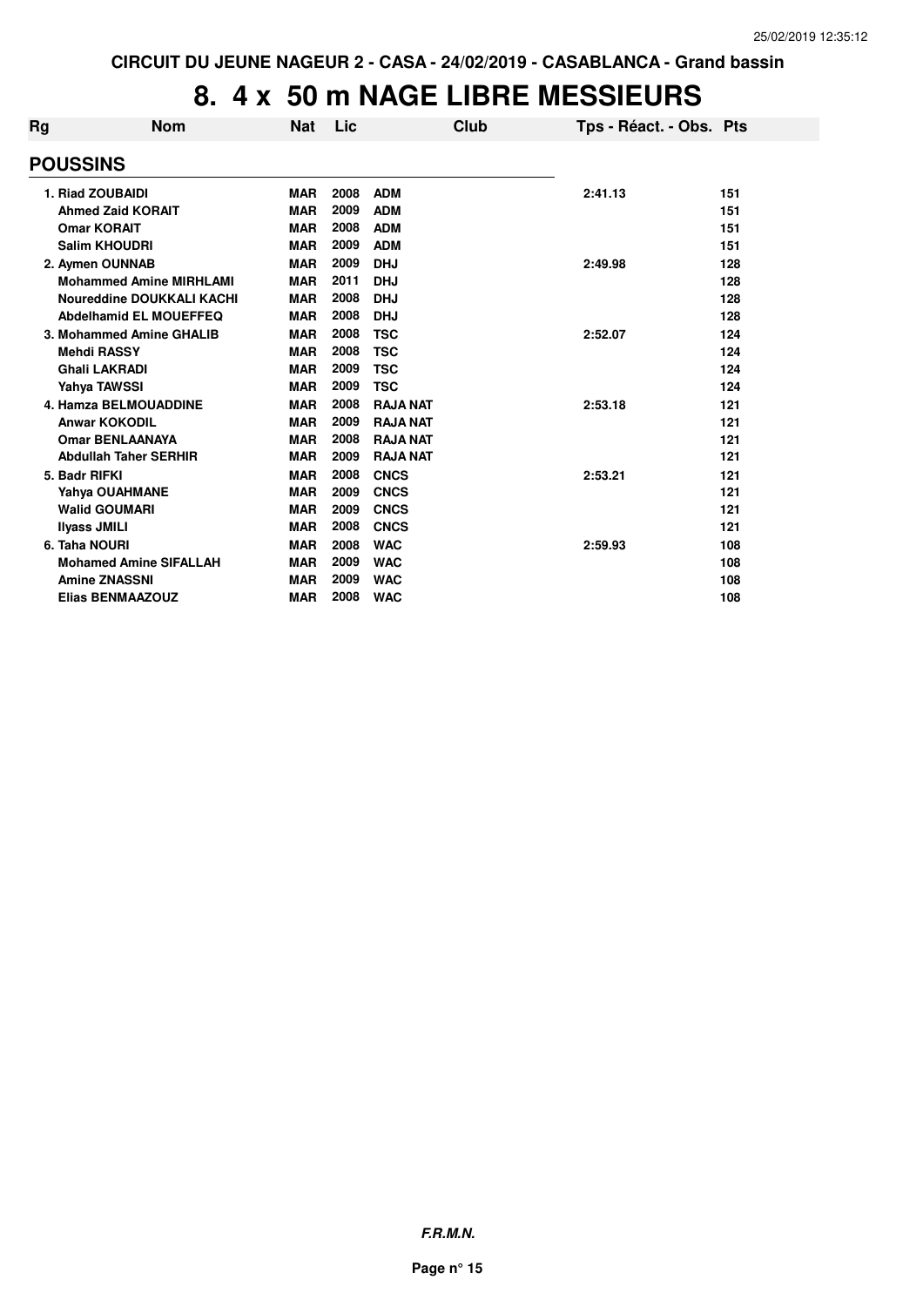| Rg | <b>Nom</b>                       | <b>Nat</b> | Lic  |                 | Club | Tps - Réact. - Obs. Pts |     |
|----|----------------------------------|------------|------|-----------------|------|-------------------------|-----|
|    | <b>POUSSINS</b>                  |            |      |                 |      |                         |     |
|    | 1. Riad ZOUBAIDI                 | <b>MAR</b> | 2008 | <b>ADM</b>      |      | 2:41.13                 | 151 |
|    | <b>Ahmed Zaid KORAIT</b>         | <b>MAR</b> | 2009 | <b>ADM</b>      |      |                         | 151 |
|    | <b>Omar KORAIT</b>               | <b>MAR</b> | 2008 | <b>ADM</b>      |      |                         | 151 |
|    | <b>Salim KHOUDRI</b>             | <b>MAR</b> | 2009 | <b>ADM</b>      |      |                         | 151 |
|    | 2. Aymen OUNNAB                  | <b>MAR</b> | 2009 | <b>DHJ</b>      |      | 2:49.98                 | 128 |
|    | <b>Mohammed Amine MIRHLAMI</b>   | <b>MAR</b> | 2011 | <b>DHJ</b>      |      |                         | 128 |
|    | <b>Noureddine DOUKKALI KACHI</b> | <b>MAR</b> | 2008 | <b>DHJ</b>      |      |                         | 128 |
|    | Abdelhamid EL MOUEFFEQ           | <b>MAR</b> | 2008 | <b>DHJ</b>      |      |                         | 128 |
|    | 3. Mohammed Amine GHALIB         | <b>MAR</b> | 2008 | <b>TSC</b>      |      | 2:52.07                 | 124 |
|    | <b>Mehdi RASSY</b>               | <b>MAR</b> | 2008 | <b>TSC</b>      |      |                         | 124 |
|    | <b>Ghali LAKRADI</b>             | <b>MAR</b> | 2009 | <b>TSC</b>      |      |                         | 124 |
|    | Yahya TAWSSI                     | <b>MAR</b> | 2009 | <b>TSC</b>      |      |                         | 124 |
|    | <b>4. Hamza BELMOUADDINE</b>     | <b>MAR</b> | 2008 | <b>RAJA NAT</b> |      | 2:53.18                 | 121 |
|    | <b>Anwar KOKODIL</b>             | <b>MAR</b> | 2009 | <b>RAJA NAT</b> |      |                         | 121 |
|    | <b>Omar BENLAANAYA</b>           | <b>MAR</b> | 2008 | <b>RAJA NAT</b> |      |                         | 121 |
|    | <b>Abdullah Taher SERHIR</b>     | <b>MAR</b> | 2009 | <b>RAJA NAT</b> |      |                         | 121 |
|    | 5. Badr RIFKI                    | <b>MAR</b> | 2008 | <b>CNCS</b>     |      | 2:53.21                 | 121 |
|    | Yahya OUAHMANE                   | <b>MAR</b> | 2009 | <b>CNCS</b>     |      |                         | 121 |
|    | <b>Walid GOUMARI</b>             | <b>MAR</b> | 2009 | <b>CNCS</b>     |      |                         | 121 |
|    | <b>Ilyass JMILI</b>              | <b>MAR</b> | 2008 | <b>CNCS</b>     |      |                         | 121 |
|    | 6. Taha NOURI                    | <b>MAR</b> | 2008 | <b>WAC</b>      |      | 2:59.93                 | 108 |
|    | <b>Mohamed Amine SIFALLAH</b>    | <b>MAR</b> | 2009 | <b>WAC</b>      |      |                         | 108 |
|    | <b>Amine ZNASSNI</b>             | <b>MAR</b> | 2009 | <b>WAC</b>      |      |                         | 108 |
|    | <b>Elias BENMAAZOUZ</b>          | <b>MAR</b> | 2008 | <b>WAC</b>      |      |                         | 108 |
|    |                                  |            |      |                 |      |                         |     |

**F.R.M.N.**

**Page n° 15**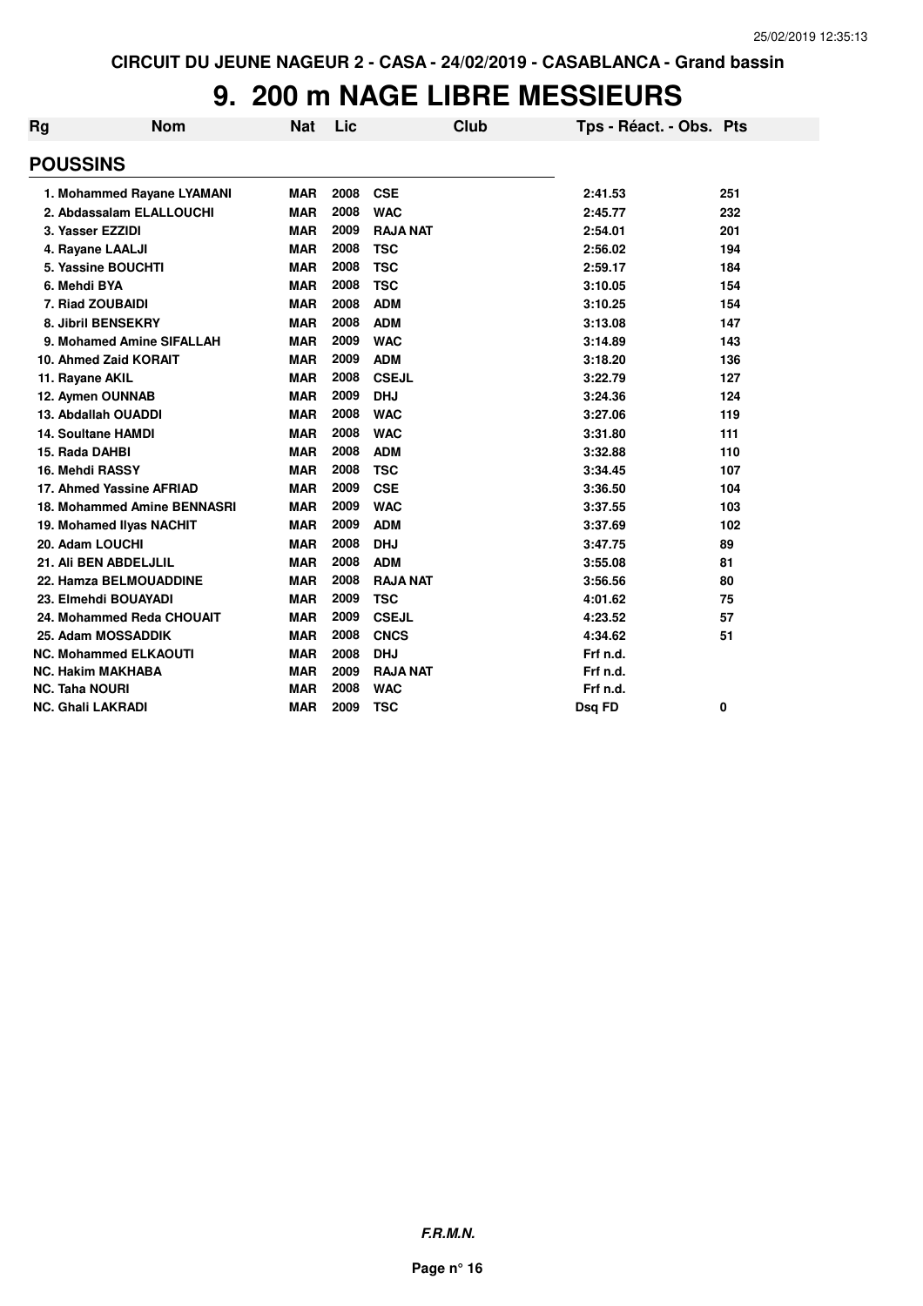| Rg                       | <b>Nom</b>                   | <b>Nat</b> | Lic  | <b>Club</b>     | Tps - Réact. - Obs. Pts |     |
|--------------------------|------------------------------|------------|------|-----------------|-------------------------|-----|
| <b>POUSSINS</b>          |                              |            |      |                 |                         |     |
|                          | 1. Mohammed Rayane LYAMANI   | <b>MAR</b> | 2008 | <b>CSE</b>      | 2:41.53                 | 251 |
|                          | 2. Abdassalam ELALLOUCHI     | <b>MAR</b> | 2008 | <b>WAC</b>      | 2:45.77                 | 232 |
| 3. Yasser EZZIDI         |                              | <b>MAR</b> | 2009 | <b>RAJA NAT</b> | 2:54.01                 | 201 |
|                          | 4. Rayane LAALJI             | <b>MAR</b> | 2008 | <b>TSC</b>      | 2:56.02                 | 194 |
|                          | 5. Yassine BOUCHTI           | <b>MAR</b> | 2008 | <b>TSC</b>      | 2:59.17                 | 184 |
| 6. Mehdi BYA             |                              | <b>MAR</b> | 2008 | <b>TSC</b>      | 3:10.05                 | 154 |
|                          | 7. Riad ZOUBAIDI             | <b>MAR</b> | 2008 | <b>ADM</b>      | 3:10.25                 | 154 |
|                          | 8. Jibril BENSEKRY           | <b>MAR</b> | 2008 | <b>ADM</b>      | 3:13.08                 | 147 |
|                          | 9. Mohamed Amine SIFALLAH    | <b>MAR</b> | 2009 | <b>WAC</b>      | 3:14.89                 | 143 |
|                          | 10. Ahmed Zaid KORAIT        | <b>MAR</b> | 2009 | <b>ADM</b>      | 3:18.20                 | 136 |
| 11. Rayane AKIL          |                              | <b>MAR</b> | 2008 | <b>CSEJL</b>    | 3:22.79                 | 127 |
|                          | 12. Aymen OUNNAB             | <b>MAR</b> | 2009 | <b>DHJ</b>      | 3:24.36                 | 124 |
|                          | 13. Abdallah OUADDI          | <b>MAR</b> | 2008 | <b>WAC</b>      | 3:27.06                 | 119 |
|                          | <b>14. Soultane HAMDI</b>    | <b>MAR</b> | 2008 | <b>WAC</b>      | 3:31.80                 | 111 |
| 15. Rada DAHBI           |                              | <b>MAR</b> | 2008 | <b>ADM</b>      | 3:32.88                 | 110 |
| 16. Mehdi RASSY          |                              | <b>MAR</b> | 2008 | <b>TSC</b>      | 3:34.45                 | 107 |
|                          | 17. Ahmed Yassine AFRIAD     | <b>MAR</b> | 2009 | <b>CSE</b>      | 3:36.50                 | 104 |
|                          | 18. Mohammed Amine BENNASRI  | <b>MAR</b> | 2009 | <b>WAC</b>      | 3:37.55                 | 103 |
|                          | 19. Mohamed Ilyas NACHIT     | <b>MAR</b> | 2009 | <b>ADM</b>      | 3:37.69                 | 102 |
| 20. Adam LOUCHI          |                              | <b>MAR</b> | 2008 | <b>DHJ</b>      | 3:47.75                 | 89  |
|                          | 21. Ali BEN ABDELJLIL        | <b>MAR</b> | 2008 | <b>ADM</b>      | 3:55.08                 | 81  |
|                          | 22. Hamza BELMOUADDINE       | <b>MAR</b> | 2008 | <b>RAJA NAT</b> | 3:56.56                 | 80  |
|                          | 23. Elmehdi BOUAYADI         | <b>MAR</b> | 2009 | <b>TSC</b>      | 4:01.62                 | 75  |
|                          | 24. Mohammed Reda CHOUAIT    | <b>MAR</b> | 2009 | <b>CSEJL</b>    | 4:23.52                 | 57  |
|                          | 25. Adam MOSSADDIK           | <b>MAR</b> | 2008 | <b>CNCS</b>     | 4:34.62                 | 51  |
|                          | <b>NC. Mohammed ELKAOUTI</b> | <b>MAR</b> | 2008 | <b>DHJ</b>      | Frf n.d.                |     |
|                          | <b>NC. Hakim MAKHABA</b>     | <b>MAR</b> | 2009 | <b>RAJA NAT</b> | Frf n.d.                |     |
| <b>NC. Taha NOURI</b>    |                              | <b>MAR</b> | 2008 | <b>WAC</b>      | Frf n.d.                |     |
| <b>NC. Ghali LAKRADI</b> |                              | <b>MAR</b> | 2009 | <b>TSC</b>      | Dsq FD                  | 0   |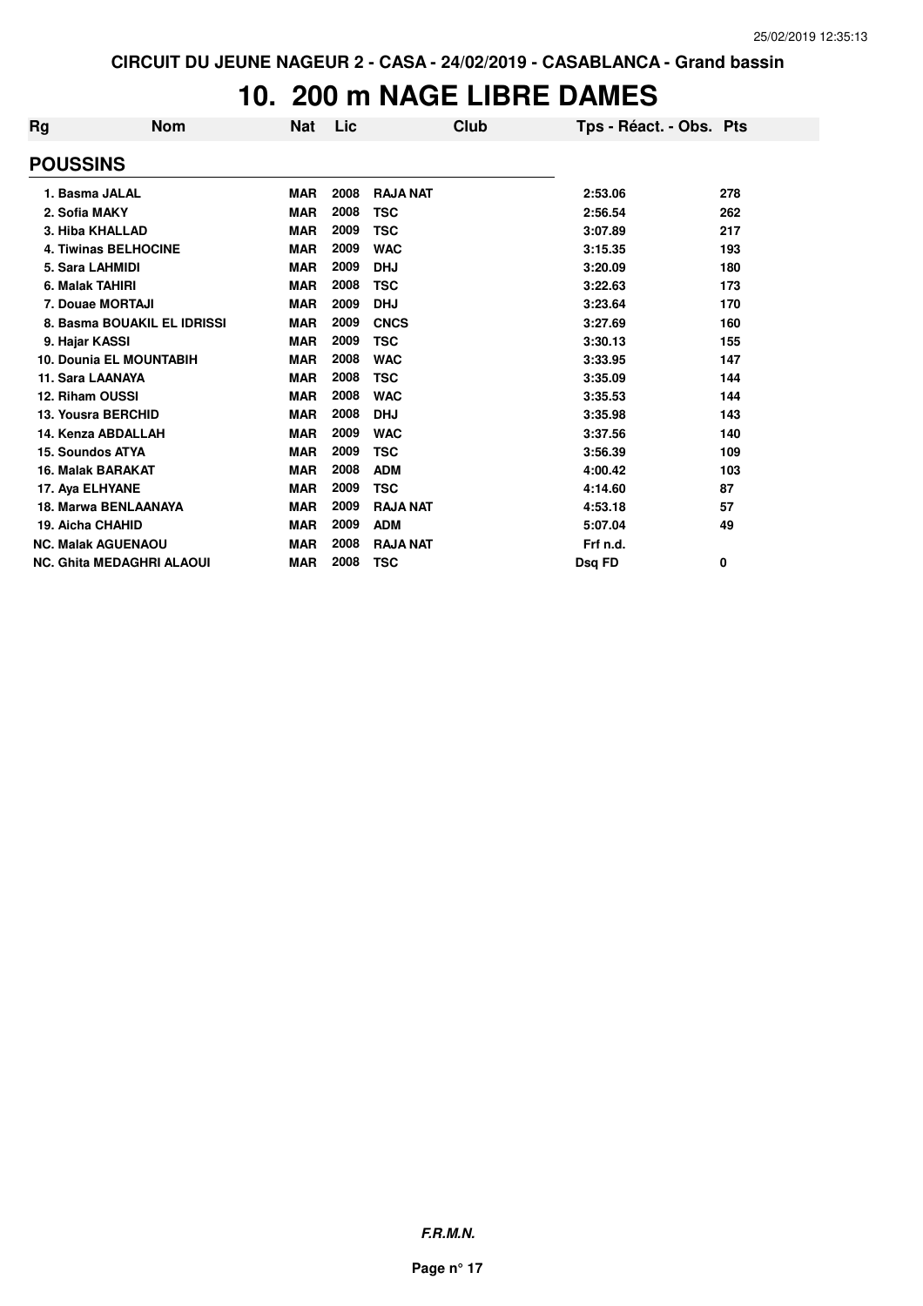### **10. 200 m NAGE LIBRE DAMES**

| Rg | <b>Nom</b>                       | <b>Nat</b> | Lic  |                 | Club | Tps - Réact. - Obs. Pts |     |
|----|----------------------------------|------------|------|-----------------|------|-------------------------|-----|
|    | <b>POUSSINS</b>                  |            |      |                 |      |                         |     |
|    | 1. Basma JALAL                   | <b>MAR</b> | 2008 | <b>RAJA NAT</b> |      | 2:53.06                 | 278 |
|    | 2. Sofia MAKY                    | <b>MAR</b> | 2008 | <b>TSC</b>      |      | 2:56.54                 | 262 |
|    | 3. Hiba KHALLAD                  | <b>MAR</b> | 2009 | <b>TSC</b>      |      | 3:07.89                 | 217 |
|    | <b>4. Tiwinas BELHOCINE</b>      | <b>MAR</b> | 2009 | <b>WAC</b>      |      | 3:15.35                 | 193 |
|    | 5. Sara LAHMIDI                  | <b>MAR</b> | 2009 | <b>DHJ</b>      |      | 3:20.09                 | 180 |
|    | 6. Malak TAHIRI                  | <b>MAR</b> | 2008 | <b>TSC</b>      |      | 3:22.63                 | 173 |
|    | 7. Douae MORTAJI                 | <b>MAR</b> | 2009 | <b>DHJ</b>      |      | 3:23.64                 | 170 |
|    | 8. Basma BOUAKIL EL IDRISSI      | <b>MAR</b> | 2009 | <b>CNCS</b>     |      | 3:27.69                 | 160 |
|    | 9. Hajar KASSI                   | <b>MAR</b> | 2009 | <b>TSC</b>      |      | 3:30.13                 | 155 |
|    | <b>10. Dounia EL MOUNTABIH</b>   | <b>MAR</b> | 2008 | <b>WAC</b>      |      | 3:33.95                 | 147 |
|    | 11. Sara LAANAYA                 | <b>MAR</b> | 2008 | <b>TSC</b>      |      | 3:35.09                 | 144 |
|    | 12. Riham OUSSI                  | <b>MAR</b> | 2008 | <b>WAC</b>      |      | 3:35.53                 | 144 |
|    | <b>13. Yousra BERCHID</b>        | <b>MAR</b> | 2008 | <b>DHJ</b>      |      | 3:35.98                 | 143 |
|    | 14. Kenza ABDALLAH               | <b>MAR</b> | 2009 | <b>WAC</b>      |      | 3:37.56                 | 140 |
|    | 15. Soundos ATYA                 | <b>MAR</b> | 2009 | <b>TSC</b>      |      | 3:56.39                 | 109 |
|    | 16. Malak BARAKAT                | <b>MAR</b> | 2008 | <b>ADM</b>      |      | 4:00.42                 | 103 |
|    | 17. Aya ELHYANE                  | <b>MAR</b> | 2009 | <b>TSC</b>      |      | 4:14.60                 | 87  |
|    | <b>18. Marwa BENLAANAYA</b>      | <b>MAR</b> | 2009 | <b>RAJA NAT</b> |      | 4:53.18                 | 57  |
|    | 19. Aicha CHAHID                 | <b>MAR</b> | 2009 | <b>ADM</b>      |      | 5:07.04                 | 49  |
|    | <b>NC. Malak AGUENAOU</b>        | <b>MAR</b> | 2008 | <b>RAJA NAT</b> |      | Frf n.d.                |     |
|    | <b>NC. Ghita MEDAGHRI ALAOUI</b> | MAR        | 2008 | <b>TSC</b>      |      | Dsq FD                  | 0   |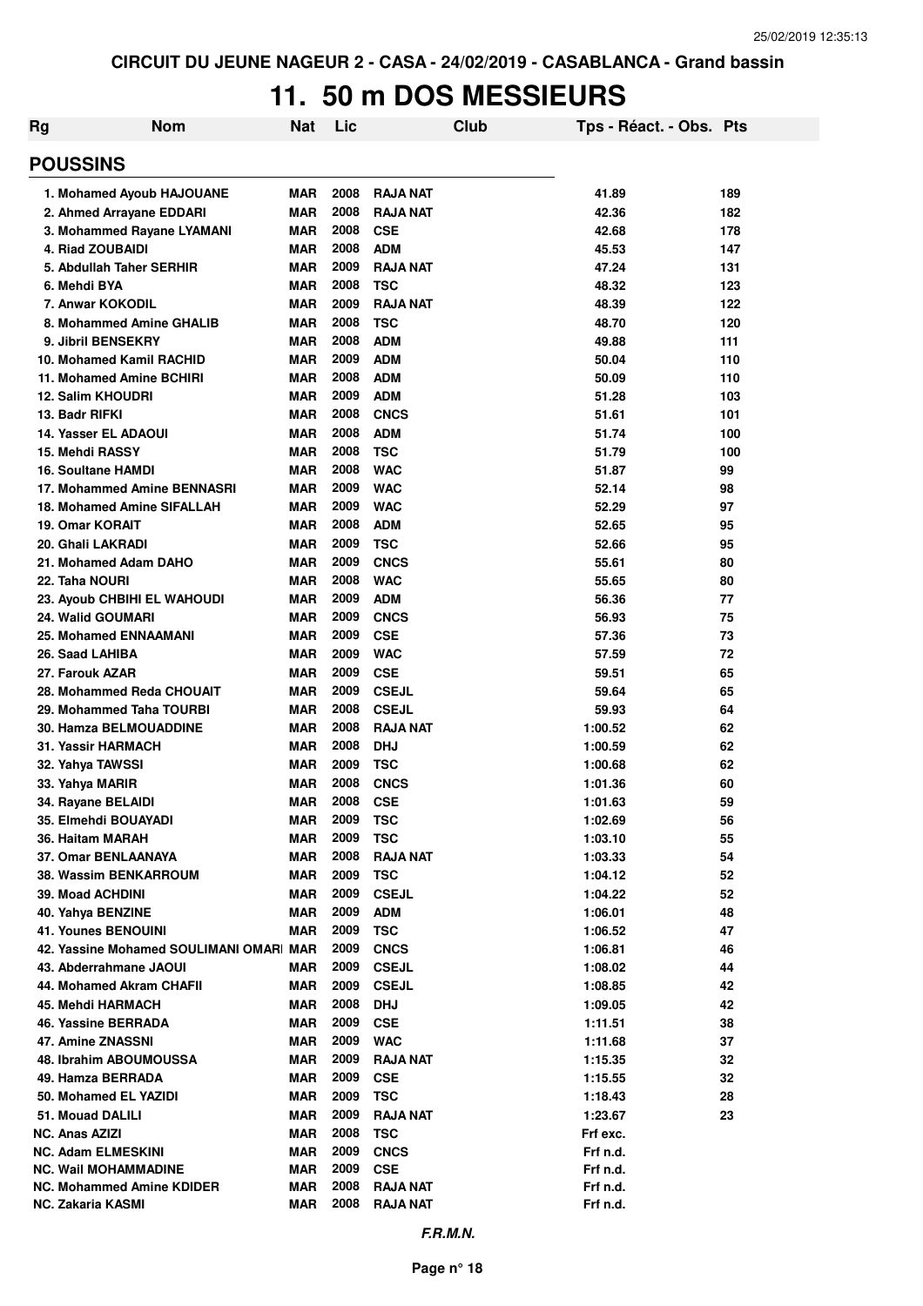## **11. 50 m DOS MESSIEURS**

| Rg | <b>Nom</b>                                               | Nat               | Lic          |                          | Club | Tps - Réact. - Obs. Pts |          |
|----|----------------------------------------------------------|-------------------|--------------|--------------------------|------|-------------------------|----------|
|    | <b>POUSSINS</b>                                          |                   |              |                          |      |                         |          |
|    | 1. Mohamed Ayoub HAJOUANE                                | MAR               | 2008         | <b>RAJA NAT</b>          |      | 41.89                   | 189      |
|    | 2. Ahmed Arrayane EDDARI                                 | <b>MAR</b>        | 2008         | <b>RAJA NAT</b>          |      | 42.36                   | 182      |
|    | 3. Mohammed Rayane LYAMANI                               | MAR               | 2008         | <b>CSE</b>               |      | 42.68                   | 178      |
|    | 4. Riad ZOUBAIDI                                         | <b>MAR</b>        | 2008         | <b>ADM</b>               |      | 45.53                   | 147      |
|    | 5. Abdullah Taher SERHIR                                 | <b>MAR</b>        | 2009         | <b>RAJA NAT</b>          |      | 47.24                   | 131      |
|    | 6. Mehdi BYA                                             | <b>MAR</b>        | 2008         | <b>TSC</b>               |      | 48.32                   | 123      |
|    | 7. Anwar KOKODIL                                         | <b>MAR</b>        | 2009         | <b>RAJA NAT</b>          |      | 48.39                   | 122      |
|    | 8. Mohammed Amine GHALIB                                 | <b>MAR</b>        | 2008         | <b>TSC</b>               |      | 48.70                   | 120      |
|    | 9. Jibril BENSEKRY                                       | <b>MAR</b>        | 2008         | <b>ADM</b>               |      | 49.88                   | 111      |
|    | 10. Mohamed Kamil RACHID                                 | <b>MAR</b>        | 2009         | <b>ADM</b>               |      | 50.04                   | 110      |
|    | 11. Mohamed Amine BCHIRI                                 | <b>MAR</b>        | 2008         | <b>ADM</b>               |      | 50.09                   | 110      |
|    | 12. Salim KHOUDRI                                        | <b>MAR</b>        | 2009         | <b>ADM</b>               |      | 51.28                   | 103      |
|    | 13. Badr RIFKI                                           | <b>MAR</b>        | 2008         | <b>CNCS</b>              |      | 51.61                   | 101      |
|    | <b>14. Yasser EL ADAOUI</b>                              | <b>MAR</b>        | 2008         | <b>ADM</b>               |      | 51.74                   | 100      |
|    | 15. Mehdi RASSY                                          | <b>MAR</b>        | 2008<br>2008 | <b>TSC</b>               |      | 51.79                   | 100      |
|    | <b>16. Soultane HAMDI</b><br>17. Mohammed Amine BENNASRI | <b>MAR</b><br>MAR | 2009         | <b>WAC</b><br><b>WAC</b> |      | 51.87<br>52.14          | 99       |
|    | 18. Mohamed Amine SIFALLAH                               | MAR               | 2009         | <b>WAC</b>               |      | 52.29                   | 98<br>97 |
|    | <b>19. Omar KORAIT</b>                                   | MAR               | 2008         | <b>ADM</b>               |      | 52.65                   | 95       |
|    | 20. Ghali LAKRADI                                        | <b>MAR</b>        | 2009         | <b>TSC</b>               |      | 52.66                   | 95       |
|    | 21. Mohamed Adam DAHO                                    | <b>MAR</b>        | 2009         | <b>CNCS</b>              |      | 55.61                   | 80       |
|    | 22. Taha NOURI                                           | <b>MAR</b>        | 2008         | <b>WAC</b>               |      | 55.65                   | 80       |
|    | <b>23. Ayoub CHBIHI EL WAHOUDI</b>                       | <b>MAR</b>        | 2009         | <b>ADM</b>               |      | 56.36                   | 77       |
|    | <b>24. Walid GOUMARI</b>                                 | <b>MAR</b>        | 2009         | <b>CNCS</b>              |      | 56.93                   | 75       |
|    | <b>25. Mohamed ENNAAMANI</b>                             | <b>MAR</b>        | 2009         | <b>CSE</b>               |      | 57.36                   | 73       |
|    | 26. Saad LAHIBA                                          | <b>MAR</b>        | 2009         | <b>WAC</b>               |      | 57.59                   | 72       |
|    | 27. Farouk AZAR                                          | <b>MAR</b>        | 2009         | <b>CSE</b>               |      | 59.51                   | 65       |
|    | 28. Mohammed Reda CHOUAIT                                | <b>MAR</b>        | 2009         | <b>CSEJL</b>             |      | 59.64                   | 65       |
|    | 29. Mohammed Taha TOURBI                                 | <b>MAR</b>        | 2008         | <b>CSEJL</b>             |      | 59.93                   | 64       |
|    | <b>30. Hamza BELMOUADDINE</b>                            | <b>MAR</b>        | 2008         | <b>RAJA NAT</b>          |      | 1:00.52                 | 62       |
|    | 31. Yassir HARMACH                                       | <b>MAR</b>        | 2008         | <b>DHJ</b>               |      | 1:00.59                 | 62       |
|    | 32. Yahya TAWSSI                                         | <b>MAR</b>        | 2009         | <b>TSC</b>               |      | 1:00.68                 | 62       |
|    | 33. Yahya MARIR                                          | <b>MAR</b>        | 2008         | <b>CNCS</b>              |      | 1:01.36                 | 60       |
|    | 34. Rayane BELAIDI                                       | <b>MAR</b>        | 2008         | <b>CSE</b>               |      | 1:01.63                 | 59       |
|    | 35. Elmehdi BOUAYADI                                     | <b>MAR</b>        | 2009         | <b>TSC</b>               |      | 1:02.69                 | 56       |
|    | 36. Haitam MARAH                                         | <b>MAR</b>        | 2009         | <b>TSC</b>               |      | 1:03.10                 | 55       |
|    | 37. Omar BENLAANAYA                                      | <b>MAR</b>        | 2008         | <b>RAJA NAT</b>          |      | 1:03.33                 | 54       |
|    | 38. Wassim BENKARROUM                                    | <b>MAR</b>        | 2009         | <b>TSC</b>               |      | 1:04.12                 | 52       |
|    | 39. Moad ACHDINI                                         | <b>MAR</b>        | 2009         | <b>CSEJL</b>             |      | 1:04.22                 | 52       |
|    | 40. Yahya BENZINE                                        | <b>MAR</b>        | 2009         | <b>ADM</b>               |      | 1:06.01                 | 48       |
|    | <b>41. Younes BENOUINI</b>                               | <b>MAR</b>        | 2009         | <b>TSC</b>               |      | 1:06.52                 | 47       |
|    | 42. Yassine Mohamed SOULIMANI OMAR MAR                   |                   | 2009         | <b>CNCS</b>              |      | 1:06.81                 | 46       |
|    | 43. Abderrahmane JAOUI                                   | MAR               | 2009         | <b>CSEJL</b>             |      | 1:08.02                 | 44       |
|    | 44. Mohamed Akram CHAFII                                 | <b>MAR</b>        | 2009<br>2008 | <b>CSEJL</b>             |      | 1:08.85                 | 42       |
|    | <b>45. Mehdi HARMACH</b><br>46. Yassine BERRADA          | MAR               | 2009         | <b>DHJ</b>               |      | 1:09.05                 | 42       |
|    | 47. Amine ZNASSNI                                        | <b>MAR</b><br>MAR | 2009         | <b>CSE</b><br><b>WAC</b> |      | 1:11.51                 | 38<br>37 |
|    | 48. Ibrahim ABOUMOUSSA                                   | <b>MAR</b>        | 2009         | <b>RAJA NAT</b>          |      | 1:11.68<br>1:15.35      | 32       |
|    | 49. Hamza BERRADA                                        | <b>MAR</b>        | 2009         | <b>CSE</b>               |      | 1:15.55                 | 32       |
|    | 50. Mohamed EL YAZIDI                                    | MAR               | 2009         | <b>TSC</b>               |      | 1:18.43                 | 28       |
|    | 51. Mouad DALILI                                         | MAR               | 2009         | <b>RAJA NAT</b>          |      | 1:23.67                 | 23       |
|    | <b>NC. Anas AZIZI</b>                                    | <b>MAR</b>        | 2008         | <b>TSC</b>               |      | Frf exc.                |          |
|    | <b>NC. Adam ELMESKINI</b>                                | <b>MAR</b>        | 2009         | <b>CNCS</b>              |      | Frf n.d.                |          |
|    | <b>NC. Wail MOHAMMADINE</b>                              | <b>MAR</b>        | 2009         | <b>CSE</b>               |      | Frf n.d.                |          |
|    | NC. Mohammed Amine KDIDER                                | <b>MAR</b>        | 2008         | <b>RAJA NAT</b>          |      | Frf n.d.                |          |
|    | NC. Zakaria KASMI                                        | <b>MAR</b>        | 2008         | <b>RAJA NAT</b>          |      | Frf n.d.                |          |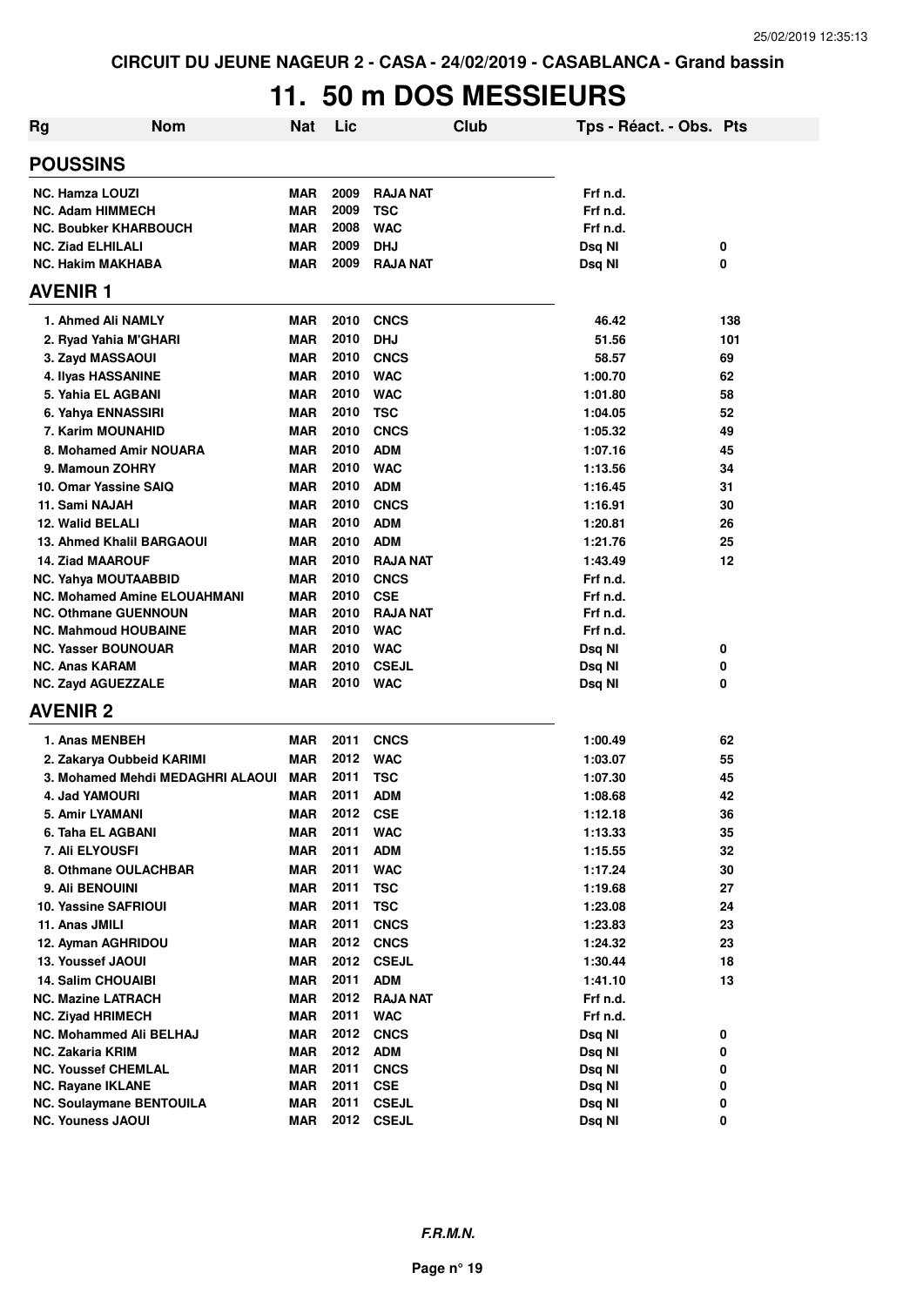# **11. 50 m DOS MESSIEURS**

| <b>Rg</b>                                          | <b>Nom</b>                          | <b>Nat</b>               | Lic          | Club                       | Tps - Réact. - Obs. Pts |          |
|----------------------------------------------------|-------------------------------------|--------------------------|--------------|----------------------------|-------------------------|----------|
| <b>POUSSINS</b>                                    |                                     |                          |              |                            |                         |          |
| <b>NC. Hamza LOUZI</b>                             |                                     | <b>MAR</b>               | 2009         | <b>RAJA NAT</b>            | Frf n.d.                |          |
| <b>NC. Adam HIMMECH</b>                            |                                     | <b>MAR</b>               | 2009         | <b>TSC</b>                 | Frf n.d.                |          |
|                                                    | <b>NC. Boubker KHARBOUCH</b>        | <b>MAR</b>               | 2008         | <b>WAC</b>                 | Frf n.d.                |          |
| <b>NC. Ziad ELHILALI</b>                           |                                     | <b>MAR</b>               | 2009         | <b>DHJ</b>                 | Dsq NI                  | 0        |
| <b>NC. Hakim MAKHABA</b>                           |                                     | MAR                      | 2009         | <b>RAJA NAT</b>            | Dsq NI                  | 0        |
| <b>AVENIR1</b>                                     |                                     |                          |              |                            |                         |          |
| 1. Ahmed Ali NAMLY                                 |                                     | <b>MAR</b>               | 2010         | <b>CNCS</b>                | 46.42                   | 138      |
|                                                    | 2. Ryad Yahia M'GHARI               | <b>MAR</b>               | 2010         | <b>DHJ</b>                 | 51.56                   | 101      |
| 3. Zayd MASSAOUI                                   |                                     | <b>MAR</b>               | 2010         | <b>CNCS</b>                | 58.57                   | 69       |
| 4. Ilyas HASSANINE                                 |                                     | <b>MAR</b>               | 2010         | <b>WAC</b>                 | 1:00.70                 | 62       |
| 5. Yahia EL AGBANI                                 |                                     | <b>MAR</b>               | 2010         | <b>WAC</b>                 | 1:01.80                 | 58       |
| 6. Yahya ENNASSIRI                                 |                                     | <b>MAR</b>               | 2010         | <b>TSC</b>                 | 1:04.05                 | 52       |
| 7. Karim MOUNAHID                                  |                                     | <b>MAR</b>               | 2010         | <b>CNCS</b>                | 1:05.32                 | 49       |
|                                                    | 8. Mohamed Amir NOUARA              | <b>MAR</b>               | 2010         | <b>ADM</b>                 | 1:07.16                 | 45       |
| 9. Mamoun ZOHRY                                    |                                     | <b>MAR</b>               | 2010         | <b>WAC</b>                 | 1:13.56                 | 34       |
| 10. Omar Yassine SAIQ                              |                                     | <b>MAR</b>               | 2010         | <b>ADM</b>                 | 1:16.45                 | 31       |
| 11. Sami NAJAH                                     |                                     | <b>MAR</b>               | 2010         | <b>CNCS</b>                | 1:16.91                 | 30       |
| 12. Walid BELALI                                   |                                     | <b>MAR</b>               | 2010         | <b>ADM</b>                 | 1:20.81                 | 26       |
|                                                    | <b>13. Ahmed Khalil BARGAOUI</b>    | <b>MAR</b>               | 2010         | <b>ADM</b>                 | 1:21.76                 | 25       |
| <b>14. Ziad MAAROUF</b>                            |                                     | <b>MAR</b>               | 2010         | <b>RAJA NAT</b>            | 1:43.49                 | 12       |
| NC. Yahya MOUTAABBID                               |                                     | MAR                      | 2010         | <b>CNCS</b>                | Frf n.d.                |          |
|                                                    | <b>NC. Mohamed Amine ELOUAHMANI</b> | MAR                      | 2010         | <b>CSE</b>                 | Frf n.d.                |          |
|                                                    | <b>NC. Othmane GUENNOUN</b>         | <b>MAR</b>               | 2010         | <b>RAJA NAT</b>            | Frf n.d.                |          |
|                                                    | <b>NC. Mahmoud HOUBAINE</b>         | <b>MAR</b>               | 2010         | <b>WAC</b>                 | Frf n.d.                |          |
| <b>NC. Yasser BOUNOUAR</b>                         |                                     | <b>MAR</b>               | 2010<br>2010 | <b>WAC</b>                 | Dsq NI                  | 0        |
| <b>NC. Anas KARAM</b><br><b>NC. Zayd AGUEZZALE</b> |                                     | <b>MAR</b><br><b>MAR</b> | 2010         | <b>CSEJL</b><br><b>WAC</b> | Dsq NI<br>Dsq NI        | 0<br>0   |
| <b>AVENIR 2</b>                                    |                                     |                          |              |                            |                         |          |
|                                                    |                                     |                          |              |                            |                         |          |
| 1. Anas MENBEH                                     |                                     | <b>MAR</b>               | 2011         | <b>CNCS</b>                | 1:00.49                 | 62       |
|                                                    | 2. Zakarya Oubbeid KARIMI           | <b>MAR</b>               | 2012         | <b>WAC</b>                 | 1:03.07                 | 55       |
|                                                    | 3. Mohamed Mehdi MEDAGHRI ALAOUI    | MAR                      | 2011<br>2011 | <b>TSC</b>                 | 1:07.30                 | 45       |
| 4. Jad YAMOURI                                     |                                     | MAR                      |              | <b>ADM</b>                 | 1:08.68<br>1:12.18      | 42<br>36 |
| 5. Amir LYAMANI                                    |                                     | <b>MAR</b>               | 2012<br>2011 | <b>CSE</b>                 |                         |          |
| 6. Taha EL AGBANI<br>7. Ali ELYOUSFI               |                                     | MAR<br><b>MAR</b>        | 2011         | <b>WAC</b><br><b>ADM</b>   | 1:13.33                 | 35<br>32 |
|                                                    | 8. Othmane OULACHBAR                | <b>MAR</b>               | 2011         | <b>WAC</b>                 | 1:15.55<br>1:17.24      | 30       |
| 9. Ali BENOUINI                                    |                                     | <b>MAR</b>               | 2011         | <b>TSC</b>                 | 1:19.68                 | 27       |
| <b>10. Yassine SAFRIOUI</b>                        |                                     | <b>MAR</b>               | 2011         | <b>TSC</b>                 | 1:23.08                 | 24       |
| 11. Anas JMILI                                     |                                     | <b>MAR</b>               | 2011         | <b>CNCS</b>                | 1:23.83                 | 23       |
| 12. Ayman AGHRIDOU                                 |                                     | <b>MAR</b>               | 2012         | <b>CNCS</b>                | 1:24.32                 | 23       |
| 13. Youssef JAOUI                                  |                                     | <b>MAR</b>               | 2012         | <b>CSEJL</b>               | 1:30.44                 | 18       |
| <b>14. Salim CHOUAIBI</b>                          |                                     | <b>MAR</b>               | 2011         | <b>ADM</b>                 | 1:41.10                 | 13       |
| <b>NC. Mazine LATRACH</b>                          |                                     | <b>MAR</b>               | 2012         | <b>RAJA NAT</b>            | Frf n.d.                |          |
| <b>NC. Ziyad HRIMECH</b>                           |                                     | <b>MAR</b>               | 2011         | <b>WAC</b>                 | Frf n.d.                |          |
|                                                    | NC. Mohammed Ali BELHAJ             | MAR                      | 2012         | <b>CNCS</b>                | Dsq NI                  | 0        |
| <b>NC. Zakaria KRIM</b>                            |                                     | MAR                      | 2012         | <b>ADM</b>                 | Dsq NI                  | 0        |
| <b>NC. Youssef CHEMLAL</b>                         |                                     | <b>MAR</b>               | 2011         | <b>CNCS</b>                | Dsq NI                  | 0        |
| NC. Rayane IKLANE                                  |                                     | <b>MAR</b>               | 2011         | <b>CSE</b>                 | Dsq NI                  | 0        |
|                                                    | <b>NC. Soulaymane BENTOUILA</b>     | <b>MAR</b>               | 2011         | <b>CSEJL</b>               | Dsq NI                  | 0        |
| <b>NC. Youness JAOUI</b>                           |                                     | <b>MAR</b>               | 2012         | <b>CSEJL</b>               | Dsq NI                  | 0        |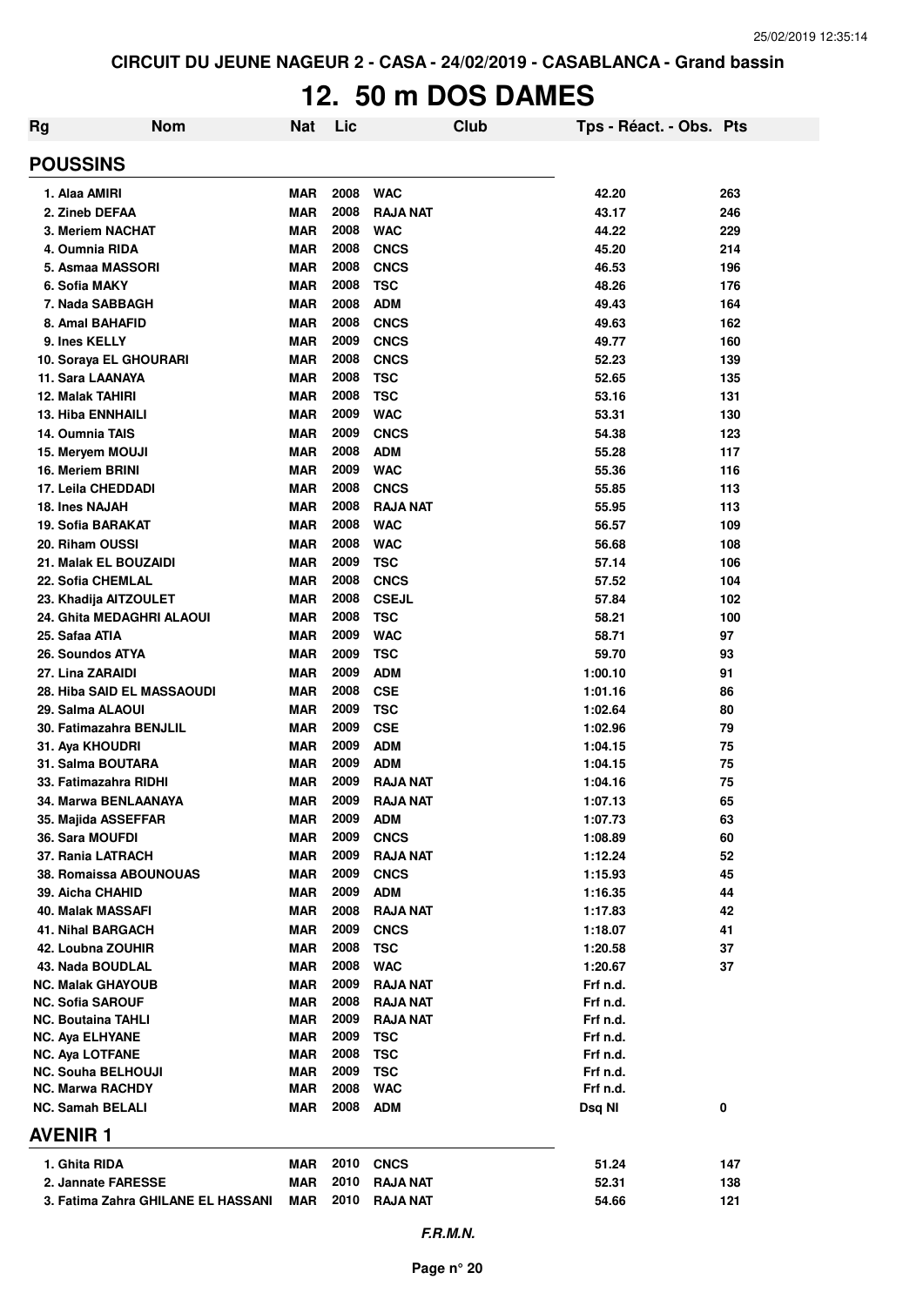# **12. 50 m DOS DAMES**

| Rg | <b>Nom</b>                                          | Nat                      | Lic          | <b>Club</b>                        | Tps - Réact. - Obs. Pts |            |
|----|-----------------------------------------------------|--------------------------|--------------|------------------------------------|-------------------------|------------|
|    | <b>POUSSINS</b>                                     |                          |              |                                    |                         |            |
|    | 1. Alaa AMIRI                                       | <b>MAR</b>               | 2008         | <b>WAC</b>                         | 42.20                   | 263        |
|    | 2. Zineb DEFAA                                      | <b>MAR</b>               | 2008         | <b>RAJA NAT</b>                    | 43.17                   | 246        |
|    | 3. Meriem NACHAT                                    | <b>MAR</b>               | 2008         | <b>WAC</b>                         | 44.22                   | 229        |
|    | 4. Oumnia RIDA                                      | <b>MAR</b>               | 2008         | <b>CNCS</b>                        | 45.20                   | 214        |
|    | 5. Asmaa MASSORI                                    | <b>MAR</b>               | 2008         | <b>CNCS</b>                        | 46.53                   | 196        |
|    | 6. Sofia MAKY                                       | <b>MAR</b>               | 2008         | <b>TSC</b>                         | 48.26                   | 176        |
|    | 7. Nada SABBAGH                                     | <b>MAR</b>               | 2008         | <b>ADM</b>                         | 49.43                   | 164        |
|    | 8. Amal BAHAFID                                     | <b>MAR</b>               | 2008         | <b>CNCS</b>                        | 49.63                   | 162        |
|    | 9. Ines KELLY                                       | <b>MAR</b>               | 2009         | <b>CNCS</b>                        | 49.77                   | 160        |
|    | 10. Soraya EL GHOURARI                              | <b>MAR</b>               | 2008         | <b>CNCS</b>                        | 52.23                   | 139        |
|    | 11. Sara LAANAYA                                    | <b>MAR</b>               | 2008         | <b>TSC</b>                         | 52.65                   | 135        |
|    | <b>12. Malak TAHIRI</b><br><b>13. Hiba ENNHAILI</b> | <b>MAR</b><br><b>MAR</b> | 2008<br>2009 | <b>TSC</b><br><b>WAC</b>           | 53.16                   | 131        |
|    | 14. Oumnia TAIS                                     | <b>MAR</b>               | 2009         | <b>CNCS</b>                        | 53.31<br>54.38          | 130<br>123 |
|    | 15. Meryem MOUJI                                    | <b>MAR</b>               | 2008         | <b>ADM</b>                         | 55.28                   | 117        |
|    | 16. Meriem BRINI                                    | <b>MAR</b>               | 2009         | <b>WAC</b>                         | 55.36                   | 116        |
|    | 17. Leila CHEDDADI                                  | <b>MAR</b>               | 2008         | <b>CNCS</b>                        | 55.85                   | 113        |
|    | 18. Ines NAJAH                                      | <b>MAR</b>               | 2008         | <b>RAJA NAT</b>                    | 55.95                   | 113        |
|    | 19. Sofia BARAKAT                                   | <b>MAR</b>               | 2008         | <b>WAC</b>                         | 56.57                   | 109        |
|    | 20. Riham OUSSI                                     | <b>MAR</b>               | 2008         | <b>WAC</b>                         | 56.68                   | 108        |
|    | 21. Malak EL BOUZAIDI                               | <b>MAR</b>               | 2009         | <b>TSC</b>                         | 57.14                   | 106        |
|    | 22. Sofia CHEMLAL                                   | <b>MAR</b>               | 2008         | <b>CNCS</b>                        | 57.52                   | 104        |
|    | 23. Khadija AITZOULET                               | <b>MAR</b>               | 2008         | <b>CSEJL</b>                       | 57.84                   | 102        |
|    | 24. Ghita MEDAGHRI ALAOUI                           | <b>MAR</b>               | 2008         | <b>TSC</b>                         | 58.21                   | 100        |
|    | 25. Safaa ATIA                                      | <b>MAR</b>               | 2009         | <b>WAC</b>                         | 58.71                   | 97         |
|    | 26. Soundos ATYA                                    | <b>MAR</b>               | 2009         | <b>TSC</b>                         | 59.70                   | 93         |
|    | 27. Lina ZARAIDI                                    | <b>MAR</b>               | 2009         | <b>ADM</b>                         | 1:00.10                 | 91         |
|    | <b>28. Hiba SAID EL MASSAOUDI</b>                   | <b>MAR</b>               | 2008         | <b>CSE</b>                         | 1:01.16                 | 86         |
|    | 29. Salma ALAOUI                                    | <b>MAR</b>               | 2009         | <b>TSC</b>                         | 1:02.64                 | 80         |
|    | 30. Fatimazahra BENJLIL                             | <b>MAR</b>               | 2009         | <b>CSE</b>                         | 1:02.96                 | 79         |
|    | 31. Aya KHOUDRI                                     | <b>MAR</b>               | 2009         | <b>ADM</b>                         | 1:04.15                 | 75         |
|    | 31. Salma BOUTARA                                   | <b>MAR</b>               | 2009         | <b>ADM</b>                         | 1:04.15                 | 75         |
|    | 33. Fatimazahra RIDHI                               | <b>MAR</b>               | 2009         | <b>RAJA NAT</b>                    | 1:04.16                 | 75         |
|    | 34. Marwa BENLAANAYA                                | <b>MAR</b>               | 2009         | <b>RAJA NAT</b>                    | 1:07.13                 | 65         |
|    | 35. Majida ASSEFFAR                                 | <b>MAR</b>               | 2009         | <b>ADM</b>                         | 1:07.73                 | 63         |
|    | 36. Sara MOUFDI                                     | <b>MAR</b>               | 2009         | <b>CNCS</b>                        | 1:08.89                 | 60         |
|    | 37. Rania LATRACH                                   | <b>MAR</b>               | 2009         | <b>RAJA NAT</b>                    | 1:12.24                 | 52         |
|    | <b>38. Romaissa ABOUNOUAS</b>                       | <b>MAR</b>               | 2009         | <b>CNCS</b>                        | 1:15.93                 | 45         |
|    | 39. Aicha CHAHID                                    | <b>MAR</b>               | 2009         | <b>ADM</b>                         | 1:16.35                 | 44         |
|    | 40. Malak MASSAFI                                   | <b>MAR</b>               | 2008         | <b>RAJA NAT</b>                    | 1:17.83                 | 42         |
|    | <b>41. Nihal BARGACH</b>                            | <b>MAR</b>               | 2009         | <b>CNCS</b>                        | 1:18.07                 | 41         |
|    | 42. Loubna ZOUHIR                                   | <b>MAR</b>               | 2008         | <b>TSC</b>                         | 1:20.58                 | 37         |
|    | 43. Nada BOUDLAL                                    | <b>MAR</b><br><b>MAR</b> | 2008<br>2009 | <b>WAC</b>                         | 1:20.67                 | 37         |
|    | <b>NC. Malak GHAYOUB</b><br><b>NC. Sofia SAROUF</b> | <b>MAR</b>               | 2008         | <b>RAJA NAT</b><br><b>RAJA NAT</b> | Frf n.d.<br>Frf n.d.    |            |
|    | <b>NC. Boutaina TAHLI</b>                           | <b>MAR</b>               | 2009         | RAJA NAT                           | Frf n.d.                |            |
|    | <b>NC. Aya ELHYANE</b>                              | <b>MAR</b>               | 2009         | TSC                                | Frf n.d.                |            |
|    | <b>NC. Aya LOTFANE</b>                              | <b>MAR</b>               | 2008         | <b>TSC</b>                         | Frf n.d.                |            |
|    | <b>NC. Souha BELHOUJI</b>                           | <b>MAR</b>               | 2009         | <b>TSC</b>                         | Frf n.d.                |            |
|    | <b>NC. Marwa RACHDY</b>                             | <b>MAR</b>               | 2008         | <b>WAC</b>                         | Frf n.d.                |            |
|    | <b>NC. Samah BELALI</b>                             | <b>MAR</b>               | 2008         | <b>ADM</b>                         | Dsq NI                  | 0          |
|    | <b>AVENIR 1</b>                                     |                          |              |                                    |                         |            |
|    | 1. Ghita RIDA                                       | MAR                      | 2010         | <b>CNCS</b>                        | 51.24                   | 147        |
|    | 2. Jannate FARESSE                                  | <b>MAR</b>               | 2010         | <b>RAJA NAT</b>                    | 52.31                   | 138        |
|    | 3. Fatima Zahra GHILANE EL HASSANI                  | <b>MAR</b>               | 2010         | <b>RAJA NAT</b>                    | 54.66                   | 121        |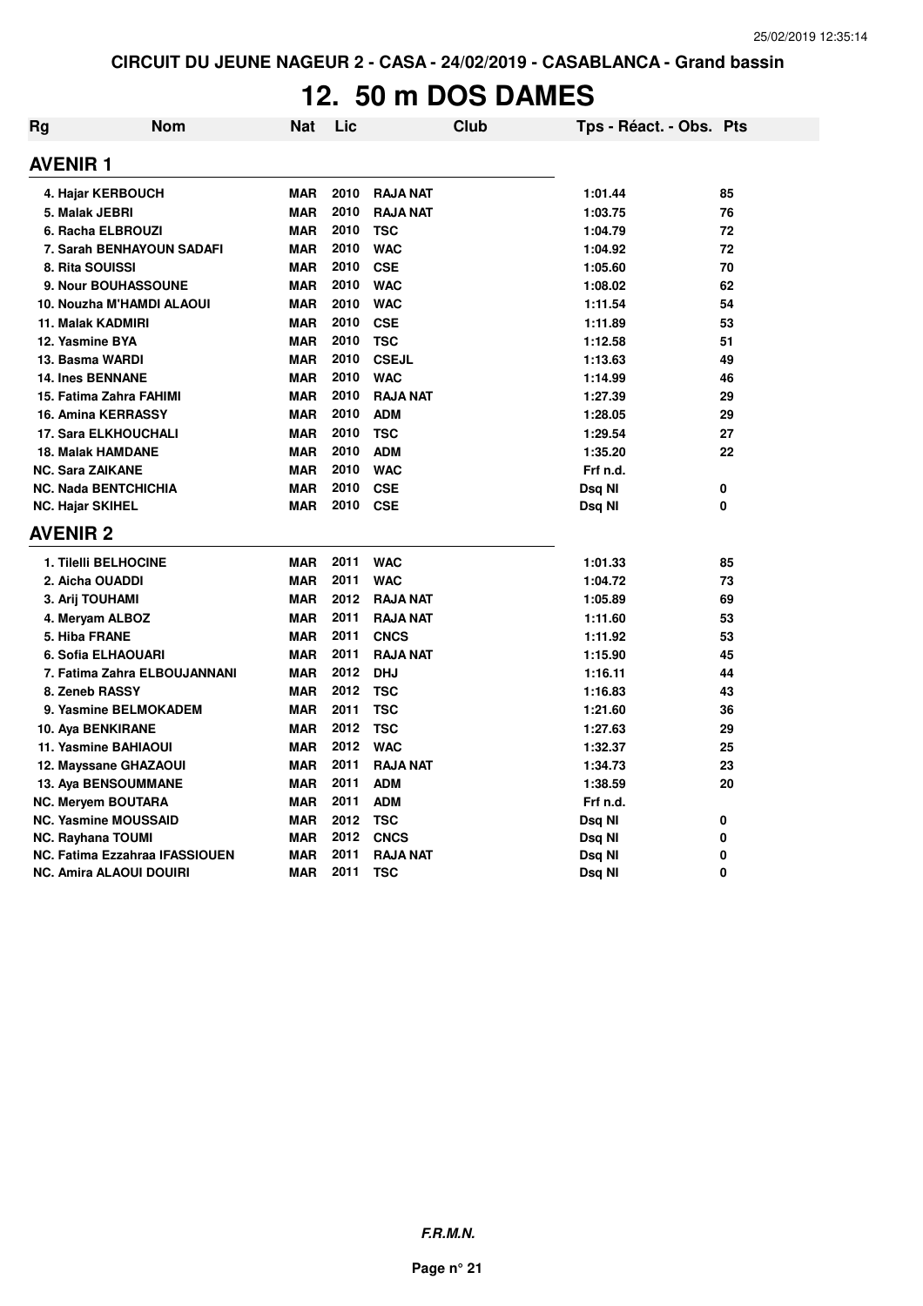# **12. 50 m DOS DAMES**

| Rg                       | <b>Nom</b>                            | <b>Nat</b> | Lic  | <b>Club</b>     | Tps - Réact. - Obs. Pts |          |
|--------------------------|---------------------------------------|------------|------|-----------------|-------------------------|----------|
| <b>AVENIR 1</b>          |                                       |            |      |                 |                         |          |
|                          | 4. Hajar KERBOUCH                     | <b>MAR</b> | 2010 | <b>RAJA NAT</b> | 1:01.44                 | 85       |
| 5. Malak JEBRI           |                                       | <b>MAR</b> | 2010 | <b>RAJA NAT</b> | 1:03.75                 | 76       |
|                          | 6. Racha ELBROUZI                     | <b>MAR</b> | 2010 | <b>TSC</b>      | 1:04.79                 | 72       |
|                          | 7. Sarah BENHAYOUN SADAFI             | <b>MAR</b> | 2010 | <b>WAC</b>      | 1:04.92                 | 72       |
| 8. Rita SOUISSI          |                                       | <b>MAR</b> | 2010 | <b>CSE</b>      | 1:05.60                 | 70       |
|                          | 9. Nour BOUHASSOUNE                   | <b>MAR</b> | 2010 | <b>WAC</b>      | 1:08.02                 | 62       |
|                          | 10. Nouzha M'HAMDI ALAOUI             | <b>MAR</b> | 2010 | <b>WAC</b>      | 1:11.54                 | 54       |
| 11. Malak KADMIRI        |                                       | <b>MAR</b> | 2010 | <b>CSE</b>      | 1:11.89                 | 53       |
| 12. Yasmine BYA          |                                       | <b>MAR</b> | 2010 | <b>TSC</b>      | 1:12.58                 | 51       |
| 13. Basma WARDI          |                                       | <b>MAR</b> | 2010 | <b>CSEJL</b>    | 1:13.63                 | 49       |
| <b>14. Ines BENNANE</b>  |                                       | <b>MAR</b> | 2010 | <b>WAC</b>      | 1:14.99                 | 46       |
|                          | 15. Fatima Zahra FAHIMI               | <b>MAR</b> | 2010 | <b>RAJA NAT</b> | 1:27.39                 | 29       |
|                          | <b>16. Amina KERRASSY</b>             | <b>MAR</b> | 2010 | <b>ADM</b>      | 1:28.05                 | 29       |
|                          | <b>17. Sara ELKHOUCHALI</b>           | <b>MAR</b> | 2010 | <b>TSC</b>      | 1:29.54                 | 27       |
| <b>18. Malak HAMDANE</b> |                                       | <b>MAR</b> | 2010 | <b>ADM</b>      | 1:35.20                 | 22       |
| <b>NC. Sara ZAIKANE</b>  |                                       | <b>MAR</b> | 2010 | <b>WAC</b>      | Frf n.d.                |          |
|                          | <b>NC. Nada BENTCHICHIA</b>           | <b>MAR</b> | 2010 | <b>CSE</b>      | Dsq NI                  | 0        |
| <b>NC. Hajar SKIHEL</b>  |                                       | <b>MAR</b> | 2010 | <b>CSE</b>      | Dsq Nl                  | 0        |
| <b>AVENIR 2</b>          |                                       |            |      |                 |                         |          |
|                          | 1. Tilelli BELHOCINE                  | <b>MAR</b> | 2011 | <b>WAC</b>      | 1:01.33                 | 85       |
| 2. Aicha OUADDI          |                                       | <b>MAR</b> | 2011 | <b>WAC</b>      | 1:04.72                 | 73       |
| 3. Arij TOUHAMI          |                                       | <b>MAR</b> | 2012 | <b>RAJA NAT</b> | 1:05.89                 | 69       |
| 4. Meryam ALBOZ          |                                       | <b>MAR</b> | 2011 | <b>RAJA NAT</b> | 1:11.60                 | 53       |
| 5. Hiba FRANE            |                                       | <b>MAR</b> | 2011 | <b>CNCS</b>     | 1:11.92                 | 53       |
|                          | 6. Sofia ELHAOUARI                    | <b>MAR</b> | 2011 | <b>RAJA NAT</b> | 1:15.90                 | 45       |
|                          | 7. Fatima Zahra ELBOUJANNANI          | <b>MAR</b> | 2012 | <b>DHJ</b>      | 1:16.11                 | 44       |
| 8. Zeneb RASSY           |                                       | <b>MAR</b> | 2012 | <b>TSC</b>      | 1:16.83                 | 43       |
|                          | 9. Yasmine BELMOKADEM                 | <b>MAR</b> | 2011 | <b>TSC</b>      | 1:21.60                 | 36       |
| 10. Aya BENKIRANE        |                                       | <b>MAR</b> | 2012 | <b>TSC</b>      | 1:27.63                 | 29       |
|                          | 11. Yasmine BAHIAOUI                  | <b>MAR</b> | 2012 | <b>WAC</b>      | 1:32.37                 | 25       |
|                          | 12. Mayssane GHAZAOUI                 | <b>MAR</b> | 2011 | <b>RAJA NAT</b> | 1:34.73                 | 23       |
|                          | <b>13. Aya BENSOUMMANE</b>            | <b>MAR</b> | 2011 | <b>ADM</b>      | 1:38.59                 | 20       |
| NC. Meryem BOUTARA       |                                       | <b>MAR</b> | 2011 | <b>ADM</b>      | Frf n.d.                |          |
|                          | <b>NC. Yasmine MOUSSAID</b>           | <b>MAR</b> | 2012 | <b>TSC</b>      | Dsq NI                  | 0        |
| NC. Rayhana TOUMI        |                                       | <b>MAR</b> | 2012 | <b>CNCS</b>     | Dsq NI                  | 0        |
|                          | <b>NC. Fatima Ezzahraa IFASSIOUEN</b> | <b>MAR</b> | 2011 | <b>RAJA NAT</b> | Dsq NI                  | 0        |
|                          | NC. Amira ALAOUI DOUIRI               | <b>MAR</b> | 2011 | TSC             | Dsq NI                  | $\Omega$ |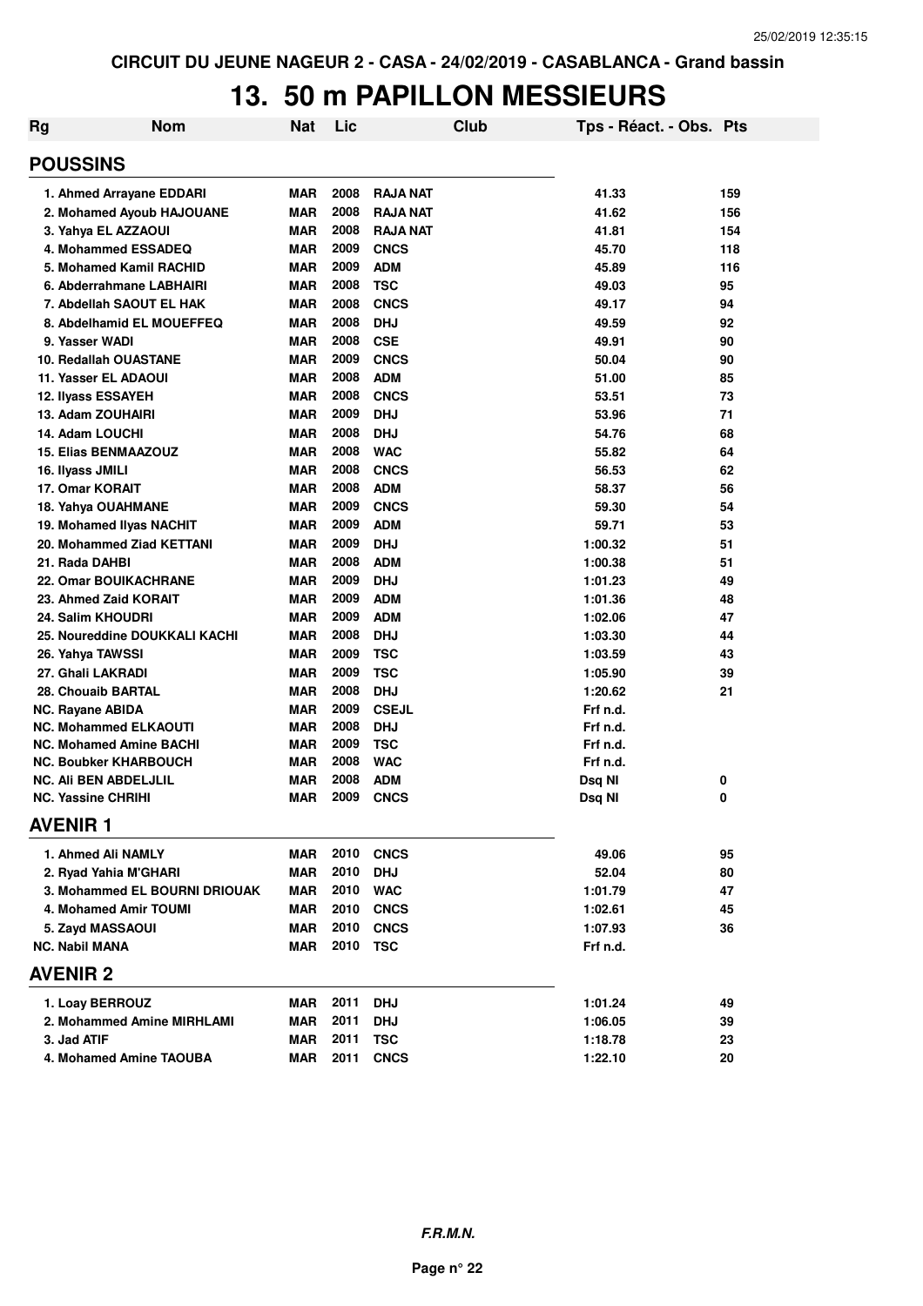### **13. 50 m PAPILLON MESSIEURS**

| <b>Rg</b> | <b>Nom</b>                     | <b>Nat</b> | Lic  | <b>Club</b>     | Tps - Réact. - Obs. Pts |     |
|-----------|--------------------------------|------------|------|-----------------|-------------------------|-----|
|           | <b>POUSSINS</b>                |            |      |                 |                         |     |
|           | 1. Ahmed Arrayane EDDARI       | <b>MAR</b> | 2008 | <b>RAJA NAT</b> | 41.33                   | 159 |
|           | 2. Mohamed Ayoub HAJOUANE      | <b>MAR</b> | 2008 | <b>RAJA NAT</b> | 41.62                   | 156 |
|           | 3. Yahya EL AZZAOUI            | <b>MAR</b> | 2008 | <b>RAJA NAT</b> | 41.81                   | 154 |
|           | 4. Mohammed ESSADEQ            | <b>MAR</b> | 2009 | <b>CNCS</b>     | 45.70                   | 118 |
|           | 5. Mohamed Kamil RACHID        | <b>MAR</b> | 2009 | <b>ADM</b>      | 45.89                   | 116 |
|           | 6. Abderrahmane LABHAIRI       | <b>MAR</b> | 2008 | <b>TSC</b>      | 49.03                   | 95  |
|           | 7. Abdellah SAOUT EL HAK       | <b>MAR</b> | 2008 | <b>CNCS</b>     | 49.17                   | 94  |
|           | 8. Abdelhamid EL MOUEFFEQ      | <b>MAR</b> | 2008 | <b>DHJ</b>      | 49.59                   | 92  |
|           | 9. Yasser WADI                 | <b>MAR</b> | 2008 | <b>CSE</b>      | 49.91                   | 90  |
|           | 10. Redallah OUASTANE          | <b>MAR</b> | 2009 | <b>CNCS</b>     | 50.04                   | 90  |
|           | 11. Yasser EL ADAOUI           | <b>MAR</b> | 2008 | <b>ADM</b>      | 51.00                   | 85  |
|           | 12. Ilyass ESSAYEH             | <b>MAR</b> | 2008 | <b>CNCS</b>     | 53.51                   | 73  |
|           | 13. Adam ZOUHAIRI              | MAR        | 2009 | <b>DHJ</b>      | 53.96                   | 71  |
|           | 14. Adam LOUCHI                | <b>MAR</b> | 2008 | <b>DHJ</b>      | 54.76                   | 68  |
|           | <b>15. Elias BENMAAZOUZ</b>    | <b>MAR</b> | 2008 | <b>WAC</b>      | 55.82                   | 64  |
|           | 16. Ilyass JMILI               | <b>MAR</b> | 2008 | <b>CNCS</b>     | 56.53                   | 62  |
|           | 17. Omar KORAIT                | <b>MAR</b> | 2008 | <b>ADM</b>      | 58.37                   | 56  |
|           | 18. Yahya OUAHMANE             | <b>MAR</b> | 2009 | <b>CNCS</b>     | 59.30                   | 54  |
|           | 19. Mohamed IIvas NACHIT       | <b>MAR</b> | 2009 | <b>ADM</b>      | 59.71                   | 53  |
|           | 20. Mohammed Ziad KETTANI      | MAR        | 2009 | <b>DHJ</b>      | 1:00.32                 | 51  |
|           | 21. Rada DAHBI                 | <b>MAR</b> | 2008 | <b>ADM</b>      | 1:00.38                 | 51  |
|           | <b>22. Omar BOUIKACHRANE</b>   | <b>MAR</b> | 2009 | <b>DHJ</b>      | 1:01.23                 | 49  |
|           | 23. Ahmed Zaid KORAIT          | <b>MAR</b> | 2009 | <b>ADM</b>      | 1:01.36                 | 48  |
|           | 24. Salim KHOUDRI              | <b>MAR</b> | 2009 | <b>ADM</b>      | 1:02.06                 | 47  |
|           | 25. Noureddine DOUKKALI KACHI  | <b>MAR</b> | 2008 | <b>DHJ</b>      | 1:03.30                 | 44  |
|           | 26. Yahya TAWSSI               | <b>MAR</b> | 2009 | <b>TSC</b>      | 1:03.59                 | 43  |
|           | 27. Ghali LAKRADI              | <b>MAR</b> | 2009 | <b>TSC</b>      | 1:05.90                 | 39  |
|           | 28. Chouaib BARTAL             | <b>MAR</b> | 2008 | <b>DHJ</b>      | 1:20.62                 | 21  |
|           | <b>NC. Rayane ABIDA</b>        | <b>MAR</b> | 2009 | <b>CSEJL</b>    | Frf n.d.                |     |
|           | <b>NC. Mohammed ELKAOUTI</b>   | <b>MAR</b> | 2008 | <b>DHJ</b>      | Frf n.d.                |     |
|           | <b>NC. Mohamed Amine BACHI</b> | <b>MAR</b> | 2009 | <b>TSC</b>      | Frf n.d.                |     |
|           | <b>NC. Boubker KHARBOUCH</b>   | <b>MAR</b> | 2008 | <b>WAC</b>      | Frf n.d.                |     |
|           | <b>NC. Ali BEN ABDELJLIL</b>   | MAR        | 2008 | <b>ADM</b>      | Dsq NI                  | 0   |
|           | <b>NC. Yassine CHRIHI</b>      | <b>MAR</b> | 2009 | <b>CNCS</b>     | Dsq NI                  | 0   |
|           | <b>AVENIR 1</b>                |            |      |                 |                         |     |
|           | 1. Ahmed Ali NAMLY             | MAR        | 2010 | <b>CNCS</b>     | 49.06                   | 95  |
|           | 2. Ryad Yahia M'GHARI          | <b>MAR</b> | 2010 | <b>DHJ</b>      | 52.04                   | 80  |
|           | 3. Mohammed EL BOURNI DRIOUAK  | <b>MAR</b> | 2010 | <b>WAC</b>      | 1:01.79                 | 47  |
|           | 4. Mohamed Amir TOUMI          | <b>MAR</b> | 2010 | <b>CNCS</b>     | 1:02.61                 | 45  |
|           | 5. Zayd MASSAOUI               | <b>MAR</b> | 2010 | <b>CNCS</b>     | 1:07.93                 | 36  |
|           | <b>NC. Nabil MANA</b>          | MAR        | 2010 | <b>TSC</b>      | Frf n.d.                |     |
|           | <b>AVENIR 2</b>                |            |      |                 |                         |     |
|           | 1. Loay BERROUZ                | MAR        | 2011 | <b>DHJ</b>      | 1:01.24                 | 49  |
|           | 2. Mohammed Amine MIRHLAMI     | <b>MAR</b> | 2011 | <b>DHJ</b>      | 1:06.05                 | 39  |
|           | 3. Jad ATIF                    | <b>MAR</b> | 2011 | <b>TSC</b>      | 1:18.78                 | 23  |
|           | 4. Mohamed Amine TAOUBA        | <b>MAR</b> | 2011 | <b>CNCS</b>     | 1:22.10                 | 20  |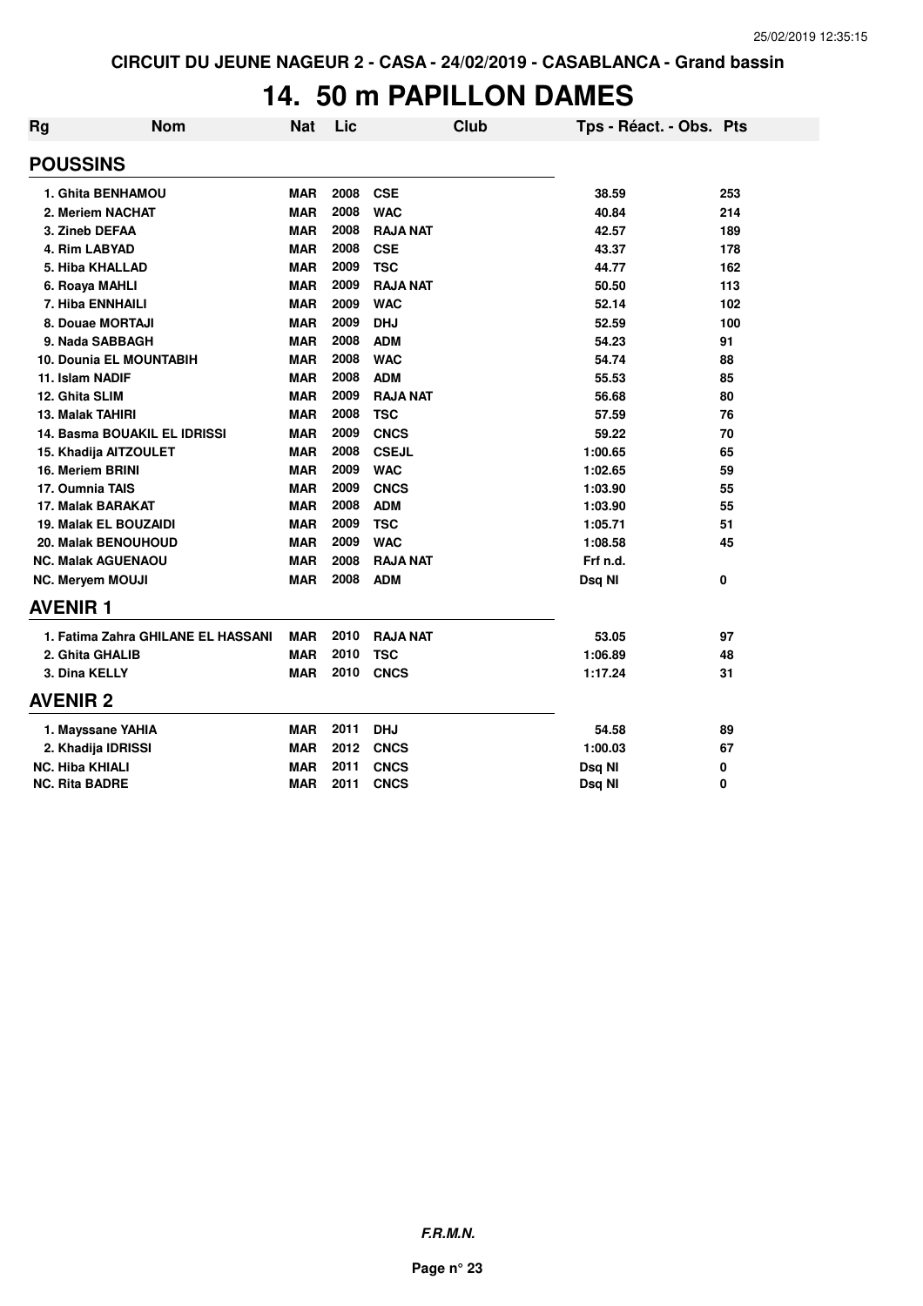### **14. 50 m PAPILLON DAMES**

| <b>Rg</b>                    | <b>Nom</b>                          | <b>Nat</b> | Lic  |                 | <b>Club</b> | Tps - Réact. - Obs. Pts |     |
|------------------------------|-------------------------------------|------------|------|-----------------|-------------|-------------------------|-----|
| <b>POUSSINS</b>              |                                     |            |      |                 |             |                         |     |
| 1. Ghita BENHAMOU            |                                     | <b>MAR</b> | 2008 | <b>CSE</b>      |             | 38.59                   | 253 |
| 2. Meriem NACHAT             |                                     | <b>MAR</b> | 2008 | <b>WAC</b>      |             | 40.84                   | 214 |
| 3. Zineb DEFAA               |                                     | <b>MAR</b> | 2008 | <b>RAJA NAT</b> |             | 42.57                   | 189 |
| 4. Rim LABYAD                |                                     | <b>MAR</b> | 2008 | <b>CSE</b>      |             | 43.37                   | 178 |
| 5. Hiba KHALLAD              |                                     | <b>MAR</b> | 2009 | <b>TSC</b>      |             | 44.77                   | 162 |
| 6. Roaya MAHLI               |                                     | <b>MAR</b> | 2009 | <b>RAJA NAT</b> |             | 50.50                   | 113 |
| 7. Hiba ENNHAILI             |                                     | <b>MAR</b> | 2009 | <b>WAC</b>      |             | 52.14                   | 102 |
| 8. Douae MORTAJI             |                                     | <b>MAR</b> | 2009 | <b>DHJ</b>      |             | 52.59                   | 100 |
| 9. Nada SABBAGH              |                                     | <b>MAR</b> | 2008 | <b>ADM</b>      |             | 54.23                   | 91  |
|                              | <b>10. Dounia EL MOUNTABIH</b>      | <b>MAR</b> | 2008 | <b>WAC</b>      |             | 54.74                   | 88  |
| 11. Islam NADIF              |                                     | <b>MAR</b> | 2008 | <b>ADM</b>      |             | 55.53                   | 85  |
| 12. Ghita SLIM               |                                     | <b>MAR</b> | 2009 | <b>RAJA NAT</b> |             | 56.68                   | 80  |
| <b>13. Malak TAHIRI</b>      |                                     | <b>MAR</b> | 2008 | <b>TSC</b>      |             | 57.59                   | 76  |
|                              | <b>14. Basma BOUAKIL EL IDRISSI</b> | <b>MAR</b> | 2009 | <b>CNCS</b>     |             | 59.22                   | 70  |
| 15. Khadija AITZOULET        |                                     | <b>MAR</b> | 2008 | <b>CSEJL</b>    |             | 1:00.65                 | 65  |
| 16. Meriem BRINI             |                                     | <b>MAR</b> | 2009 | <b>WAC</b>      |             | 1:02.65                 | 59  |
| 17. Oumnia TAIS              |                                     | <b>MAR</b> | 2009 | <b>CNCS</b>     |             | 1:03.90                 | 55  |
| 17. Malak BARAKAT            |                                     | <b>MAR</b> | 2008 | <b>ADM</b>      |             | 1:03.90                 | 55  |
| <b>19. Malak EL BOUZAIDI</b> |                                     | <b>MAR</b> | 2009 | <b>TSC</b>      |             | 1:05.71                 | 51  |
| <b>20. Malak BENOUHOUD</b>   |                                     | <b>MAR</b> | 2009 | <b>WAC</b>      |             | 1:08.58                 | 45  |
| <b>NC. Malak AGUENAOU</b>    |                                     | <b>MAR</b> | 2008 | <b>RAJA NAT</b> |             | Frf n.d.                |     |
| <b>NC. Meryem MOUJI</b>      |                                     | <b>MAR</b> | 2008 | <b>ADM</b>      |             | Dsq NI                  | 0   |
| <b>AVENIR 1</b>              |                                     |            |      |                 |             |                         |     |
|                              | 1. Fatima Zahra GHILANE EL HASSANI  | <b>MAR</b> | 2010 | <b>RAJA NAT</b> |             | 53.05                   | 97  |
| 2. Ghita GHALIB              |                                     | <b>MAR</b> | 2010 | <b>TSC</b>      |             | 1:06.89                 | 48  |
| 3. Dina KELLY                |                                     | <b>MAR</b> | 2010 | <b>CNCS</b>     |             | 1:17.24                 | 31  |
| <b>AVENIR 2</b>              |                                     |            |      |                 |             |                         |     |
| 1. Mayssane YAHIA            |                                     | <b>MAR</b> | 2011 | <b>DHJ</b>      |             | 54.58                   | 89  |
| 2. Khadija IDRISSI           |                                     | <b>MAR</b> | 2012 | <b>CNCS</b>     |             | 1:00.03                 | 67  |
| <b>NC. Hiba KHIALI</b>       |                                     | <b>MAR</b> | 2011 | <b>CNCS</b>     |             | Dsq NI                  | 0   |
| <b>NC. Rita BADRE</b>        |                                     | <b>MAR</b> | 2011 | <b>CNCS</b>     |             | Dsq NI                  | 0   |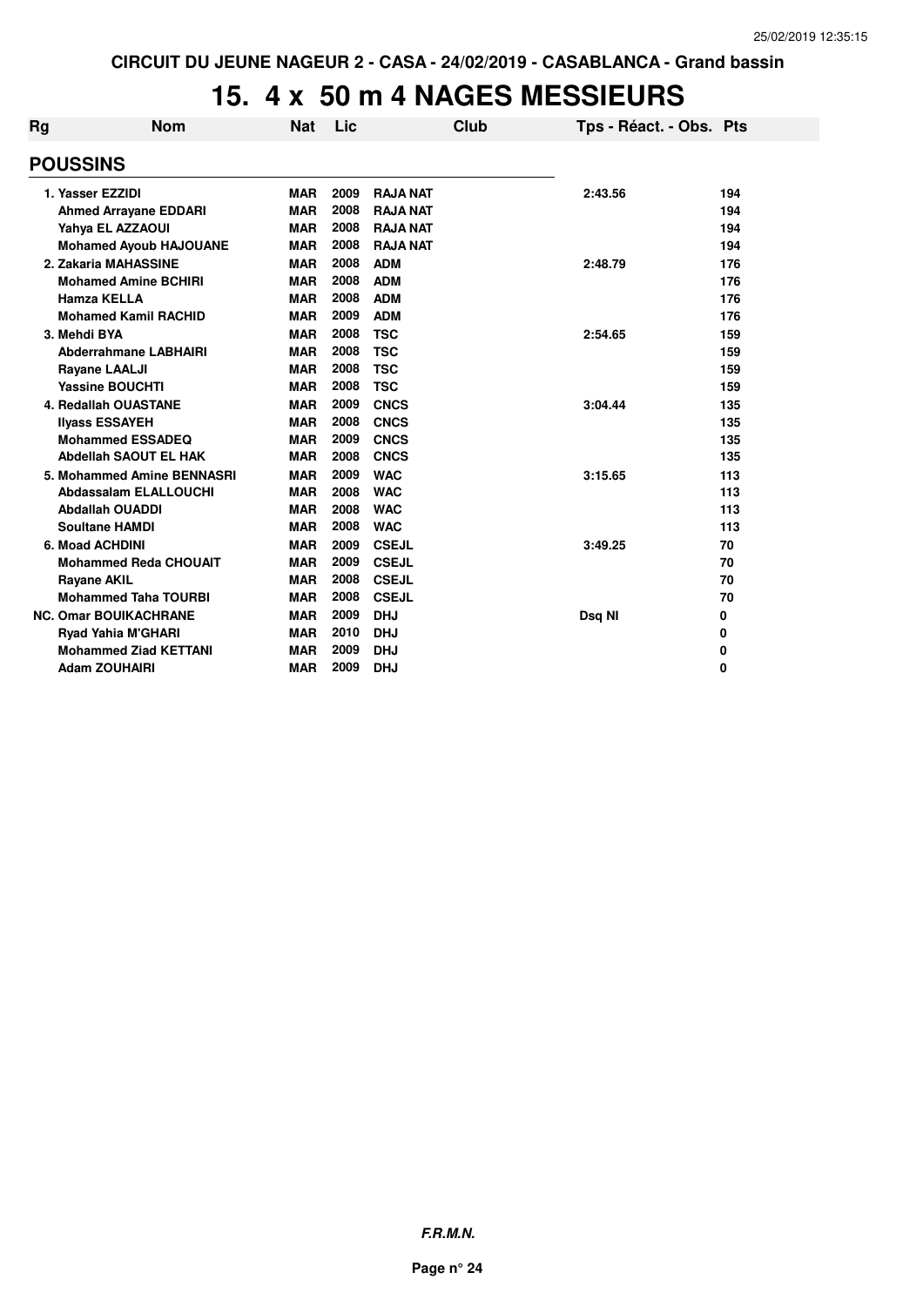## **15. 4 x 50 m 4 NAGES MESSIEURS**

| Rg | <b>Nom</b>                    | <b>Nat</b> | Lic  |                 | <b>Club</b> | Tps - Réact. - Obs. Pts |     |
|----|-------------------------------|------------|------|-----------------|-------------|-------------------------|-----|
|    | <b>POUSSINS</b>               |            |      |                 |             |                         |     |
|    | 1. Yasser EZZIDI              | <b>MAR</b> | 2009 | <b>RAJA NAT</b> |             | 2:43.56                 | 194 |
|    | <b>Ahmed Arrayane EDDARI</b>  | <b>MAR</b> | 2008 | <b>RAJA NAT</b> |             |                         | 194 |
|    | Yahya EL AZZAOUI              | <b>MAR</b> | 2008 | <b>RAJA NAT</b> |             |                         | 194 |
|    | <b>Mohamed Ayoub HAJOUANE</b> | <b>MAR</b> | 2008 | <b>RAJA NAT</b> |             |                         | 194 |
|    | 2. Zakaria MAHASSINE          | <b>MAR</b> | 2008 | <b>ADM</b>      |             | 2:48.79                 | 176 |
|    | <b>Mohamed Amine BCHIRI</b>   | <b>MAR</b> | 2008 | <b>ADM</b>      |             |                         | 176 |
|    | <b>Hamza KELLA</b>            | <b>MAR</b> | 2008 | <b>ADM</b>      |             |                         | 176 |
|    | <b>Mohamed Kamil RACHID</b>   | <b>MAR</b> | 2009 | <b>ADM</b>      |             |                         | 176 |
|    | 3. Mehdi BYA                  | <b>MAR</b> | 2008 | <b>TSC</b>      |             | 2:54.65                 | 159 |
|    | <b>Abderrahmane LABHAIRI</b>  | <b>MAR</b> | 2008 | <b>TSC</b>      |             |                         | 159 |
|    | <b>Rayane LAALJI</b>          | <b>MAR</b> | 2008 | <b>TSC</b>      |             |                         | 159 |
|    | <b>Yassine BOUCHTI</b>        | <b>MAR</b> | 2008 | <b>TSC</b>      |             |                         | 159 |
|    | <b>4. Redallah OUASTANE</b>   | <b>MAR</b> | 2009 | <b>CNCS</b>     |             | 3:04.44                 | 135 |
|    | <b>Ilyass ESSAYEH</b>         | <b>MAR</b> | 2008 | <b>CNCS</b>     |             |                         | 135 |
|    | <b>Mohammed ESSADEQ</b>       | <b>MAR</b> | 2009 | <b>CNCS</b>     |             |                         | 135 |
|    | <b>Abdellah SAOUT EL HAK</b>  | <b>MAR</b> | 2008 | <b>CNCS</b>     |             |                         | 135 |
|    | 5. Mohammed Amine BENNASRI    | <b>MAR</b> | 2009 | <b>WAC</b>      |             | 3:15.65                 | 113 |
|    | <b>Abdassalam ELALLOUCHI</b>  | <b>MAR</b> | 2008 | <b>WAC</b>      |             |                         | 113 |
|    | <b>Abdallah OUADDI</b>        | <b>MAR</b> | 2008 | <b>WAC</b>      |             |                         | 113 |
|    | <b>Soultane HAMDI</b>         | <b>MAR</b> | 2008 | <b>WAC</b>      |             |                         | 113 |
|    | 6. Moad ACHDINI               | <b>MAR</b> | 2009 | <b>CSEJL</b>    |             | 3:49.25                 | 70  |
|    | <b>Mohammed Reda CHOUAIT</b>  | <b>MAR</b> | 2009 | <b>CSEJL</b>    |             |                         | 70  |
|    | <b>Rayane AKIL</b>            | <b>MAR</b> | 2008 | <b>CSEJL</b>    |             |                         | 70  |
|    | <b>Mohammed Taha TOURBI</b>   | <b>MAR</b> | 2008 | <b>CSEJL</b>    |             |                         | 70  |
|    | <b>NC. Omar BOUIKACHRANE</b>  | <b>MAR</b> | 2009 | <b>DHJ</b>      |             | Dsq NI                  | 0   |
|    | <b>Ryad Yahia M'GHARI</b>     | <b>MAR</b> | 2010 | <b>DHJ</b>      |             |                         | 0   |
|    | <b>Mohammed Ziad KETTANI</b>  | <b>MAR</b> | 2009 | <b>DHJ</b>      |             |                         | 0   |
|    | <b>Adam ZOUHAIRI</b>          | <b>MAR</b> | 2009 | <b>DHJ</b>      |             |                         | 0   |